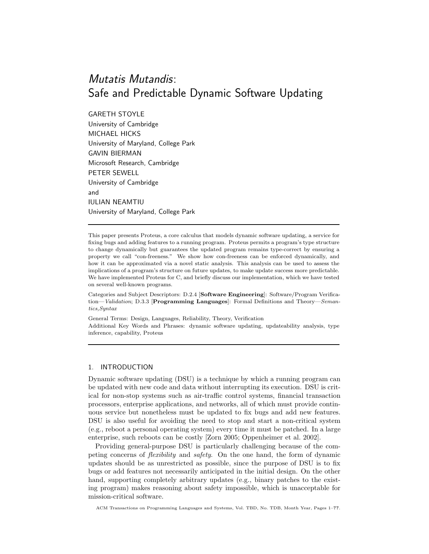# Mutatis Mutandis: Safe and Predictable Dynamic Software Updating

GARETH STOYLE University of Cambridge MICHAEL HICKS University of Maryland, College Park GAVIN BIERMAN Microsoft Research, Cambridge PETER SEWELL University of Cambridge and IULIAN NEAMTIU University of Maryland, College Park

This paper presents Proteus, a core calculus that models dynamic software updating, a service for fixing bugs and adding features to a running program. Proteus permits a program's type structure to change dynamically but guarantees the updated program remains type-correct by ensuring a property we call "con-freeness." We show how con-freeness can be enforced dynamically, and how it can be approximated via a novel static analysis. This analysis can be used to assess the implications of a program's structure on future updates, to make update success more predictable. We have implemented Proteus for C, and briefly discuss our implementation, which we have tested on several well-known programs.

Categories and Subject Descriptors: D.2.4 [Software Engineering]: Software/Program Verification—Validation; D.3.3 [Programming Languages]: Formal Definitions and Theory—Semantics,Syntax

General Terms: Design, Languages, Reliability, Theory, Verification Additional Key Words and Phrases: dynamic software updating, updateability analysis, type inference, capability, Proteus

### 1. INTRODUCTION

Dynamic software updating (DSU) is a technique by which a running program can be updated with new code and data without interrupting its execution. DSU is critical for non-stop systems such as air-traffic control systems, financial transaction processors, enterprise applications, and networks, all of which must provide continuous service but nonetheless must be updated to fix bugs and add new features. DSU is also useful for avoiding the need to stop and start a non-critical system (e.g., reboot a personal operating system) every time it must be patched. In a large enterprise, such reboots can be costly [Zorn 2005; Oppenheimer et al. 2002].

Providing general-purpose DSU is particularly challenging because of the competing concerns of flexibility and safety. On the one hand, the form of dynamic updates should be as unrestricted as possible, since the purpose of DSU is to fix bugs or add features not necessarily anticipated in the initial design. On the other hand, supporting completely arbitrary updates (e.g., binary patches to the existing program) makes reasoning about safety impossible, which is unacceptable for mission-critical software.

ACM Transactions on Programming Languages and Systems, Vol. TBD, No. TDB, Month Year, Pages 1–??.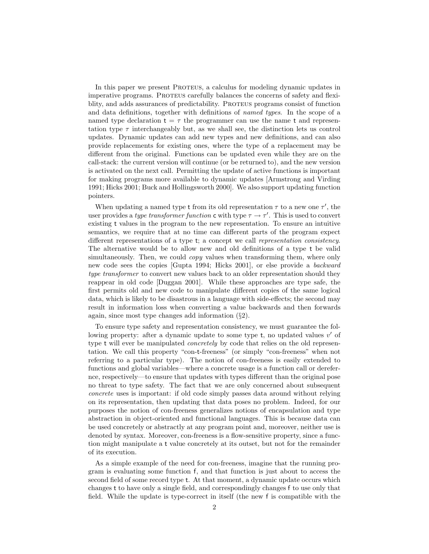In this paper we present PROTEUS, a calculus for modeling dynamic updates in imperative programs. PROTEUS carefully balances the concerns of safety and flexiblity, and adds assurances of predictability. PROTEUS programs consist of function and data definitions, together with definitions of named types. In the scope of a named type declaration  $t = \tau$  the programmer can use the name t and representation type  $\tau$  interchangeably but, as we shall see, the distinction lets us control updates. Dynamic updates can add new types and new definitions, and can also provide replacements for existing ones, where the type of a replacement may be different from the original. Functions can be updated even while they are on the call-stack: the current version will continue (or be returned to), and the new version is activated on the next call. Permitting the update of active functions is important for making programs more available to dynamic updates [Armstrong and Virding 1991; Hicks 2001; Buck and Hollingsworth 2000]. We also support updating function pointers.

When updating a named type t from its old representation  $\tau$  to a new one  $\tau'$ , the user provides a *type transformer function* c with type  $\tau \to \tau'$ . This is used to convert existing t values in the program to the new representation. To ensure an intuitive semantics, we require that at no time can different parts of the program expect different representations of a type t; a concept we call representation consistency. The alternative would be to allow new and old definitions of a type t be valid simultaneously. Then, we could *copy* values when transforming them, where only new code sees the copies [Gupta 1994; Hicks 2001], or else provide a backward type transformer to convert new values back to an older representation should they reappear in old code [Duggan 2001]. While these approaches are type safe, the first permits old and new code to manipulate different copies of the same logical data, which is likely to be disastrous in a language with side-effects; the second may result in information loss when converting a value backwards and then forwards again, since most type changes add information (§2).

To ensure type safety and representation consistency, we must guarantee the following property: after a dynamic update to some type  $t$ , no updated values  $v'$  of type t will ever be manipulated *concretely* by code that relies on the old representation. We call this property "con-t-freeness" (or simply "con-freeness" when not referring to a particular type). The notion of con-freeness is easily extended to functions and global variables—where a concrete usage is a function call or derefernce, respectively—to ensure that updates with types different than the original pose no threat to type safety. The fact that we are only concerned about subsequent concrete uses is important: if old code simply passes data around without relying on its representation, then updating that data poses no problem. Indeed, for our purposes the notion of con-freeness generalizes notions of encapsulation and type abstraction in object-oriented and functional languages. This is because data can be used concretely or abstractly at any program point and, moreover, neither use is denoted by syntax. Moreover, con-freeness is a flow-sensitive property, since a function might manipulate a t value concretely at its outset, but not for the remainder of its execution.

As a simple example of the need for con-freeness, imagine that the running program is evaluating some function f, and that function is just about to access the second field of some record type t. At that moment, a dynamic update occurs which changes t to have only a single field, and correspondingly changes f to use only that field. While the update is type-correct in itself (the new f is compatible with the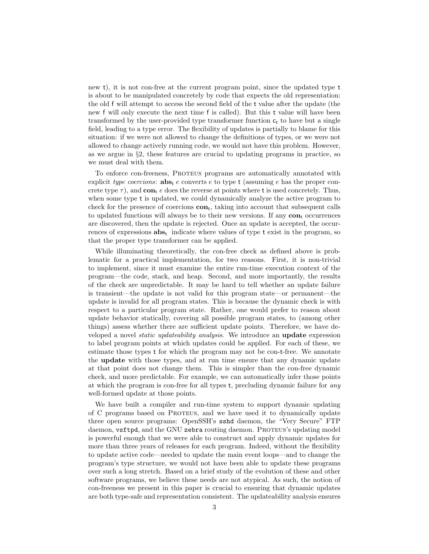new t), it is not con-free at the current program point, since the updated type t is about to be manipulated concretely by code that expects the old representation: the old f will attempt to access the second field of the t value after the update (the new f will only execute the next time f is called). But this t value will have been transformed by the user-provided type transformer function  $c<sub>t</sub>$  to have but a single field, leading to a type error. The flexibility of updates is partially to blame for this situation: if we were not allowed to change the definitions of types, or we were not allowed to change actively running code, we would not have this problem. However, as we argue in §2, these features are crucial to updating programs in practice, so we must deal with them.

To enforce con-freeness, Proteus programs are automatically annotated with explicit type coercions:  $\mathbf{abs}_t e$  converts e to type t (assuming e has the proper concrete type  $\tau$ ), and con<sub>t</sub> e does the reverse at points where t is used concretely. Thus, when some type t is updated, we could dynamically analyze the active program to check for the presence of coercions  $con_t$ , taking into account that subsequent calls to updated functions will always be to their new versions. If any  $con_{t}$  occurrences are discovered, then the update is rejected. Once an update is accepted, the occurrences of expressions  $\mathbf{abs}_{t}$  indicate where values of type  $t$  exist in the program, so that the proper type transformer can be applied.

While illuminating theoretically, the con-free check as defined above is problematic for a practical implementation, for two reasons. First, it is non-trivial to implement, since it must examine the entire run-time execution context of the program—the code, stack, and heap. Second, and more importantly, the results of the check are unpredictable. It may be hard to tell whether an update failure is transient—the update is not valid for this program state—or permanent—the update is invalid for all program states. This is because the dynamic check is with respect to a particular program state. Rather, one would prefer to reason about update behavior statically, covering all possible program states, to (among other things) assess whether there are sufficient update points. Therefore, we have developed a novel *static updateability analysis*. We introduce an **update** expression to label program points at which updates could be applied. For each of these, we estimate those types t for which the program may not be con-t-free. We annotate the update with those types, and at run time ensure that any dynamic update at that point does not change them. This is simpler than the con-free dynamic check, and more predictable. For example, we can automatically infer those points at which the program is con-free for all types t, precluding dynamic failure for any well-formed update at those points.

We have built a compiler and run-time system to support dynamic updating of C programs based on Proteus, and we have used it to dynamically update three open source programs: OpenSSH's sshd daemon, the "Very Secure" FTP daemon, vsftpd, and the GNU zebra routing daemon. PROTEUS's updating model is powerful enough that we were able to construct and apply dynamic updates for more than three years of releases for each program. Indeed, without the flexibility to update active code—needed to update the main event loops—and to change the program's type structure, we would not have been able to update these programs over such a long stretch. Based on a brief study of the evolution of these and other software programs, we believe these needs are not atypical. As such, the notion of con-freeness we present in this paper is crucial to ensuring that dynamic updates are both type-safe and representation consistent. The updateability analysis ensures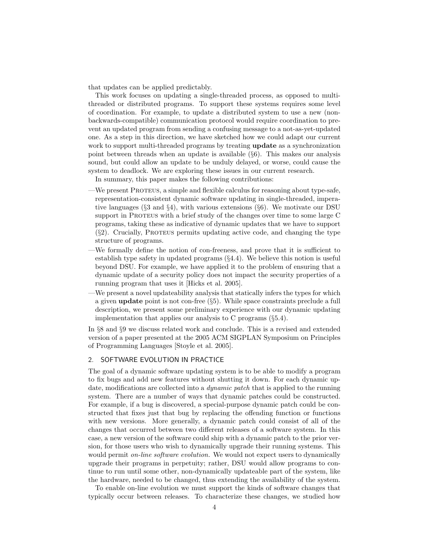that updates can be applied predictably.

This work focuses on updating a single-threaded process, as opposed to multithreaded or distributed programs. To support these systems requires some level of coordination. For example, to update a distributed system to use a new (nonbackwards-compatible) communication protocol would require coordination to prevent an updated program from sending a confusing message to a not-as-yet-updated one. As a step in this direction, we have sketched how we could adapt our current work to support multi-threaded programs by treating **update** as a synchronization point between threads when an update is available (§6). This makes our analysis sound, but could allow an update to be unduly delayed, or worse, could cause the system to deadlock. We are exploring these issues in our current research.

In summary, this paper makes the following contributions:

- —We present Proteus, a simple and flexible calculus for reasoning about type-safe, representation-consistent dynamic software updating in single-threaded, imperative languages (§3 and §4), with various extensions (§6). We motivate our DSU support in PROTEUS with a brief study of the changes over time to some large C programs, taking these as indicative of dynamic updates that we have to support  $(\S2)$ . Crucially, PROTEUS permits updating active code, and changing the type structure of programs.
- —We formally define the notion of con-freeness, and prove that it is sufficient to establish type safety in updated programs  $(§4.4)$ . We believe this notion is useful beyond DSU. For example, we have applied it to the problem of ensuring that a dynamic update of a security policy does not impact the security properties of a running program that uses it [Hicks et al. 2005].
- —We present a novel updateability analysis that statically infers the types for which a given update point is not con-free (§5). While space constraints preclude a full description, we present some preliminary experience with our dynamic updating implementation that applies our analysis to C programs (§5.4).

In §8 and §9 we discuss related work and conclude. This is a revised and extended version of a paper presented at the 2005 ACM SIGPLAN Symposium on Principles of Programming Languages [Stoyle et al. 2005].

## 2. SOFTWARE EVOLUTION IN PRACTICE

The goal of a dynamic software updating system is to be able to modify a program to fix bugs and add new features without shutting it down. For each dynamic update, modifications are collected into a *dynamic patch* that is applied to the running system. There are a number of ways that dynamic patches could be constructed. For example, if a bug is discovered, a special-purpose dynamic patch could be constructed that fixes just that bug by replacing the offending function or functions with new versions. More generally, a dynamic patch could consist of all of the changes that occurred between two different releases of a software system. In this case, a new version of the software could ship with a dynamic patch to the prior version, for those users who wish to dynamically upgrade their running systems. This would permit on-line software evolution. We would not expect users to dynamically upgrade their programs in perpetuity; rather, DSU would allow programs to continue to run until some other, non-dynamically updateable part of the system, like the hardware, needed to be changed, thus extending the availability of the system.

To enable on-line evolution we must support the kinds of software changes that typically occur between releases. To characterize these changes, we studied how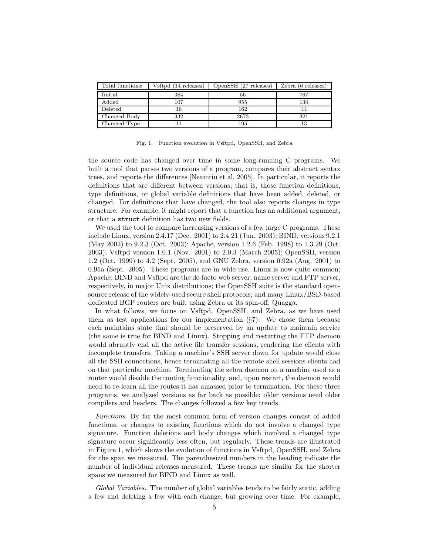| Total functions: | Vsftpd (14 releases) | OpenSSH (27 releases) | Zebra $(6$ releases) |
|------------------|----------------------|-----------------------|----------------------|
| Initial          | 384                  | 56                    | 767                  |
| Added            | $107\,$              | 955                   | 134                  |
| Deleted          | 16                   | 162                   | 44                   |
| Changed Body     | 332                  | 2673                  | 321                  |
| Changed Type     |                      | 195                   | 13                   |

Fig. 1. Function evolution in Vsftpd, OpenSSH, and Zebra

the source code has changed over time in some long-running C programs. We built a tool that parses two versions of a program, compares their abstract syntax trees, and reports the differences [Neamtiu et al. 2005]. In particular, it reports the definitions that are different between versions; that is, those function definitions, type definitions, or global variable definitions that have been added, deleted, or changed. For definitions that have changed, the tool also reports changes in type structure. For example, it might report that a function has an additional argument, or that a struct definition has two new fields.

We used the tool to compare increasing versions of a few large C programs. These include Linux, version 2.4.17 (Dec. 2001) to 2.4.21 (Jun. 2003); BIND, versions 9.2.1 (May 2002) to 9.2.3 (Oct. 2003); Apache, version 1.2.6 (Feb. 1998) to 1.3.29 (Oct. 2003); Vsftpd version 1.0.1 (Nov. 2001) to 2.0.3 (March 2005); OpenSSH, version 1.2 (Oct. 1999) to 4.2 (Sept. 2005), and GNU Zebra, version 0.92a (Aug. 2001) to 0.95a (Sept. 2005). These programs are in wide use. Linux is now quite common; Apache, BIND and Vsftpd are the de-facto web server, name server and FTP server, respectively, in major Unix distributions; the OpenSSH suite is the standard opensource release of the widely-used secure shell protocols; and many Linux/BSD-based dedicated BGP routers are built using Zebra or its spin-off, Quagga.

In what follows, we focus on Vsftpd, OpenSSH, and Zebra, as we have used them as test applications for our implementation  $(\S7)$ . We chose them because each maintains state that should be preserved by an update to maintain service (the same is true for BIND and Linux). Stopping and restarting the FTP daemon would abruptly end all the active file transfer sessions, rendering the clients with incomplete transfers. Taking a machine's SSH server down for update would close all the SSH connections, hence terminating all the remote shell sessions clients had on that particular machine. Terminating the zebra daemon on a machine used as a router would disable the routing functionality, and, upon restart, the daemon would need to re-learn all the routes it has amassed prior to termination. For these three programs, we analyzed versions as far back as possible; older versions need older compilers and headers. The changes followed a few key trends.

Functions. By far the most common form of version changes consist of added functions, or changes to existing functions which do not involve a changed type signature. Function deletions and body changes which involved a changed type signature occur significantly less often, but regularly. These trends are illustrated in Figure 1, which shows the evolution of functions in Vsftpd, OpenSSH, and Zebra for the span we measured. The parenthesized numbers in the heading indicate the number of individual releases measured. These trends are similar for the shorter spans we measured for BIND and Linux as well.

Global Variables. The number of global variables tends to be fairly static, adding a few and deleting a few with each change, but growing over time. For example,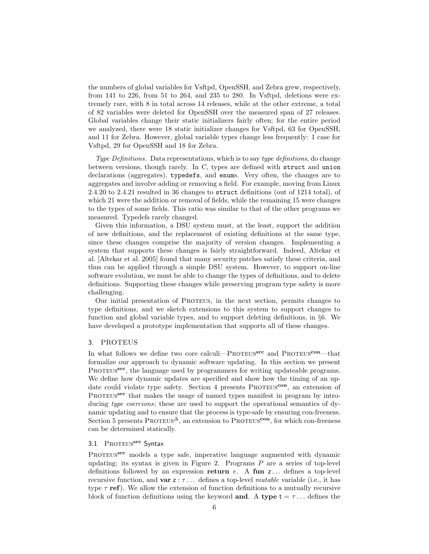the numbers of global variables for Vsftpd, OpenSSH, and Zebra grew, respectively, from 141 to 226, from 51 to 264, and 235 to 280. In Vsftpd, deletions were extremely rare, with 8 in total across 14 releases, while at the other extreme, a total of 82 variables were deleted for OpenSSH over the measured span of 27 releases. Global variables change their static initializers fairly often; for the entire period we analyzed, there were 18 static initializer changes for Vsftpd, 63 for OpenSSH, and 11 for Zebra. However, global variable types change less frequently: 1 case for Vsftpd, 29 for OpenSSH and 18 for Zebra.

Type Definitions. Data representations, which is to say type definitions, do change between versions, though rarely. In C, types are defined with struct and union declarations (aggregates), typedefs, and enums. Very often, the changes are to aggregates and involve adding or removing a field. For example, moving from Linux 2.4.20 to 2.4.21 resulted in 36 changes to struct definitions (out of 1214 total), of which 21 were the addition or removal of fields, while the remaining 15 were changes to the types of some fields. This ratio was similar to that of the other programs we measured. Typedefs rarely changed.

Given this information, a DSU system must, at the least, support the addition of new definitions, and the replacement of existing definitions at the same type, since these changes comprise the majority of version changes. Implementing a system that supports these changes is fairly straightforward. Indeed, Altekar et al. [Altekar et al. 2005] found that many security patches satisfy these criteria, and thus can be applied through a simple DSU system. However, to support on-line software evolution, we must be able to change the types of definitions, and to delete definitions. Supporting these changes while preserving program type safety is more challenging.

Our initial presentation of PROTEUS, in the next section, permits changes to type definitions, and we sketch extensions to this system to support changes to function and global variable types, and to support deleting definitions, in §6. We have developed a prototype implementation that supports all of these changes.

### 3. PROTEUS

In what follows we define two core calculi—PROTEUS<sup>SPC</sup> and PROTEUS<sup>con</sup>—that formalize our approach to dynamic software updating. In this section we present PROTEUS<sup>SFC</sup>, the language used by programmers for writing updateable programs. We define how dynamic updates are specified and show how the timing of an update could violate type safety. Section 4 presents PROTEUS<sup>con</sup>, an extension of PROTEUS<sup>STC</sup> that makes the usage of named types manifest in program by introducing type coercions; these are used to support the operational semantics of dynamic updating and to ensure that the process is type-safe by ensuring con-freeness. Section 5 presents PROTEUS<sup> $\Delta$ </sup>, an extension to PROTEUS<sup>con</sup>, for which con-freeness can be determined statically.

# 3.1 PROTEUS<sup>src</sup> Syntax

PROTEUS<sup>src</sup> models a type safe, imperative language augmented with dynamic updating; its syntax is given in Figure 2. Programs  $P$  are a series of top-level definitions followed by an expression return  $e$ . A fun  $z \dots$  defines a top-level recursive function, and **var**  $z : \tau ...$  defines a top-level *mutable* variable (i.e., it has type  $\tau$  ref). We allow the extension of function definitions to a mutually recursive block of function definitions using the keyword and. A type  $t = \tau \dots$  defines the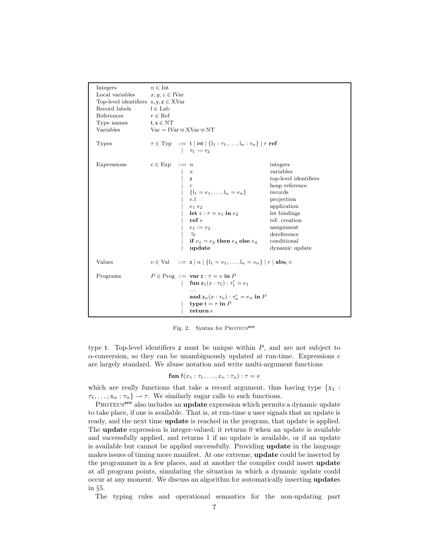```
Integers n \in \text{Int}Local variables x, y, z \in \text{IVar}Top-level identifiers x, y, z ∈ XVar
Record labels l \in Lab
References r \in \text{Ref}Type names t, s \in NTVariables Var = IVar ⊎ XVar ⊎ NT
Types \tau \in \text{Typ} ::= t | int | \{l_1 : \tau_1, \ldots, l_n : \tau_n\} | \tau ref
                           |\quad \tau_1 \rightarrow \tau_2Expressions e \in \text{Exp} ::= n integers
                           | x variables
                             z top-level identifiers
                             r heap reference
                             {1 \n\{l_1 = e_1, ..., l_n = e_n\}} records
                             e.l projection
                              e<sub>1</sub> e<sub>2</sub> application
                             let z : \tau = e_1 in e_2 let bindings
                             ref e reation
                             e_1 := e_2 assignment
                              | e dereference
                             if e_1 = e_2 then e_3 else e_4 conditional
                              | update dynamic update
Values v \in \text{Val} ::= z | n | \{l_1 = v_1, \ldots, l_n = v_n\} | r | \text{abs}_{t} vPrograms P \in Prog ::= var z : \tau = v in P
                           | fun z<sub>1</sub>(x : \tau_1) : \tau'_1 = e_1. . .
                              and z_n(x : \tau_n) : \tau'_n = e_n in Ftype t = \tau in Preturn e
```
Fig. 2. Syntax for PROTEUS<sup>SPC</sup>

type t. Top-level identifiers  $z$  must be unique within  $P$ , and are not subject to  $\alpha$ -conversion, so they can be unambiguously updated at run-time. Expressions e are largely standard. We abuse notation and write multi-argument functions

$$
\textbf{fun } \mathsf{f}(x_1 : \tau_1, \ldots, x_n : \tau_n) : \tau = e
$$

which are really functions that take a record argument, thus having type  $\{x_1 :$  $\tau_1, \ldots, \tau_n : \tau_n$   $\to \tau$ . We similarly sugar calls to such functions.

PROTEUS<sup>SPC</sup> also includes an update expression which permits a dynamic update to take place, if one is available. That is, at run-time a user signals that an update is ready, and the next time **update** is reached in the program, that update is applied. The update expression is integer-valued; it returns 0 when an update is available and successfully applied, and returns 1 if no update is available, or if an update is available but cannot be applied successfully. Providing update in the language makes issues of timing more manifest. At one extreme, **update** could be inserted by the programmer in a few places, and at another the compiler could insert update at all program points, simulating the situation in which a dynamic update could occur at any moment. We discuss an algorithm for automatically inserting updates in §5.

The typing rules and operational semantics for the non-updating part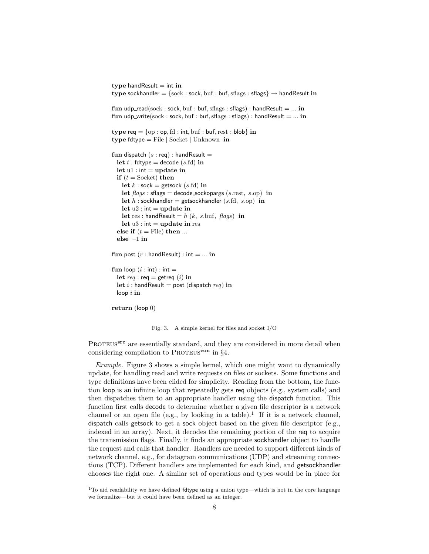```
type hand Result = int in
type sockhandler = {sock : sock, buf : buf, sflags : sflags} \rightarrow handResult in
fun udp_read(sock: sock, buf: buf, sflags: sflags): handResult = ... in
fun udp_write(sock : sock, buf : buf, sflags : sflags) : handResult = ... in
type req = \{op : op, fd : int, buf : buf, rest : blob\} in
type fdtype = File | Socket | Unknown in
fun dispatch (s : \text{req}) : \text{handResult} =let t : fdtype = decode (s.fd) in
 let u1 : int = update inif (t = \text{Socket}) then
   let k: sock = getsock (s.fd) in
   let flags: sflags = decode_sockopargs (s.rest, s.op) in
   let h: sockhandler = getsockhandler (s.fd, s.op) in
   let u2: int = update in
   let res : handResult = h(k, s).buf, flags) in
   let u3 : int = update in reselse if (t = File) then ...
 else −1 in
fun post (r : \text{handResult}) : \text{int} = ... \text{ in}fun loop (i : \text{int}) : \text{int} =let req: req = getreq (i) in
 let i : handResult = post (dispatch req) in
 loop in
return (loop 0)
```
Fig. 3. A simple kernel for files and socket I/O

PROTEUS<sup>STC</sup> are essentially standard, and they are considered in more detail when considering compilation to PROTEUS<sup>con</sup> in  $§4$ .

Example. Figure 3 shows a simple kernel, which one might want to dynamically update, for handling read and write requests on files or sockets. Some functions and type definitions have been elided for simplicity. Reading from the bottom, the function loop is an infinite loop that repeatedly gets req objects (e.g., system calls) and then dispatches them to an appropriate handler using the dispatch function. This function first calls decode to determine whether a given file descriptor is a network channel or an open file (e.g., by looking in a table).<sup>1</sup> If it is a network channel, dispatch calls getsock to get a sock object based on the given file descriptor (e.g., indexed in an array). Next, it decodes the remaining portion of the req to acquire the transmission flags. Finally, it finds an appropriate sockhandler object to handle the request and calls that handler. Handlers are needed to support different kinds of network channel, e.g., for datagram communications (UDP) and streaming connections (TCP). Different handlers are implemented for each kind, and getsockhandler chooses the right one. A similar set of operations and types would be in place for

<sup>1</sup>To aid readability we have defined fdtype using a union type—which is not in the core language we formalize—but it could have been defined as an integer.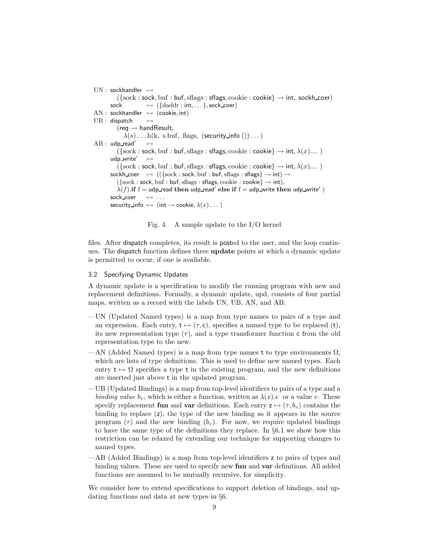$UN:$  sockhandler  $\mapsto$  $({\{sock: sock, buf : buf, sflags: sflags, cookie: cookie\} \rightarrow int, sockh.core})$  $\mathsf{sock} \longrightarrow (\{\text{daddr} : \mathsf{int}, \ldots\}, \mathsf{sock\_coer})$  $AN:$  sockhandler  $\mapsto$  (cookie, int)  $UB:$  dispatch  $\rightarrow$  $(req \rightarrow \text{handResult},$  $\lambda(s)$ .... h(k, s.buf, flags, (security info ())...)  $AB:$  udp\_read'  $\mapsto$  $({\text{sock}}: {\text{sock}}, {\text{buf}}: {\text{buf}}, {\text{slags}}: {\text{slags}}, {\text{cookie}}: {\text{cookie}} \} \rightarrow {\text{int}}, \lambda(x)...)$ udp write′  $\mapsto$  $({\text{sock}}: {\text{sock}}, {\text{buf}}: {\text{buf}}, {\text{slags}}: {\text{slags}}, {\text{cookie}}: {\text{cookie}} \} \rightarrow {\text{int}}, \lambda(x)...)$ sockh coer  $\mapsto$  (({sock : sock, buf : buf, sflags : sflags}  $\rightarrow$  int)  $\rightarrow$  $({\{sock : sock, buf : buf, slags : slags, cookie : cookie\} \rightarrow int}),$  $\lambda(f)$ .if  $f = u$ dp\_read then udp\_read' else if  $f = u$ dp\_write then udp\_write') sock\_coer  $\rightarrow \dots$ security\_info  $\mapsto$  (int  $\rightarrow$  cookie,  $\lambda(x)...\,$ )

Fig. 4. A sample update to the I/O kernel

files. After dispatch completes, its result is posted to the user, and the loop continues. The dispatch function defines three **update** points at which a dynamic update is permitted to occur, if one is available.

#### 3.2 Specifying Dynamic Updates

A dynamic update is a specification to modify the running program with new and replacement definitions. Formally, a dynamic update, upd, consists of four partial maps, written as a record with the labels UN, UB, AN, and AB:

- —UN (Updated Named types) is a map from type names to pairs of a type and an expression. Each entry,  $t \mapsto (\tau, c)$ , specifies a named type to be replaced (t), its new representation type  $(\tau)$ , and a type transformer function c from the old representation type to the new.
- —AN (Added Named types) is a map from type names t to type environments  $\Omega$ , which are lists of type definitions. This is used to define new named types. Each entry  $t \mapsto \Omega$  specifies a type t in the existing program, and the new definitions are inserted just above t in the updated program.
- —UB (Updated Bindings) is a map from top-level identifiers to pairs of a type and a binding value  $b_v$ , which is either a function, written as  $\lambda(x)$ . *e* or a value v. These specify replacement fun and var definitions. Each entry  $z \mapsto (\tau, b_v)$  contains the binding to replace  $(z)$ , the type of the new binding as it appears in the source program  $(\tau)$  and the new binding  $(b_v)$ . For now, we require updated bindings to have the same type of the definitions they replace. In §6.1 we show how this restriction can be relaxed by extending our technique for supporting changes to named types.
- —AB (Added Bindings) is a map from top-level identifiers z to pairs of types and binding values. These are used to specify new fun and var definitions. All added functions are assumed to be mutually recursive, for simplicity.

We consider how to extend specifications to support deletion of bindings, and updating functions and data at new types in §6.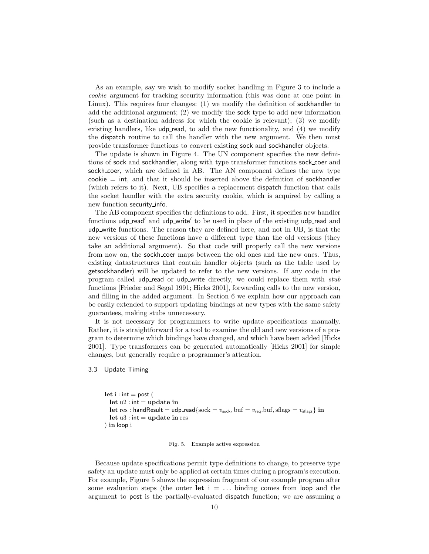As an example, say we wish to modify socket handling in Figure 3 to include a cookie argument for tracking security information (this was done at one point in Linux). This requires four changes: (1) we modify the definition of sockhandler to add the additional argument; (2) we modify the sock type to add new information (such as a destination address for which the cookie is relevant); (3) we modify existing handlers, like  $\mathsf{udp}\text{-}\mathsf{read}$ , to add the new functionality, and (4) we modify the dispatch routine to call the handler with the new argument. We then must provide transformer functions to convert existing sock and sockhandler objects.

The update is shown in Figure 4. The UN component specifies the new definitions of sock and sockhandler, along with type transformer functions sock coer and sockh coer, which are defined in AB. The AN component defines the new type  $\text{cookie} = \text{int}, \text{ and that it should be inserted above the definition of sockhandler}$ (which refers to it). Next, UB specifies a replacement dispatch function that calls the socket handler with the extra security cookie, which is acquired by calling a new function security info.

The AB component specifies the definitions to add. First, it specifies new handler functions udp\_read' and udp\_write' to be used in place of the existing udp\_read and udp write functions. The reason they are defined here, and not in UB, is that the new versions of these functions have a different type than the old versions (they take an additional argument). So that code will properly call the new versions from now on, the sockh coer maps between the old ones and the new ones. Thus, existing datastructures that contain handler objects (such as the table used by getsockhandler) will be updated to refer to the new versions. If any code in the program called udp read or udp write directly, we could replace them with stub functions [Frieder and Segal 1991; Hicks 2001], forwarding calls to the new version, and filling in the added argument. In Section 6 we explain how our approach can be easily extended to support updating bindings at new types with the same safety guarantees, making stubs unnecessary.

It is not necessary for programmers to write update specifications manually. Rather, it is straightforward for a tool to examine the old and new versions of a program to determine which bindings have changed, and which have been added [Hicks 2001]. Type transformers can be generated automatically [Hicks 2001] for simple changes, but generally require a programmer's attention.

3.3 Update Timing

```
let i : int = post (
  let u2: int = update in
  let res : handResult = udp_read{sock = v_{\text{sock}}, buf = v_{\text{req}}.buf, sflags = v_{\text{stlags}}} in
  let u3: int = update in res
) in loop i
```
#### Fig. 5. Example active expression

Because update specifications permit type definitions to change, to preserve type safety an update must only be applied at certain times during a program's execution. For example, Figure 5 shows the expression fragment of our example program after some evaluation steps (the outer let  $i = \ldots$  binding comes from loop and the argument to post is the partially-evaluated dispatch function; we are assuming a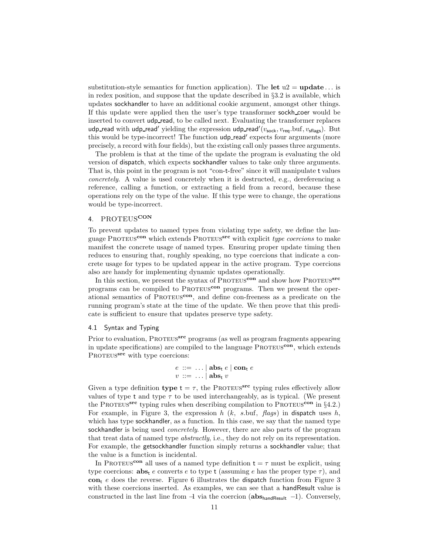substitution-style semantics for function application). The let  $u2 = \text{update} \dots$  is in redex position, and suppose that the update described in  $\S 3.2$  is available, which updates sockhandler to have an additional cookie argument, amongst other things. If this update were applied then the user's type transformer sockh coer would be inserted to convert udp\_read, to be called next. Evaluating the transformer replaces udp\_read with udp\_read' yielding the expression udp\_read'( $v_{\sf sock}, v_{\sf req}.\text{buf}, v_{\sf slags}$ ). But this would be type-incorrect! The function udp\_read' expects four arguments (more precisely, a record with four fields), but the existing call only passes three arguments.

The problem is that at the time of the update the program is evaluating the old version of dispatch, which expects sockhandler values to take only three arguments. That is, this point in the program is not "con-t-free" since it will manipulate t values concretely. A value is used concretely when it is destructed, e.g., dereferencing a reference, calling a function, or extracting a field from a record, because these operations rely on the type of the value. If this type were to change, the operations would be type-incorrect.

# 4. PROTEUSCON

To prevent updates to named types from violating type safety, we define the language PROTEUS<sup>con</sup> which extends PROTEUS<sup>src</sup> with explicit type coercions to make manifest the concrete usage of named types. Ensuring proper update timing then reduces to ensuring that, roughly speaking, no type coercions that indicate a concrete usage for types to be updated appear in the active program. Type coercions also are handy for implementing dynamic updates operationally.

In this section, we present the syntax of PROTEUS<sup>con</sup> and show how PROTEUS<sup>src</sup> programs can be compiled to PROTEUS<sup>con</sup> programs. Then we present the operational semantics of PROTEUS<sup>con</sup>, and define con-freeness as a predicate on the running program's state at the time of the update. We then prove that this predicate is sufficient to ensure that updates preserve type safety.

#### 4.1 Syntax and Typing

Prior to evaluation, PROTEUS<sup>src</sup> programs (as well as program fragments appearing in update specifications) are compiled to the language PROTEUS<sup>con</sup>, which extends PROTEUS<sup>src</sup> with type coercions:

$$
e ::= ... | abs_t e | con_t e
$$
  

$$
v ::= ... | abs_t v
$$

Given a type definition **type t** =  $\tau$ , the PROTEUS<sup>src</sup> typing rules effectively allow values of type t and type  $\tau$  to be used interchangeably, as is typical. (We present the PROTEUS<sup>src</sup> typing rules when describing compilation to PROTEUS<sup>con</sup> in  $\S 4.2$ .) For example, in Figure 3, the expression h  $(k, s)$ . s.buf, flags) in dispatch uses h, which has type sockhandler, as a function. In this case, we say that the named type sockhandler is being used *concretely*. However, there are also parts of the program that treat data of named type *abstractly*, i.e., they do not rely on its representation. For example, the getsockhandler function simply returns a sockhandler value; that the value is a function is incidental.

In PROTEUS<sup>con</sup> all uses of a named type definition  $t = \tau$  must be explicit, using type coercions:  $\mathbf{abs}_t e$  converts e to type  $t$  (assuming e has the proper type  $\tau$ ), and  $\textbf{con}_{t}$  e does the reverse. Figure 6 illustrates the dispatch function from Figure 3 with these coercions inserted. As examples, we can see that a handResult value is constructed in the last line from  $-1$  via the coercion (abs<sub>handResult</sub>  $-1$ ). Conversely,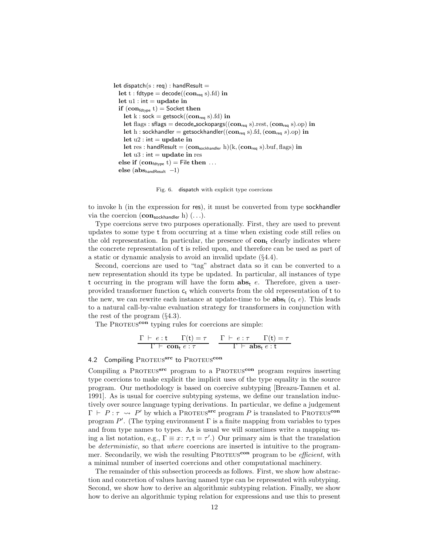```
let dispatch(s : \text{req}) : \text{handResult} =let t : fdtype = decode((con<sub>rea</sub> s).fd) in
  let u1: int = update in
  if (\text{con}_{\text{fdtype}} t) = \text{Socket} then
    let k : sock = getsock((\mathbf{con}_{\text{req}} s).fd) in
    let flags : sflags = decode_sockopargs((con_{req} s).rest, (con_{req} s).op) in
    let h : sockhandler = getsockhandler((con_{req} s).fd, (con_{req} s).op) in
    let u2: int = update in
    let res : handResult = (\mathbf{con}_{\mathsf{sockhandler}} h)(k, (\mathbf{con}_{\mathsf{req}} s). \text{buf}, \text{flags}) in
    let u3: int = update in res
  else if (\text{con}_{\text{fdtype}} t) = \text{File} then \dotselse (abs_{handResult} -1)
```
Fig. 6. dispatch with explicit type coercions

to invoke h (in the expression for res), it must be converted from type sockhandler via the coercion  $(\mathbf{con}_{\mathsf{sockhandler}}\;h)(\ldots).$ 

Type coercions serve two purposes operationally. First, they are used to prevent updates to some type t from occurring at a time when existing code still relies on the old representation. In particular, the presence of  $\text{con}_{t}$  clearly indicates where the concrete representation of t is relied upon, and therefore can be used as part of a static or dynamic analysis to avoid an invalid update (§4.4).

Second, coercions are used to "tag" abstract data so it can be converted to a new representation should its type be updated. In particular, all instances of type t occurring in the program will have the form  $\mathbf{abs}_t e$ . Therefore, given a userprovided transformer function  $c_t$  which converts from the old representation of t to the new, we can rewrite each instance at update-time to be  $\mathbf{abs}_t$  ( $c_t$  e). This leads to a natural call-by-value evaluation strategy for transformers in conjunction with the rest of the program (§4.3).

The PROTEUS<sup>con</sup> typing rules for coercions are simple:

$$
\frac{\Gamma \vdash e : t \qquad \Gamma(t) = \tau}{\Gamma \vdash \mathbf{con}_t e : \tau} \qquad \frac{\Gamma \vdash e : \tau \qquad \Gamma(t) = \tau}{\Gamma \vdash \mathbf{abs}_t e : t}
$$

#### 4.2 Compiling PROTEUS<sup>src</sup> to PROTEUS<sup>con</sup>

Compiling a PROTEUS<sup>src</sup> program to a PROTEUS<sup>con</sup> program requires inserting type coercions to make explicit the implicit uses of the type equality in the source program. Our methodology is based on coercive subtyping [Breazu-Tannen et al. 1991]. As is usual for coercive subtyping systems, we define our translation inductively over source language typing derivations. In particular, we define a judgement  $\Gamma \vdash P : \tau \leadsto P'$  by which a PROTEUS<sup>src</sup> program P is translated to PROTEUS<sup>con</sup> program  $P'$ . (The typing environment  $\Gamma$  is a finite mapping from variables to types and from type names to types. As is usual we will sometimes write a mapping using a list notation, e.g.,  $\Gamma \equiv x$ :  $\tau$ ,  $t = \tau'$ .) Our primary aim is that the translation be *deterministic*, so that *where* coercions are inserted is intuitive to the programmer. Secondarily, we wish the resulting PROTEUS<sup>con</sup> program to be *efficient*, with a minimal number of inserted coercions and other computational machinery.

The remainder of this subsection proceeds as follows. First, we show how abstraction and concretion of values having named type can be represented with subtyping. Second, we show how to derive an algorithmic subtyping relation. Finally, we show how to derive an algorithmic typing relation for expressions and use this to present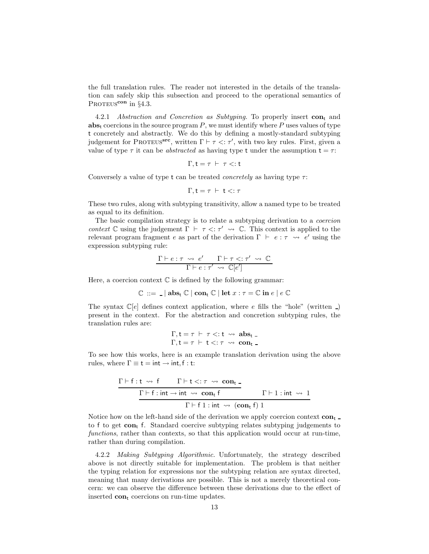the full translation rules. The reader not interested in the details of the translation can safely skip this subsection and proceed to the operational semantics of PROTEUS<sup>con</sup> in  $§4.3$ .

4.2.1 Abstraction and Concretion as Subtyping. To properly insert  $con_{t}$  and abs<sub>t</sub> coercions in the source program  $P$ , we must identify where  $P$  uses values of type t concretely and abstractly. We do this by defining a mostly-standard subtyping judgement for PROTEUS<sup>src</sup>, written  $\Gamma \vdash \tau \lt: \tau'$ , with two key rules. First, given a value of type  $\tau$  it can be *abstracted* as having type t under the assumption  $t = \tau$ :

$$
\Gamma, t = \tau \ \vdash \ \tau \mathrel{<:} t
$$

Conversely a value of type t can be treated *concretely* as having type  $\tau$ :

$$
\Gamma, t = \tau \ \vdash \ t <: \tau
$$

These two rules, along with subtyping transitivity, allow a named type to be treated as equal to its definition.

The basic compilation strategy is to relate a subtyping derivation to a coercion context  $\mathbb C$  using the judgement  $\Gamma \vdash \tau \langle : \tau' \leadsto \mathbb C$ . This context is applied to the relevant program fragment e as part of the derivation  $\Gamma \vdash e : \tau \leadsto e'$  using the expression subtyping rule:

$$
\frac{\Gamma \vdash e : \tau \leadsto e' \qquad \Gamma \vdash \tau \lt; : \tau' \leadsto \mathbb{C}}{\Gamma \vdash e : \tau' \leadsto \mathbb{C}[e']}
$$

Here, a coercion context  $\mathbb C$  is defined by the following grammar:

$$
\mathbb{C} ::= \bot | \; \mathbf{abs}_{t} \; \mathbb{C} \; | \; \mathbf{con}_{t} \; \mathbb{C} \; | \; \mathbf{let} \; x : \tau = \mathbb{C} \; \mathbf{in} \; e \; | \; e \; \mathbb{C}
$$

The syntax  $\mathbb{C}[e]$  defines context application, where e fills the "hole" (written  $\Box$ ) present in the context. For the abstraction and concretion subtyping rules, the translation rules are:

$$
\Gamma, t = \tau \ \vdash \ \tau <: t \ \leadsto \ \mathbf{abs}_t \_
$$
\n
$$
\Gamma, t = \tau \ \vdash \ t <: \tau \ \leadsto \ \mathbf{con}_t \_
$$

To see how this works, here is an example translation derivation using the above rules, where  $\Gamma \equiv t = \text{int} \rightarrow \text{int}, f : t$ :

$$
\cfrac{\Gamma \vdash f : t \rightsquigarrow f \qquad \Gamma \vdash t <: \tau \rightsquigarrow \textbf{con}_{t}}{\cfrac{\Gamma \vdash f : \text{int} \rightarrow \text{int} \rightsquigarrow \textbf{con}_{t} f}{\Gamma \vdash f : \text{int} \rightsquigarrow \textbf{con}_{t} f} \qquad \cfrac{\Gamma \vdash 1 : \text{int} \rightsquigarrow 1}{\Gamma \vdash f 1 : \text{int} \rightsquigarrow (\textbf{con}_{t} f) 1}
$$

Notice how on the left-hand side of the derivation we apply coercion context  $con_{t-}$ to f to get  $\text{con}_{t}$  f. Standard coercive subtyping relates subtyping judgements to functions, rather than contexts, so that this application would occur at run-time, rather than during compilation.

4.2.2 Making Subtyping Algorithmic. Unfortunately, the strategy described above is not directly suitable for implementation. The problem is that neither the typing relation for expressions nor the subtyping relation are syntax directed, meaning that many derivations are possible. This is not a merely theoretical concern: we can observe the difference between these derivations due to the effect of inserted  $con<sub>t</sub>$  coercions on run-time updates.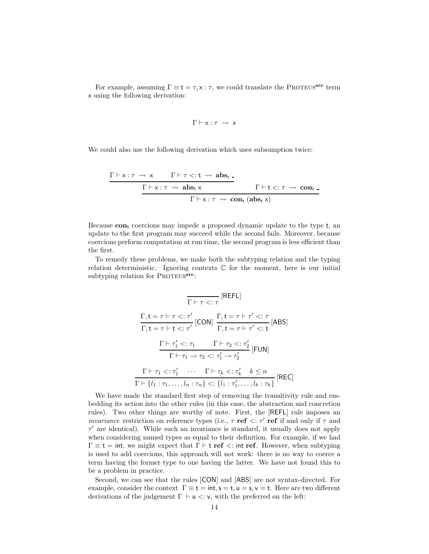For example, assuming  $\Gamma \equiv t = \tau, \times : \tau$ , we could translate the PROTEUS<sup>src</sup> term x using the following derivation:

$$
\Gamma \vdash {\sf x} : \tau \;\leadsto\; {\sf x}
$$

We could also use the following derivation which uses subsumption twice:

$$
\cfrac{\Gamma \vdash x : \tau \; \rightsquigarrow \; x \qquad \Gamma \vdash \tau <: t \; \rightsquigarrow \; abs_t \; .}{\cfrac{\Gamma \vdash x : \tau \; \rightsquigarrow \; abs_t \; x}{\Gamma \vdash x : \tau \; \rightsquigarrow \; con_t \; (abs_t \; x)}}{\Gamma \vdash x : \tau \; \rightsquigarrow \; con_t \; (abs_t \; x)}
$$

Because  $\text{con}_{t}$  coercions may impede a proposed dynamic update to the type  $t$ , and update to the first program may succeed while the second fails. Moreover, because coercions perform computation at run time, the second program is less efficient than the first.

To remedy these problems, we make both the subtyping relation and the typing relation deterministic. Ignoring contexts  $\mathbb C$  for the moment, here is our initial subtyping relation for PROTEUS<sup>src</sup>:

$$
\frac{\Gamma + \tau <: \tau \quad \text{[REFL]}}{\Gamma + \tau <: \tau \quad \text{[CON]}}\n\frac{\Gamma, t = \tau \vdash \tau <: \tau \quad \text{[ABS]}}{\Gamma, t = \tau \vdash t <: \tau \quad \text{[CON]}}\n\frac{\Gamma + \tau_1' <: \tau \quad \text{[ASS]}}{\Gamma, t = \tau \vdash \tau' <: \tau_2' \quad \text{[FUN]}}\n\frac{\Gamma \vdash \tau_1' <: \tau_1 \quad \Gamma \vdash \tau_2 <: \tau_1' \rightarrow \tau_2'}{\Gamma \vdash \tau_1 \rightarrow \tau_2 <: \tau_1' \rightarrow \tau_2'}\n\frac{\Gamma \vdash \tau_1 <: \tau_1' \quad \dots \quad \Gamma \vdash \tau_k <: \tau_k' \quad k \leq n}{\Gamma \vdash \{l_1 : \tau_1, \dots, l_n : \tau_n\} <: \{l_1 : \tau_1', \dots, l_k : \tau_k\}}\n\frac{\text{[REC]}}{\Gamma \vdash \{l_1 : \tau_1, \dots, l_n : \tau_n\}}\n\frac{\text{[REC]}}{\Gamma \vdash \{l_1 : \tau_1, \dots, l_n : \tau_n\}}\n\frac{\text{[REC]}}{\Gamma \vdash \{l_1 : \tau_1, \dots, l_n : \tau_n\}}\n\frac{\text{[REC]}}{\Gamma \vdash \{l_1 : \tau_1, \dots, l_n : \tau_n\}}\n\frac{\text{[REC]}}{\Gamma \vdash \{l_1 : \tau_1, \dots, l_n : \tau_n\}}\n\frac{\text{[REC]}}{\Gamma \vdash \{l_1 : \tau_1, \dots, l_n : \tau_n\}}\n\frac{\text{[REC]}}{\Gamma \vdash \{l_1 : \tau_1, \dots, l_n : \tau_n\}}\n\frac{\text{[REC]}}{\Gamma \vdash \{l_1 : \tau_1, \dots, l_n : \tau_n\}}\n\frac{\text{[REC]}}{\Gamma \vdash \{l_1 : \tau_1, \dots, l_n : \tau_n\}}\n\frac{\text{[REC]}}{\Gamma \vdash \{l_1 : \tau_1, \dots, l_n : \tau_n\}}\n\frac{\text{[REC]}}{\Gamma \vdash \{l_1 : \tau_1, \dots, l_n : \
$$

We have made the standard first step of removing the transitivity rule and embedding its action into the other rules (in this case, the abstraction and concretion rules). Two other things are worthy of note. First, the [REFL] rule imposes an *invariance* restriction on reference types (i.e.,  $\tau$  ref  $\lt: \tau'$  ref if and only if  $\tau$  and  $\tau'$  are identical). While such an invariance is standard, it usually does not apply when considering named types as equal to their definition. For example, if we had  $\Gamma \equiv t = \text{int}$ , we might expect that  $\Gamma \vdash t \text{ ref} < \text{int ref}$ . However, when subtyping is used to add coercions, this approach will not work: there is no way to coerce a term having the former type to one having the latter. We have not found this to be a problem in practice.

Second, we can see that the rules [CON] and [ABS] are not syntax-directed. For example, consider the context  $\Gamma \equiv t = \text{int}, s = t, u = s, v = t$ . Here are two different derivations of the judgement  $\Gamma \vdash u \langle v, v \rangle$ , with the preferred on the left: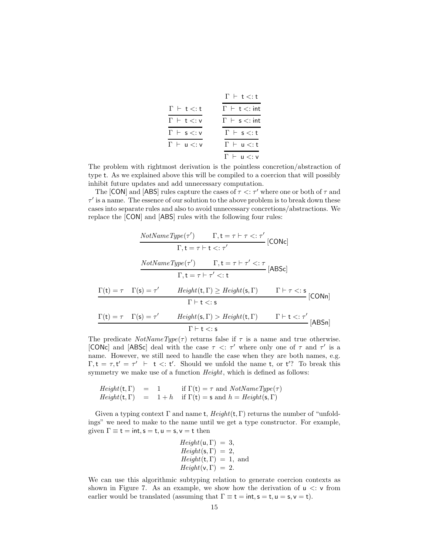|                               | $\Gamma$ + t <: t               |
|-------------------------------|---------------------------------|
| $\Gamma$ + t <: t             | $\Gamma$ + t <: int             |
| $\Gamma$ + t $\lt$ : v        | $\Gamma$ $\vdash$ s $\lt$ : int |
| $\Gamma$ $\vdash$ s $\lt$ : v | $\Gamma$ $\vdash$ s $\lt$ : t   |
| $\Gamma\,\vdash\,$ u $<:$ v   | $\Gamma$ $\vdash$ u $\lt$ : t   |
|                               | $\Gamma$ $\vdash$ u $\lt$ : v   |

The problem with rightmost derivation is the pointless concretion/abstraction of type t. As we explained above this will be compiled to a coercion that will possibly inhibit future updates and add unnecessary computation.

The [CON] and [ABS] rules capture the cases of  $\tau \langle \tau'$  where one or both of  $\tau$  and  $\tau'$  is a name. The essence of our solution to the above problem is to break down these cases into separate rules and also to avoid unnecessary concretions/abstractions. We replace the [CON] and [ABS] rules with the following four rules:

| $\frac{NotNameType(\tau') \qquad \Gamma, t = \tau \vdash \tau <: \tau'}{\Gamma, t = \tau \vdash t <: \tau'}$                                                                                    | [CONc] |
|-------------------------------------------------------------------------------------------------------------------------------------------------------------------------------------------------|--------|
| $\frac{NotNameType(\tau') \qquad \Gamma, t = \tau \vdash \tau' <: \tau}{\Gamma, t = \tau \vdash \tau' <: \tau}$                                                                                 | [ABSc] |
| $\frac{\Gamma(t) = \tau \qquad \Gamma(s) = \tau' \qquad Height(t, \Gamma) \geq Height(s, \Gamma) \qquad \Gamma \vdash \tau <: \mathbf{s}}{\Gamma \vdash t <: \mathbf{s}}$ \n <td>[CONn]</td> \n | [CONn] |
| $\frac{\Gamma(t) = \tau \quad \Gamma(s) = \tau' \qquad Height(s, \Gamma) > Height(t, \Gamma) \qquad \Gamma \vdash t <: \tau'}{\Gamma \vdash t <: \mathbf{s}}$ \n <td>[ABSn]</td> \n             | [ABSn] |

The predicate  $NotNameType(\tau)$  returns false if  $\tau$  is a name and true otherwise. [CONc] and [ABSc] deal with the case  $\tau < \tau'$  where only one of  $\tau$  and  $\tau'$  is a name. However, we still need to handle the case when they are both names, e.g.  $\Gamma, t = \tau, t' = \tau' + t$  is to solid we unfold the name t, or t'? To break this symmetry we make use of a function  $Height$ , which is defined as follows:

*Height*(t, 
$$
\Gamma
$$
) = 1 if  $\Gamma(t) = \tau$  and *NotNameType*( $\tau$ )  
*Height*(t,  $\Gamma$ ) = 1 + h if  $\Gamma(t) = s$  and  $h = Height(s, \Gamma)$ 

Given a typing context  $\Gamma$  and name t,  $Height(t, \Gamma)$  returns the number of "unfoldings" we need to make to the name until we get a type constructor. For example, given  $\Gamma \equiv t = \text{int}, s = t, u = s, v = t$  then

Height(u, 
$$
\Gamma
$$
) = 3,  
Height(s,  $\Gamma$ ) = 2,  
Height(t,  $\Gamma$ ) = 1, and  
Height(v,  $\Gamma$ ) = 2.

We can use this algorithmic subtyping relation to generate coercion contexts as shown in Figure 7. As an example, we show how the derivation of  $u < v$  from earlier would be translated (assuming that  $\Gamma \equiv t = \text{int}, s = t, u = s, v = t$ ).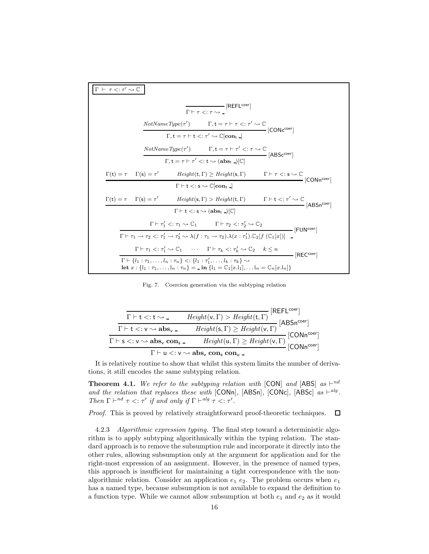| $\Gamma \vdash \tau \leq: \tau' \rightsquigarrow \mathbb{C}$                                                                                                                                                                                            |
|---------------------------------------------------------------------------------------------------------------------------------------------------------------------------------------------------------------------------------------------------------|
| $\Gamma \vdash \tau \leq: \tau \rightsquigarrow$                                                                                                                                                                                                        |
| <i>NotNameType</i> $(\tau')$ $\Gamma, t = \tau \vdash \tau \lt; : \tau' \leadsto \mathbb{C}$                                                                                                                                                            |
| $\Gamma, t = \tau \vdash t <: \tau' \leadsto \mathbb{C}[\mathbf{con}_t$ .                                                                                                                                                                               |
| $NotNameType(\tau') \qquad \Gamma, t = \tau \vdash \tau' \lt;: \tau \rightsquigarrow \mathbb{C}$<br>———— [ABSc <sup>coer</sup> ]                                                                                                                        |
| $\Gamma, t = \tau \vdash \tau' \lt t \rightsquigarrow (abs_t \lrcorner)$ [C]                                                                                                                                                                            |
| $\Gamma(t) = \tau \quad \Gamma(s) = \tau' \qquad \text{Height}(t, \Gamma) \geq \text{Height}(s, \Gamma) \qquad \Gamma \vdash \tau \lt : s \rightsquigarrow \mathbb{C}$<br>$\overline{\phantom{iiiiiiiiiiiiiiiiiiiiiiiiiiiiiiiiiiiiiiii}}$               |
| $\Gamma \vdash t \lt: s \rightsquigarrow \mathbb{C}[\textbf{con}_{t} \; ]$                                                                                                                                                                              |
| $\Gamma(t) = \tau \quad \Gamma(s) = \tau' \qquad \text{Height}(s, \Gamma) > \text{Height}(t, \Gamma) \qquad \Gamma \vdash t \lt;: \tau' \rightsquigarrow \mathbb{C}$<br>——— [ABSn <sup>coer</sup> ]                                                     |
| $\Gamma \vdash t \leq s \rightsquigarrow (abs_t \lrcorner)$                                                                                                                                                                                             |
| $\Gamma \vdash \tau_1' \lt: : \tau_1 \leadsto \mathbb{C}_1$ $\Gamma \vdash \tau_2 \lt: : \tau_2' \leadsto \mathbb{C}_2$<br>– [FUN <sup>coer</sup> ]                                                                                                     |
| $\Gamma \vdash \tau_1 \to \tau_2 \lt: \tau_1' \to \tau_2' \rightsquigarrow \lambda(f : \tau_1 \to \tau_2). \lambda(x : \tau_1').\mathbb{C}_2[f (\mathbb{C}_1[x])]$                                                                                      |
| $\Gamma \vdash \tau_1 \langle : \tau'_1 \leadsto \mathbb{C}_1 \quad \cdots \quad \Gamma \vdash \tau_k \langle : \tau'_k \leadsto \mathbb{C}_2 \quad k \leq n$<br>$ [REC^{coer}]$                                                                        |
| $\Gamma \vdash \{l_1 : \tau_1, \ldots, l_n : \tau_n\} \leq \{l_1 : \tau'_1, \ldots, l_k : \tau_k\} \rightsquigarrow$<br>let $x: \{l_1 : \tau_1, \ldots, l_n : \tau_n\} = \textbf{in} \{l_1 = \mathbb{C}_1[x, l_1], \ldots l_n = \mathbb{C}_n[x, l_n]\}$ |

Fig. 7. Coercion generation via the subtyping relation

|                                                                             | [REFL <sup>coer</sup> ]                                      |                             |
|-----------------------------------------------------------------------------|--------------------------------------------------------------|-----------------------------|
| $\Gamma$ $\vdash$ t $\lt$ : t $\rightsquigarrow$ $\_$                       | $Height(\mathbf{v},\Gamma)>Height(\mathbf{t},\Gamma)$        | $-$ [ABSn <sup>coer</sup> ] |
| $\Gamma \vdash t \lt: v \rightsquigarrow abs$ <sub>v</sub>                  | $\mathit{Height}(s, \Gamma) \geq \mathit{Height}(v, \Gamma)$ | $-[CONncoer]$               |
| $\Gamma \vdash$ s $\lt:$ : v $\leadsto$ abs <sub>v</sub> con <sub>s –</sub> | $\mathit{Height}(u, \Gamma) \geq \mathit{Height}(v, \Gamma)$ | $[COMn^{coer}]$             |
|                                                                             | $\Gamma \vdash u \lt: v \rightsquigarrow abs_v con_s con_u$  |                             |

It is relatively routine to show that whilst this system limits the number of derivations, it still encodes the same subtyping relation.

**Theorem 4.1.** We refer to the subtyping relation with [CON] and [ABS] as  $\vdash^{nd}$ and the relation that replaces these with [CONn], [ABSn], [CONc], [ABSc] as  $\vdash^{alg}$ . Then  $\Gamma \vdash^{nd} \tau \leq \tau'$  if and only if  $\Gamma \vdash^{alg} \tau \leq \tau'.$ 

Proof. This is proved by relatively straightforward proof-theoretic techniques.  $\Box$ 

4.2.3 Algorithmic expression typing. The final step toward a deterministic algorithm is to apply subtyping algorithmically within the typing relation. The standard approach is to remove the subsumption rule and incorporate it directly into the other rules, allowing subsumption only at the argument for application and for the right-most expression of an assignment. However, in the presence of named types, this approach is insufficient for maintaining a tight correspondence with the nonalgorithmic relation. Consider an application  $e_1$   $e_2$ . The problem occurs when  $e_1$ has a named type, because subsumption is not available to expand the definition to a function type. While we cannot allow subsumption at both  $e_1$  and  $e_2$  as it would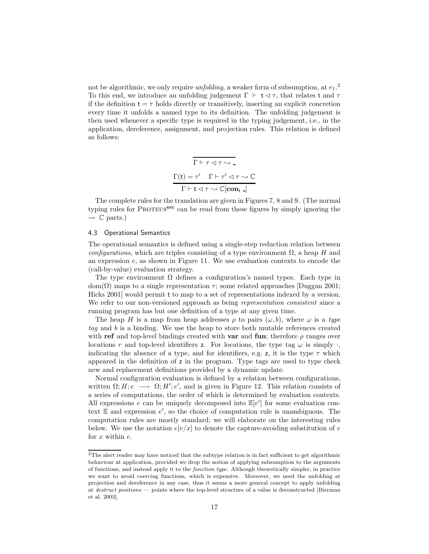not be algorithmic, we only require *unfolding*, a weaker form of subsumption, at  $e_1$ .<sup>2</sup> To this end, we introduce an unfolding judgement  $\Gamma \vdash t \triangleleft \tau$ , that relates t and  $\tau$ if the definition  $t = \tau$  holds directly or transitively, inserting an explicit concretion every time it unfolds a named type to its definition. The unfolding judgement is then used whenever a specific type is required in the typing judgement, i.e., in the application, dereference, assignment, and projection rules. This relation is defined as follows:

$$
\Gamma \vdash \tau \lhd \tau \leadsto \_
$$
\n
$$
\Gamma(t) = \tau' \quad \Gamma \vdash \tau' \lhd \tau \leadsto \mathbb{C}
$$
\n
$$
\Gamma \vdash t \lhd \tau \leadsto \mathbb{C}[\textbf{con}_{t-}]
$$

The complete rules for the translation are given in Figures 7, 8 and 9. (The normal typing rules for PROTEUS<sup>STC</sup> can be read from these figures by simply ignoring the  $\rightsquigarrow \mathbb{C}$  parts.)

#### 4.3 Operational Semantics

The operational semantics is defined using a single-step reduction relation between configurations, which are triples consisting of a type environment  $\Omega$ , a heap H and an expression  $e$ , as shown in Figure 11. We use evaluation contexts to encode the (call-by-value) evaluation strategy.

The type environment  $\Omega$  defines a configuration's named types. Each type in  $dom(\Omega)$  maps to a single representation  $\tau$ ; some related approaches [Duggan 2001; Hicks 2001] would permit t to map to a set of representations indexed by a version. We refer to our non-versioned approach as being *representation consistent* since a running program has but one definition of a type at any given time.

The heap H is a map from heap addresses  $\rho$  to pairs  $(\omega, b)$ , where  $\omega$  is a type tag and b is a binding. We use the heap to store both mutable references created with ref and top-level bindings created with var and fun; therefore  $\rho$  ranges over locations r and top-level identifiers z. For locations, the type tag  $\omega$  is simply  $\cdot$ , indicating the absence of a type, and for identifiers, e.g. z, it is the type  $\tau$  which appeared in the definition of z in the program. Type tags are used to type check new and replacement definitions provided by a dynamic update.

Normal configuration evaluation is defined by a relation between configurations, written  $\Omega; H; e \longrightarrow \Omega; H'; e',$  and is given in Figure 12. This relation consists of a series of computations, the order of which is determined by evaluation contexts. All expressions  $e$  can be uniquely decomposed into  $\mathbb{E}[e']$  for some evaluation context  $E$  and expression  $e'$ , so the choice of computation rule is unambiguous. The computation rules are mostly standard; we will elaborate on the interesting rules below. We use the notation  $e[v/x]$  to denote the capture-avoiding substitution of v for  $x$  within  $e$ .

<sup>2</sup>The alert reader may have noticed that the subtype relation is in fact sufficient to get algorithmic behaviour at application, provided we drop the notion of applying subsumption to the arguments of functions, and instead apply it to the function type. Although theoretically simpler, in practice we want to avoid coercing functions, which is expensive. Moreover, we need the unfolding at projection and dereference in any case, thus it seems a more general concept to apply unfolding at destruct positions — points where the top-level structure of a value is deconstructed [Bierman et al. 2003].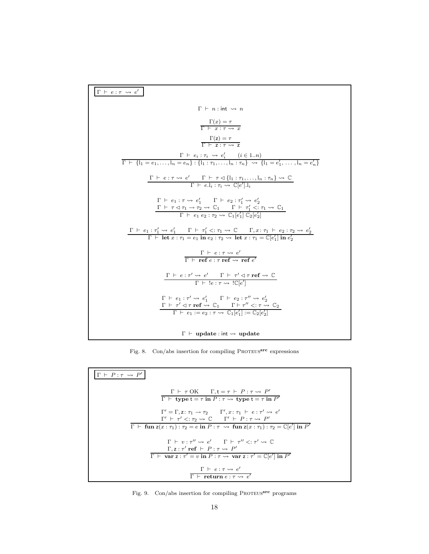$$
\Gamma + e : \tau \rightsquigarrow e'
$$
\n
$$
\Gamma + n : \text{int} \rightsquigarrow n
$$
\n
$$
\frac{\Gamma(x) = \tau}{\Gamma + x : \tau \rightsquigarrow x}
$$
\n
$$
\frac{\Gamma(z) = \tau}{\Gamma + z : \tau \rightsquigarrow z}
$$
\n
$$
\frac{\Gamma + e_i : \tau_i \rightsquigarrow e_i'}{\Gamma + \{1\} = e_1, \dots, I_n = e_n\} : \{1 : \tau_1, \dots, I_n : \tau_n\} \rightsquigarrow \{1\} = e'_1, \dots, I_n = e'_n\}
$$
\n
$$
\frac{\Gamma + e : \tau \rightsquigarrow e' - \Gamma + \tau \triangleleft \{1 : \tau_1, \dots, I_n : \tau_n\} \rightsquigarrow \mathbb{C}}{\Gamma + e_1 : \tau_i \rightsquigarrow \mathbb{C}[e'] \mathbb{I}_i}
$$
\n
$$
\frac{\Gamma + e_1 : \tau \rightsquigarrow e'_1 - \Gamma + e_2 : \tau'_1 \rightsquigarrow e'_2}{\Gamma + e_1 e_2 : \tau_2 \rightsquigarrow \mathbb{C}_1 \mathbb{C}[e'_1] \mathbb{C}_2[e'_2]}
$$
\n
$$
\frac{\Gamma + e_1 : \tau'_1 \rightsquigarrow e'_1 - \Gamma + \tau'_1 < \tau_1 \rightsquigarrow \mathbb{C} - \Gamma, x : \tau_1 + e_2 : \tau_2 \rightsquigarrow e'_2}{\Gamma + e_1 e_2 : \tau_2 \rightsquigarrow \mathbb{C}[e'_1] \mathbb{C}_2[e'_2]}
$$
\n
$$
\frac{\Gamma + e : \tau \rightsquigarrow e'}{\Gamma + \text{ref} e : \tau \text{ref}} \rightsquigarrow \text{ref} e'
$$
\n
$$
\frac{\Gamma + e : \tau' \rightsquigarrow e' - \Gamma + \tau' \triangleleft \tau \text{ref} \rightsquigarrow \mathbb{C}}{\Gamma + e_1 : \tau' \rightsquigarrow e'_1 - \Gamma + e_2 : \tau'' \rightsquigarrow e'_2}
$$
\n
$$
\frac{\Gamma + e_1 : \tau' \rightsquigarrow e'_1 - \Gamma + e_2 : \tau'' \rightsquigarrow e'_2}{\Gamma + e_1 : \tau \rightsquigarrow \mathbb{C}[e']}
$$
\n
$$
\frac{\Gamma + e_1 : \tau' \rightsquigarrow e'_1 - \Gamma + e_
$$

Fig. 8.  $Con/abs$  insertion for compiling PROTEUS<sup>Src</sup> expressions

| $\Gamma \vdash P : \tau \leadsto P'$                                                                                                                                                                                                                                                                                                                                                         |
|----------------------------------------------------------------------------------------------------------------------------------------------------------------------------------------------------------------------------------------------------------------------------------------------------------------------------------------------------------------------------------------------|
| $\Gamma \vdash \tau$ OK $\Gamma, t = \tau \vdash P : \tau \leadsto P'$<br>$\Gamma$ + type t = $\tau$ in P : $\tau \rightsquigarrow$ type t = $\tau$ in P'                                                                                                                                                                                                                                    |
| $\Gamma' = \Gamma, z: \tau_1 \rightarrow \tau_2$ $\Gamma', x: \tau_1 \vdash e: \tau' \rightsquigarrow e'$<br>$\Gamma' \vdash \tau' \leq \tau_2 \rightsquigarrow \mathbb{C}$ $\Gamma' \vdash P : \tau \rightsquigarrow P'$<br>$\Gamma \vdash \textbf{fun } z(x : \tau_1) : \tau_2 = e \textbf{ in } P : \tau \leadsto \textbf{fun } z(x : \tau_1) : \tau_2 = \mathbb{C}[e'] \textbf{ in } P'$ |
| $\Gamma \vdash v : \tau'' \leadsto e'$ $\Gamma \vdash \tau'' \lt : \tau' \leadsto \mathbb{C}$<br>$\Gamma$ , z : $\tau'$ ref $\vdash P : \tau \leadsto P'$<br>$\Gamma \vdash \text{var } z : \tau' = v \text{ in } P : \tau \leadsto \text{var } z : \tau' = \mathbb{C}[e'] \text{ in } P'$                                                                                                   |
| $\Gamma \vdash e : \tau \leadsto e'$<br>$\overline{\Gamma}$ + return $e: \tau \rightsquigarrow e'$                                                                                                                                                                                                                                                                                           |

Fig. 9.  $Con/abs$  insertion for compiling PROTEUS $^{\rm src}$  programs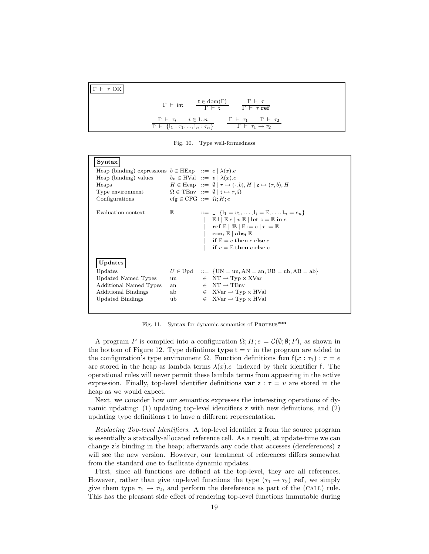| $\Gamma \vdash \tau$ OK |                                                                                                                                                                                           |  |
|-------------------------|-------------------------------------------------------------------------------------------------------------------------------------------------------------------------------------------|--|
|                         | $\Gamma \vdash \mathsf{int} \qquad \frac{\mathbf{t} \in \mathrm{dom}(\Gamma)}{\Gamma + \mathbf{t}} \qquad \frac{\Gamma \vdash \tau}{\Gamma \vdash \tau \mathbf{ref}}$                     |  |
|                         | $\Gamma \vdash \tau_i \quad i \in 1n \quad \Gamma \vdash \tau_1 \quad \Gamma \vdash \tau_2$<br>$\Gamma \vdash \{l_1 : \tau_1, , l_n : \tau_n\}$ $\Gamma \vdash \tau_1 \rightarrow \tau_2$ |  |

Fig. 10. Type well-formedness

| Syntax                                                                                                                                                                                 |                                             |                                                                                                                                                                                                                                                                                                                                                                                                            |
|----------------------------------------------------------------------------------------------------------------------------------------------------------------------------------------|---------------------------------------------|------------------------------------------------------------------------------------------------------------------------------------------------------------------------------------------------------------------------------------------------------------------------------------------------------------------------------------------------------------------------------------------------------------|
| Heap (binding) expressions $b \in \text{HExp}$ : $= e \mid \lambda(x) e$<br>Heap (binding) values $b_v \in HVal := v \mid \lambda(x).e$<br>Heaps<br>Type environment<br>Configurations | $\text{cfg} \in \text{CFG} :: \Omega; H; e$ | $H \in \text{Heap} :: = \emptyset \mid r \mapsto (\cdot, b), H \mid z \mapsto (\tau, b), H$<br>$\Omega \in \text{TEM}$ ::= $\emptyset$   $t \mapsto \tau, \Omega$                                                                                                                                                                                                                                          |
| Evaluation context                                                                                                                                                                     | E                                           | $ ::= \bot   \{l_1 = v_1, \ldots, l_i = \mathbb{E}, \ldots, l_n = e_n \}$<br>$\mathbb{E}.\mathbb{I}   \mathbb{E} e   v \mathbb{E}   \textbf{let } z = \mathbb{E} \textbf{in } e$<br>$\mathbf{ref} \mathbb{E}   \mathbb{E}   \mathbb{E} := e   r := \mathbb{E}$<br>$\mathbf{con}_{t} \mathbb{E} \mid \mathbf{abs}_{t} \mathbb{E}$<br>if $\mathbb{E} = e$ then e else e<br>if $v = \mathbb{E}$ then e else e |
| <b>Updates</b><br>Updates<br>Updated Named Types<br>Additional Named Types<br>Additional Bindings<br><b>Updated Bindings</b>                                                           | un<br>an<br>ab<br>ub                        | $U \in \text{Upd}$ ::= $\{ \text{UN} = \text{un, AN} = \text{an}, \text{UB} = \text{ub}, \text{AB} = \text{ab} \}$<br>$\in$ NT $\rightarrow$ Typ $\times$ XVar<br>$\in$ NT $\rightarrow$ TEnv<br>$\in$ XVar $\rightarrow$ Typ $\times$ HVal<br>$\in$ XVar $\rightarrow$ Typ $\times$ HVal                                                                                                                  |

Fig. 11. Syntax for dynamic semantics of PROTEUS<sup>con</sup>

A program P is compiled into a configuration  $\Omega; H; e = \mathcal{C}(\emptyset; \emptyset; P)$ , as shown in the bottom of Figure 12. Type defintions **type**  $t = \tau$  in the program are added to the configuration's type environment  $\Omega$ . Function definitions fun  $f(x : \tau_1) : \tau = e$ are stored in the heap as lambda terms  $\lambda(x)$ .e indexed by their identifier f. The operational rules will never permit these lambda terms from appearing in the active expression. Finally, top-level identifier definitions var  $z : \tau = v$  are stored in the heap as we would expect.

Next, we consider how our semantics expresses the interesting operations of dynamic updating: (1) updating top-level identifiers z with new definitions, and (2) updating type definitions t to have a different representation.

Replacing Top-level Identifiers. A top-level identifier z from the source program is essentially a statically-allocated reference cell. As a result, at update-time we can change z's binding in the heap; afterwards any code that accesses (dereferences) z will see the new version. However, our treatment of references differs somewhat from the standard one to facilitate dynamic updates.

First, since all functions are defined at the top-level, they are all references. However, rather than give top-level functions the type  $(\tau_1 \rightarrow \tau_2)$  ref, we simply give them type  $\tau_1 \rightarrow \tau_2$ , and perform the dereference as part of the (CALL) rule. This has the pleasant side effect of rendering top-level functions immutable during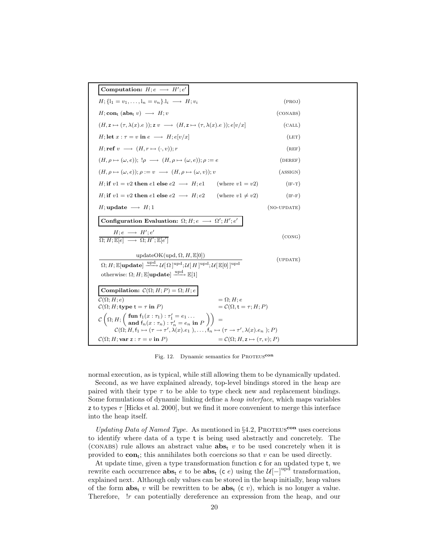| Computation: $H; e \longrightarrow H'; e'$                                                                                                                                                                                                                                                                                                                            |                                                            |                            |  |
|-----------------------------------------------------------------------------------------------------------------------------------------------------------------------------------------------------------------------------------------------------------------------------------------------------------------------------------------------------------------------|------------------------------------------------------------|----------------------------|--|
| $H: \{l_1 = v_1, \ldots, l_n = v_n\}.$                                                                                                                                                                                                                                                                                                                                |                                                            | (PROJ)                     |  |
| $H$ ; con <sub>t</sub> (abs <sub>t</sub> v) $\longrightarrow$ $H$ ; v                                                                                                                                                                                                                                                                                                 |                                                            | $\left($ CONABS $\right)$  |  |
| $(H, z \mapsto (\tau, \lambda(x), e))$ ; z $v \longrightarrow (H, z \mapsto (\tau, \lambda(x), e))$ ; $e[v/x]$                                                                                                                                                                                                                                                        |                                                            | (CALL)                     |  |
| <i>H</i> ; let $x : \tau = v$ in $e \longrightarrow H$ ; $e[v/x]$                                                                                                                                                                                                                                                                                                     |                                                            | (LET)                      |  |
| H; ref $v \longrightarrow (H, r \mapsto (\cdot, v))$ ; r                                                                                                                                                                                                                                                                                                              |                                                            | (REF)                      |  |
| $(H, \rho \mapsto (\omega, e)); \ \underline{!}\rho \longrightarrow (H, \rho \mapsto (\omega, e)); \rho := e$                                                                                                                                                                                                                                                         |                                                            | (DEREF)                    |  |
| $(H, \rho \mapsto (\omega, e))$ ; $\rho := v \longrightarrow (H, \rho \mapsto (\omega, v))$ ; v                                                                                                                                                                                                                                                                       |                                                            | (ASSIGN)                   |  |
| <i>H</i> ; if $v1 = v2$ then $e1$ else $e2 \rightarrow H$ ; $e1$ (where $v1 = v2$ )                                                                                                                                                                                                                                                                                   |                                                            | $(IF-T)$                   |  |
| <i>H</i> ; if $v1 = v2$ then $e1$ else $e2 \rightarrow H$ ; $e2$ (where $v1 \neq v2$ )                                                                                                                                                                                                                                                                                |                                                            | $(IF-F)$                   |  |
| H; update $\longrightarrow$ H; 1                                                                                                                                                                                                                                                                                                                                      |                                                            | $(NO-UPDATE)$              |  |
| Configuration Evaluation: $\Omega; H; e \longrightarrow \Omega'; H'; e'$                                                                                                                                                                                                                                                                                              |                                                            |                            |  |
| $H; e \longrightarrow H'; e'$<br>$\overline{\Omega; H; \mathbb{E}[e] \longrightarrow \Omega; H'; \mathbb{E}[e']}$                                                                                                                                                                                                                                                     |                                                            | $\left(\text{CONG}\right)$ |  |
| updateOK(upd, $\Omega$ , H, $\mathbb{E}[0]$ )<br>$\Omega; H; \mathbb{E}[\textbf{update}] \xrightarrow{\textbf{upd}} U[\Omega]^{\textbf{upd}}; \mathcal{U}[H]^{\textbf{upd}}; \mathcal{U}[\mathbb{E}[0]]^{\textbf{upd}}$<br>otherwise: $\Omega$ ; $H$ ; $\mathbb{E}[\textbf{update}] \xrightarrow{\textbf{upd}} \mathbb{E}[1]$                                         |                                                            | $(\text{UPDATE})$          |  |
| Compilation: $\mathcal{C}(\Omega; H; P) = \Omega; H; e$                                                                                                                                                                                                                                                                                                               |                                                            |                            |  |
| $\mathcal{C}(\Omega; H; e)$<br>$C(\Omega; H; \text{type } t = \tau \text{ in } P)$                                                                                                                                                                                                                                                                                    | $=\Omega$ : H: e<br>$=\mathcal{C}(\Omega, t = \tau; H; P)$ |                            |  |
| $\mathcal{C}\left(\Omega; H; \left(\begin{array}{c} \textbf{fun}\; \mathsf{f}_1(x:\tau_1):\tau_1'=e_1\ldots\ \textbf{and}\; \mathsf{f}_n(x:\tau_n):\tau_n'=e_n\; \textbf{in}\; P\end{array}\right)\right) \;=\;$<br>$\mathcal{C}(\Omega; H, \mathsf{f}_1 \mapsto (\tau \to \tau', \lambda(x).e_1), \ldots, \mathsf{f}_n \mapsto (\tau \to \tau', \lambda(x).e_n); P)$ |                                                            |                            |  |
| $\mathcal{C}(\Omega; H; \textbf{var } z : \tau = v \textbf{ in } P)$                                                                                                                                                                                                                                                                                                  | $=\mathcal{C}(\Omega; H, z \mapsto (\tau, v); P)$          |                            |  |

Fig. 12. Dynamic semantics for PROTEUS<sup>con</sup>

normal execution, as is typical, while still allowing them to be dynamically updated.

Second, as we have explained already, top-level bindings stored in the heap are paired with their type  $\tau$  to be able to type check new and replacement bindings. Some formulations of dynamic linking define a heap interface, which maps variables z to types  $\tau$  [Hicks et al. 2000], but we find it more convenient to merge this interface into the heap itself.

Updating Data of Named Type. As mentioned in  $\S 4.2$ , PROTEUS<sup>con</sup> uses coercions to identify where data of a type t is being used abstractly and concretely. The (CONABS) rule allows an abstract value  $\mathbf{abs}_{t}$  v to be used concretely when it is provided to  $con_{t}$ ; this annihilates both coercions so that v can be used directly.

At update time, given a type transformation function c for an updated type t, we rewrite each occurrence **abs**<sub>t</sub> e to be **abs**<sub>t</sub> (c e) using the  $\mathcal{U}[-]^{upd}$  transformation, explained next. Although only values can be stored in the heap initially, heap values of the form  $\mathbf{abs}_t$  v will be rewritten to be  $\mathbf{abs}_t$  (c v), which is no longer a value. Therefore, Ir can potentially dereference an expression from the heap, and our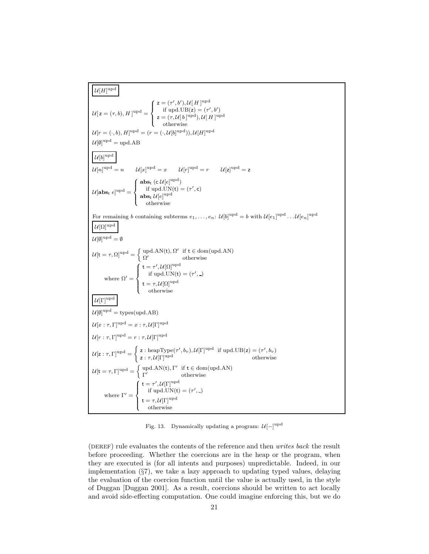U[H] upd U[ z = (τ, b), H ] upd = 8 >>< >>: z = (τ ′ , b′ ), U[ H ] upd if upd.UB(z) = (τ ′ , b′ ) z = (τ, U[ b ] upd), U[ H ] upd otherwise U[r = (·, b), H] upd = (r = (·, U[b] upd)), U[H] upd U[∅] upd = upd.AB U[b] upd U[n] upd = n U[x] upd = x U[r] upd = r U[z] upd = z U[abst e] upd = 8 >>< >>: abst (c U[e] upd) if upd.UN(t) = (τ ′ , c) abst U[e] upd otherwise For remaining b containing subterms e1, . . . , en: U[b] upd = b with U[e1] upd . . . U[en] upd U[Ω]upd U[∅] upd = ∅ U[t = τ, Ω]upd = upd.AN(t), Ω′ if t ∈ dom(upd.AN) Ω′ otherwise where Ω′ = 8 >>>< >>>: t = τ ′ , U[Ω]upd if upd.UN(t) = (τ ′ , ) t = τ, U[Ω]upd otherwise U[Γ]upd U[∅] upd = types(upd.AB) U[x : τ, Γ]upd = x : τ, U[Γ]upd U[r : τ, Γ]upd = r : τ, U[Γ]upd U[z : τ, Γ]upd = ( z : heapType(τ ′ , bv), U[Γ]upd if upd.UB(z) = (τ ′ , bv) z : τ, U[Γ]upd otherwise U[t = τ, Γ]upd = upd.AN(t), Γ ′ if t ∈ dom(upd.AN) Γ ′ otherwise where Γ′ = 8 >>>< >>>: t = τ ′ , U[Γ]upd if upd.UN(t) = (τ ′ , ) t = τ, U[Γ]upd otherwise

Fig. 13. Dynamically updating a program:  $\mathcal{U}[-]^{\text{upd}}$ 

 $(DEF)$  rule evaluates the contents of the reference and then *writes back* the result before proceeding. Whether the coercions are in the heap or the program, when they are executed is (for all intents and purposes) unpredictable. Indeed, in our implementation (§7), we take a lazy approach to updating typed values, delaying the evaluation of the coercion function until the value is actually used, in the style of Duggan [Duggan 2001]. As a result, coercions should be written to act locally and avoid side-effecting computation. One could imagine enforcing this, but we do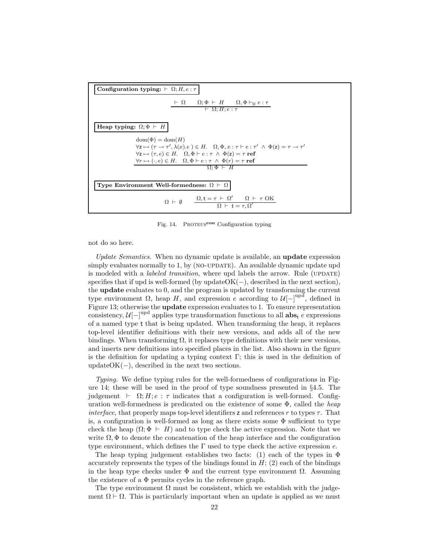

Fig. 14. PROTEUS<sup>con</sup> Configuration typing

not do so here.

Update Semantics. When no dynamic update is available, an **update** expression simply evaluates normally to 1, by (NO-UPDATE). An available dynamic update upd is modeled with a *labeled transition*, where upd labels the arrow. Rule (UPDATE) specifies that if upd is well-formed (by update $OK(-)$ , described in the next section), the update evaluates to 0, and the program is updated by transforming the current type environment  $\Omega$ , heap H, and expression e according to  $\mathcal{U}[-]^{upd}$ , defined in Figure 13; otherwise the update expression evaluates to 1. To ensure representation consistency,  $U[-]^{upd}$  applies type transformation functions to all  $\mathbf{abs}_{t}$  e expressions of a named type t that is being updated. When transforming the heap, it replaces top-level identifier definitions with their new versions, and adds all of the new bindings. When transforming  $\Omega$ , it replaces type definitions with their new versions, and inserts new definitions into specified places in the list. Also shown in the figure is the definition for updating a typing context  $\Gamma$ ; this is used in the definition of  $updateOK(-)$ , described in the next two sections.

Typing. We define typing rules for the well-formedness of configurations in Figure 14; these will be used in the proof of type soundness presented in §4.5. The judgement  $\vdash \Omega; H; e : \tau$  indicates that a configuration is well-formed. Configuration well-formedness is predicated on the existence of some  $\Phi$ , called the heap *interface*, that properly maps top-level identifiers z and references r to types  $\tau$ . That is, a configuration is well-formed as long as there exists some  $\Phi$  sufficient to type check the heap  $(\Omega; \Phi \vdash H)$  and to type check the active expression. Note that we write  $\Omega, \Phi$  to denote the concatenation of the heap interface and the configuration type environment, which defines the  $\Gamma$  used to type check the active expression  $e$ .

The heap typing judgement establishes two facts: (1) each of the types in  $\Phi$ accurately represents the types of the bindings found in  $H$ ; (2) each of the bindings in the heap type checks under  $\Phi$  and the current type environment  $\Omega$ . Assuming the existence of a  $\Phi$  permits cycles in the reference graph.

The type environment  $\Omega$  must be consistent, which we establish with the judgement  $\Omega \vdash \Omega$ . This is particularly important when an update is applied as we must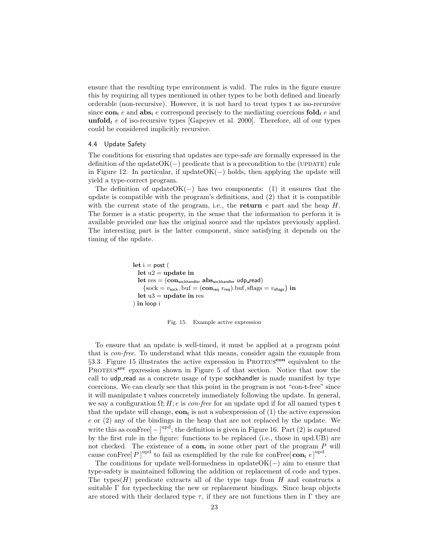ensure that the resulting type environment is valid. The rules in the figure ensure this by requiring all types mentioned in other types to be both defined and linearly orderable (non-recursive). However, it is not hard to treat types t as iso-recursive since  $\textbf{con}_{t} e$  and  $\textbf{abs}_{t} e$  correspond precisely to the mediating coercions  $\textbf{fold}_{t} e$  and **unfold**<sub>t</sub> e of iso-recursive types [Gapeyev et al. 2000]. Therefore, all of our types could be considered implicitly recursive.

#### 4.4 Update Safety

The conditions for ensuring that updates are type-safe are formally expressed in the definition of the update $OK(-)$  predicate that is a precondition to the (UPDATE) rule in Figure 12. In particular, if update $OK(-)$  holds, then applying the update will yield a type-correct program.

The definition of updateOK( $-$ ) has two components: (1) it ensures that the update is compatible with the program's definitions, and (2) that it is compatible with the current state of the program, i.e., the return  $e$  part and the heap  $H$ . The former is a static property, in the sense that the information to perform it is available provided one has the original source and the updates previously applied. The interesting part is the latter component, since satisfying it depends on the timing of the update.

```
let i = post (let u2 = update in
  let res = (con_{sockhandler} abs_{sockhandler} udp\_read)\{\text{sock} = v_{\text{sock}}, \text{buf} = (\text{con}_{\text{req}} v_{\text{req}}). \text{buf}, \text{slags} = v_{\text{slags}}\} in
  let u3 = update in res
) in loop i
```


To ensure that an update is well-timed, it must be applied at a program point that is con-free. To understand what this means, consider again the example from  $\S 3.3.$  Figure 15 illustrates the active expression in PROTEUS<sup>con</sup> equivalent to the PROTEUS<sup>src</sup> epxression shown in Figure 5 of that section. Notice that now the call to udp\_read as a concrete usage of type sockhandler is made manifest by type coercions. We can clearly see that this point in the program is not "con-t-free" since it will manipulate t values concretely immediately following the update. In general, we say a configuration  $\Omega$ ; H; e is con-free for an update upd if for all named types t that the update will change,  $con_{t}$  is not a subexpression of (1) the active expression e or (2) any of the bindings in the heap that are not replaced by the update. We write this as conFree $[-]^{upd}$ ; the definition is given in Figure 16. Part (2) is captured by the first rule in the figure: functions to be replaced (i.e., those in upd.UB) are not checked. The existence of a  $con<sub>t</sub>$  in some other part of the program P will cause conFree $[P]$ <sup>upd</sup> to fail as exemplified by the rule for conFree  $\left[\text{con}_{t} e\right]$ <sup>upd</sup>.

The conditions for update well-formedness in update $OK(-)$  aim to ensure that type-safety is maintained following the addition or replacement of code and types. The types( $H$ ) predicate extracts all of the type tags from  $H$  and constructs a suitable  $\Gamma$  for typechecking the new or replacement bindings. Since heap objects are stored with their declared type  $\tau$ , if they are not functions then in  $\Gamma$  they are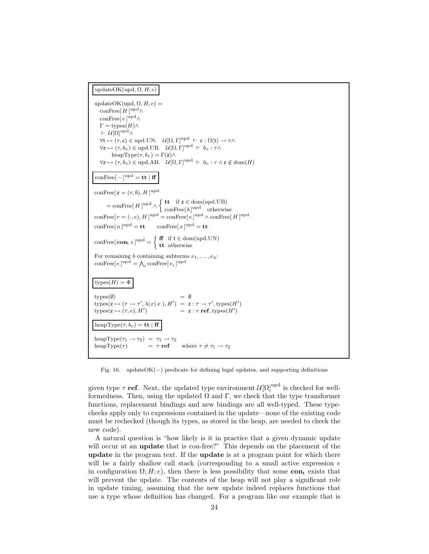updateOK(upd,  $\Omega$ ,  $H$ ,  $e$ )

updateOK(upd,  $\Omega$ ,  $H$ ,  $e$ ) =  $\operatorname{conFree}[H]^{\mathrm{upd}} \wedge$  $\operatorname{conFree}[e]^{\operatorname{upd}} \wedge$  $\Gamma = \text{types}(H) \wedge$  $\vdash \mathcal{U}[\Omega]^{\mathrm{upd}} \wedge$  $\forall t \mapsto (\tau, c) \in \text{upd.UN}. \quad \mathcal{U}[\Omega, \Gamma]^{\text{upd}} \vdash c : \Omega(t) \rightarrow \tau \wedge$  $\forall z \mapsto (\tau, b_v) \in \text{upd.UB.} \quad \mathcal{U}[\Omega, \Gamma]^{\text{upd}} \vdash b_v : \tau \wedge$ heapType $(\tau, b_v) = \Gamma(z) \wedge$  $\forall z \mapsto (\tau, b_v) \in \text{upd.AB.} \quad \mathcal{U}[\Omega, \Gamma]^{\text{upd}} \vdash b_v : \tau \wedge z \notin \text{dom}(H)$  $\mathrm{cone}[-]^\mathrm{upd} = \mathbf{tt} \mid \mathbf{ff}$ conFree[ $z = (\tau, b), H$ ]<sup>upd</sup>  $=$  conFree[ H ]<sup>upd</sup>  $\wedge$   $\left\{ \begin{array}{c} \text{tt} \text{if } z \in \text{dom}(\text{upd.UB}) \\ \text{const} \text{d} \text{upd.ath...} \end{array} \right.$  $\text{conFree}[b]^{upd}$  otherwise  $\mathrm{confree}[\, r = (\cdot, e), H\, ]^{\mathrm{upd}} = \mathrm{confree}[\, e\, ]^{\mathrm{upd}} \wedge \mathrm{confree}[\, H\, ]^{\mathrm{upd}}$  $\mathrm{conFree}[\, n\,]^{\mathrm{upd}} = \mathbf{t}\mathbf{t} \qquad \mathrm{conFree}[\, x\,]^{\mathrm{upd}} = \mathbf{t}\mathbf{t}$ conFree[ $\textbf{con}_{t} e]^{upd} = \begin{cases} ff & \text{if } t \in \text{dom}(upd.UN) \\ \text{at } t & \text{otherwise} \end{cases}$ tt otherwise For remaining b containing subterms  $e_1, \ldots, e_n$ : conFree[ $e$ ]<sup>upd</sup> =  $\bigwedge_i$  conFree[ $e_i$ ]<sup>upd</sup> types $(H) = \Phi$ types( $\emptyset$ ) =  $\emptyset$  $\text{types}(z \mapsto (\tau \to \tau', \lambda(x).e), H') = z : \tau \to \tau', \text{types}(H')$ types( $z \mapsto (\tau, e), H'$ )  $= z : \tau \text{ ref}, \text{types}(H')$ heapType $(\tau, b_v) = \mathbf{tt} \mid \mathbf{ff}$ heapType( $\tau_1 \rightarrow \tau_2$ ) =  $\tau_1 \rightarrow \tau_2$ heapType( $\tau$ ) =  $\tau$  **ref** where  $\tau \neq \tau_1 \rightarrow \tau_2$ 

Fig. 16. updateOK(−) predicate for defining legal updates, and supporting definitions

given type  $\tau$  ref. Next, the updated type environment  $\mathcal{U}[\Omega]^{upd}$  is checked for wellformedness. Then, using the updated  $\Omega$  and  $\Gamma$ , we check that the type transformer functions, replacement bindings and new bindings are all well-typed. These typechecks apply only to expressions contained in the update—none of the existing code must be rechecked (though its types, as stored in the heap, are needed to check the new code).

A natural question is "how likely is it in practice that a given dynamic update will occur at an update that is con-free?" This depends on the placement of the update in the program text. If the update is at a program point for which there will be a fairly shallow call stack (corresponding to a small active expression  $e$ in configuration  $\Omega; H; e$ , then there is less possibility that some con<sub>t</sub> exists that will prevent the update. The contents of the heap will not play a significant role in update timing, assuming that the new update indeed replaces functions that use a type whose definition has changed. For a program like our example that is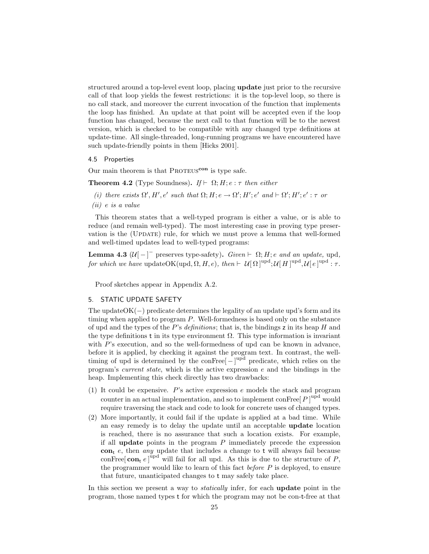structured around a top-level event loop, placing update just prior to the recursive call of that loop yields the fewest restrictions: it is the top-level loop, so there is no call stack, and moreover the current invocation of the function that implements the loop has finished. An update at that point will be accepted even if the loop function has changed, because the next call to that function will be to the newest version, which is checked to be compatible with any changed type definitions at update-time. All single-threaded, long-running programs we have encountered have such update-friendly points in them [Hicks 2001].

#### 4.5 Properties

Our main theorem is that PROTEUS<sup>con</sup> is type safe.

**Theorem 4.2** (Type Soundness). If  $\vdash \Omega; H; e : \tau$  then either

- (i) there exists  $\Omega', H', e'$  such that  $\Omega; H; e \to \Omega'; H'; e'$  and  $\vdash \Omega'; H'; e' : \tau$  or
- (ii) e is a value

This theorem states that a well-typed program is either a value, or is able to reduce (and remain well-typed). The most interesting case in proving type preservation is the (Update) rule, for which we must prove a lemma that well-formed and well-timed updates lead to well-typed programs:

**Lemma 4.3**  $(U[-]$ <sup>-</sup> preserves type-safety). Given  $\vdash \Omega$ ; H; e and an update, upd, for which we have updateOK(upd,  $\Omega$ ,  $H$ ,  $e$ ), then  $\vdash \mathcal{U}[\Omega]^{\text{upd}}$ ;  $\mathcal{U}[H]^{\text{upd}}$ ,  $\mathcal{U}[e]^{\text{upd}}$ :  $\tau$ .

Proof sketches appear in Appendix A.2.

## 5. STATIC UPDATE SAFETY

The update $OK(-)$  predicate determines the legality of an update upd's form and its timing when applied to program  $P$ . Well-formedness is based only on the substance of upd and the types of the P's definitions; that is, the bindings z in its heap  $H$  and the type definitions t in its type environment  $\Omega$ . This type information is invariant with P's execution, and so the well-formedness of upd can be known in advance, before it is applied, by checking it against the program text. In contrast, the welltiming of upd is determined by the conFree $\left[-\right]^{upd}$  predicate, which relies on the program's *current state*, which is the active expression  $e$  and the bindings in the heap. Implementing this check directly has two drawbacks:

- (1) It could be expensive.  $P$ 's active expression  $e$  models the stack and program counter in an actual implementation, and so to implement conFree[ $P$ ]<sup>upd</sup> would require traversing the stack and code to look for concrete uses of changed types.
- (2) More importantly, it could fail if the update is applied at a bad time. While an easy remedy is to delay the update until an acceptable update location is reached, there is no assurance that such a location exists. For example, if all **update** points in the program  $P$  immediately precede the expression  $\textbf{con}_{t}$  e, then any update that includes a change to t will always fail because conFree  $\left[\text{con}_{t} e\right]^{\text{upd}}$  will fail for all upd. As this is due to the structure of P, the programmer would like to learn of this fact before  $P$  is deployed, to ensure that future, unanticipated changes to t may safely take place.

In this section we present a way to statically infer, for each update point in the program, those named types t for which the program may not be con-t-free at that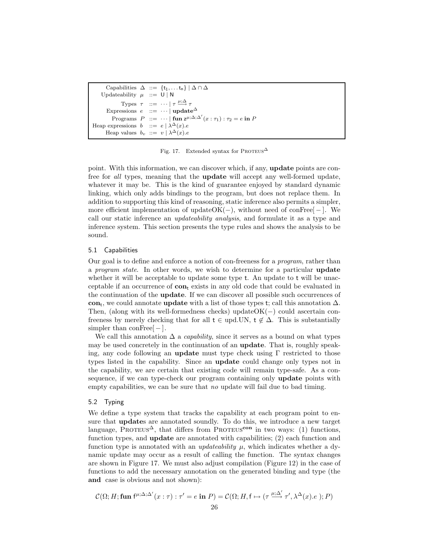```
Capabilities \Delta ::= {t<sub>1</sub>, ... t<sub>n</sub>} | \Delta \cap \DeltaUpdateability \mu ::= U | N
                  Types \tau ::= \cdots | \tau \xrightarrow{\mu; \Delta} \tauExpressions e ::= · · · | update<sup>\Delta</sup>
            Programs P ::= \cdots | \operatorname{fun} z^{\mu; \Delta; \Delta'}(x : \tau_1) : \tau_2 = e \operatorname{in} PHeap expressions b ::= e | \lambda^{\Delta}(x) . eHeap values b_v ::= v | \lambda^{\Delta}(x).e
```
Fig. 17. Extended syntax for PROTEUS<sup>△</sup>

point. With this information, we can discover which, if any, **update** points are confree for all types, meaning that the **update** will accept any well-formed update, whatever it may be. This is the kind of guarantee enjoyed by standard dynamic linking, which only adds bindings to the program, but does not replace them. In addition to supporting this kind of reasoning, static inference also permits a simpler, more efficient implementation of update $OK(-)$ , without need of conFree $[-]$ . We call our static inference an updateability analysis, and formulate it as a type and inference system. This section presents the type rules and shows the analysis to be sound.

#### 5.1 Capabilities

Our goal is to define and enforce a notion of con-freeness for a program, rather than a program state. In other words, we wish to determine for a particular update whether it will be acceptable to update some type t. An update to t will be unacceptable if an occurrence of  $\text{con}_{t}$  exists in any old code that could be evaluated in the continuation of the **update**. If we can discover all possible such occurrences of con<sub>t</sub>, we could annotate **update** with a list of those types t; call this annotation  $\Delta$ . Then, (along with its well-formedness checks) update $OK(-)$  could ascertain confreeness by merely checking that for all  $t \in \text{upd.}$  UN,  $t \notin \Delta$ . This is substantially simpler than  $\text{conFree}[-]$ .

We call this annotation  $\Delta$  a *capability*, since it serves as a bound on what types may be used concretely in the continuation of an update. That is, roughly speaking, any code following an **update** must type check using  $\Gamma$  restricted to those types listed in the capability. Since an update could change only types not in the capability, we are certain that existing code will remain type-safe. As a consequence, if we can type-check our program containing only update points with empty capabilities, we can be sure that no update will fail due to bad timing.

#### 5.2 Typing

We define a type system that tracks the capability at each program point to ensure that updates are annotated soundly. To do this, we introduce a new target language, PROTEUS<sup> $\Delta$ </sup>, that differs from PROTEUS<sup>con</sup> in two ways: (1) functions, function types, and update are annotated with capabilities; (2) each function and function type is annotated with an *updateability*  $\mu$ , which indicates whether a dynamic update may occur as a result of calling the function. The syntax changes are shown in Figure 17. We must also adjust compilation (Figure 12) in the case of functions to add the necessary annotation on the generated binding and type (the and case is obvious and not shown):

$$
\mathcal{C}(\Omega; H; \text{fun } f^{\mu;\Delta;\Delta'}(x:\tau) : \tau' = e \text{ in } P) = \mathcal{C}(\Omega; H, f \mapsto (\tau \xrightarrow{\mu;\Delta'} \tau', \lambda^{\Delta}(x).e); P)
$$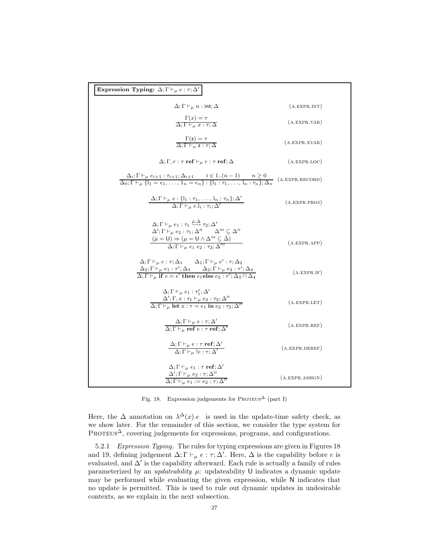| Expression Typing: $\Delta; \Gamma \vdash_{\mu} e : \tau; \Delta'$                                                                                                                                                                                                                                                                                                         |                  |  |
|----------------------------------------------------------------------------------------------------------------------------------------------------------------------------------------------------------------------------------------------------------------------------------------------------------------------------------------------------------------------------|------------------|--|
| $\Delta; \Gamma \vdash_{\mu} n : \text{int}; \Delta$                                                                                                                                                                                                                                                                                                                       | (A.EXPRINT)      |  |
| $\frac{\Gamma(x) = \tau}{\Delta: \Gamma \vdash u \ x : \tau : \Delta}$                                                                                                                                                                                                                                                                                                     | (A.EXPR.VAR)     |  |
| $\frac{\Gamma(z) = \tau}{\Delta: \Gamma \vdash_{U} z : \tau : \Delta}$                                                                                                                                                                                                                                                                                                     | (A.EXPR.XVAR)    |  |
| $\Delta; \Gamma, r : \tau \text{ ref } \vdash_{\mu} r : \tau \text{ ref}; \Delta$                                                                                                                                                                                                                                                                                          | (A.EXPR.LOC)     |  |
| $\frac{\Delta_i;\Gamma\vdash_\mu e_{i+1}:\tau_{i+1},\Delta_{i+1} \quad i\in 1(n-1)\quad n\geq 0}{\Delta_0;\Gamma\vdash_\mu \{l_1=e_1,\ldots,l_n=e_n\}:\{l_1:\tau_1,\ldots,l_n:\tau_n\};\Delta_n}$ (A.EXPR.RECORD)                                                                                                                                                          |                  |  |
| $\frac{\Delta; \Gamma \vdash_{\mu} e: \{l_1 : \tau_1, \ldots, l_n : \tau_n\}; \Delta'}{\Delta \cdot \Gamma \vdash_{\neg} e \downharpoonright : \tau_i \cdot \Delta'}$                                                                                                                                                                                                      | (A. EXPR. PROJ)  |  |
| $\Delta; \Gamma \vdash_{\mu} e_1 : \tau_1 \xrightarrow{\hat{\mu}; \Delta} \tau_2; \Delta'$<br>$\Delta'; \Gamma \vdash_{\mu} e_2 : \tau_1; \Delta'' \quad \Delta''' \subset \Delta''$<br>$\frac{(\hat{\mu} = \mathsf{U}) \Rightarrow (\mu = \mathsf{U} \wedge \Delta''' \subseteq \hat{\Delta})}{\Delta \cdot \Gamma \vdash_{\omega} e_1 e_2 \cdot \tau_2 \cdot \Delta'''}$ | (A.EXPR.APP)     |  |
| $\Delta; \Gamma \vdash_{\mu} e : \tau; \Delta_1 \quad \Delta_1; \Gamma \vdash_{\mu} e' : \tau; \Delta_2$<br>$\frac{\Delta_2; \Gamma \vdash_{\mu} e_1 : \tau'; \Delta_3 \qquad \Delta_2; \Gamma \vdash_{\mu} e_2 : \tau'; \Delta_4}{\Delta; \Gamma \vdash_{\mu} \text{ if } e = e' \text{ then } e_1 \text{ else } e_2 : \tau'; \Delta_3 \cap \Delta_4}$                    | (A.EXPR.IF)      |  |
| $\Delta; \Gamma \vdash_{\mu} e_1 : \tau'_1; \Delta'$<br>$\frac{\Delta' ; \Gamma, x : \tau_1 \vdash_{\mu} e_2 : \tau_2; \Delta''}{\Delta : \Gamma \vdash_{\mu} \text{let } x : \tau = e_1 \text{ in } e_2 : \tau_2 : \Delta''}$                                                                                                                                             | (A.EXPR.LET)     |  |
| $\frac{\Delta; \Gamma \vdash_{\mu} e : \tau; \Delta'}{\Delta; \Gamma \vdash_{\mu} \textbf{ref} e : \tau \textbf{ref}; \Delta'}$                                                                                                                                                                                                                                            | (A.EXPR.REF)     |  |
| $\frac{\Delta; \Gamma \vdash_{\mu} e : \tau \text{ ref}; \Delta'}{\Delta; \Gamma \vdash_{\mu} le : \tau : \Delta'}$                                                                                                                                                                                                                                                        | (A. EXPR. DEREF) |  |
| $\Delta; \Gamma \vdash_{\mu} e_1 : \tau \text{ ref}; \Delta'$<br>$\frac{\Delta' ; \Gamma \vdash_{\mu} e_2 : \tau ; \Delta''}{\Delta ; \Gamma \vdash_{\mu} e_1 := e_2 : \tau ; \Delta''}$                                                                                                                                                                                   | (A.EXPR.ASSIGN)  |  |

Fig. 18. Expression judgements for PROTEUS<sup> $\Delta$ </sup> (part I)

Here, the  $\Delta$  annotation on  $\lambda^{\Delta}(x)$ .e is used in the update-time safety check, as we show later. For the remainder of this section, we consider the type system for PROTEUS<sup>∆</sup>, covering judgements for expressions, programs, and configurations.

5.2.1 Expression Typing. The rules for typing expressions are given in Figures 18 and 19, defining judgement  $\Delta; \Gamma \vdash_{\mu} e : \tau; \Delta'$ . Here,  $\Delta$  is the capability before e is evaluated, and  $\Delta'$  is the capability afterward. Each rule is actually a family of rules parameterized by an *updateability*  $\mu$ : updateability U indicates a dynamic update may be performed while evaluating the given expression, while N indicates that no update is permitted. This is used to rule out dynamic updates in undesirable contexts, as we explain in the next subsection.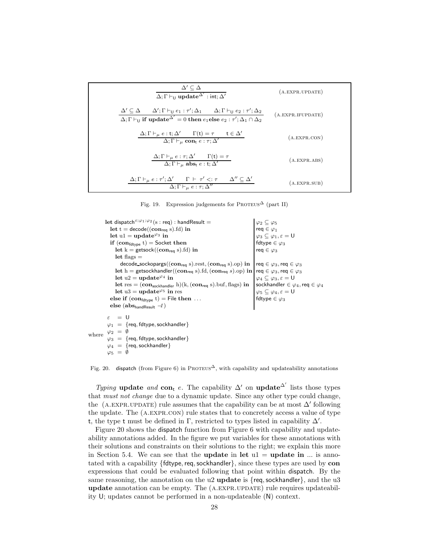| $\Delta' \subseteq \Delta$<br>$\Delta; \Gamma \vdash_{\mathsf{U}} \mathsf{update}^{\Delta'} : \mathsf{int}; \Delta'$                                                                                                                                                                                                     | (A.EXPR.UPDATE)     |
|--------------------------------------------------------------------------------------------------------------------------------------------------------------------------------------------------------------------------------------------------------------------------------------------------------------------------|---------------------|
| $\Delta' \subseteq \Delta \qquad \Delta'; \Gamma \vdash_{\mathsf{U}} e_1 \; \underline{\cdot \tau'}; \Delta_1 \qquad \Delta; \Gamma \vdash_{\mathsf{U}} e_2 : \tau'; \Delta_2$<br>$\Delta; \Gamma \vdash_{\mathsf{U}} \text{if update}^{\Delta'} = 0 \text{ then } e_1 \text{else } e_2 : \tau'; \Delta_1 \cap \Delta_2$ | (A. EXPR. IFUPDATE) |
| $\frac{\Delta; \Gamma \vdash_{\mu} e:t; \Delta' \qquad \Gamma(t) = \tau \qquad t \in \Delta'}{\Delta; \Gamma \vdash_{\mu} \textbf{con}_{t} e: \tau; \Delta'}$                                                                                                                                                            | (A.EXPR.CON)        |
| $\frac{\Delta; \Gamma \vdash_{\mu} e : \tau; \Delta' \qquad \Gamma(t) = \tau}{\Delta; \Gamma \vdash_{\mu} \mathbf{abs}_{\mathbf{t}} e : \mathbf{t}; \Delta'}$                                                                                                                                                            | (A.EXPR.ABS)        |
| $\Delta ; \Gamma \vdash_{\mu} e : \tau' ; \Delta' \qquad \Gamma \;\vdash\; \tau' < : \tau \qquad \Delta'' \subseteq \Delta'$<br>$\Delta; \Gamma \vdash_{\mu} e : \tau; \Delta''$                                                                                                                                         | (A.EXPR.SUB)        |

Fig. 19. Expression judgements for PROTEUS<sup> $\Delta$ </sup> (part II)

|                                             | let dispatch <sup><math>\varepsilon</math>;<math>\varphi_1</math>;<math>\varphi_2</math>(s : req) : handResult =</sup>            | $\varphi_2 \subseteq \varphi_5$                           |
|---------------------------------------------|-----------------------------------------------------------------------------------------------------------------------------------|-----------------------------------------------------------|
|                                             | let $t = decode((con_{req} s).fd)$ in                                                                                             | req $\in \varphi_1$                                       |
|                                             | let $u1 = update^{\varphi_3}$ in                                                                                                  | $\varphi_3 \subseteq \varphi_1, \varepsilon = \mathsf{U}$ |
|                                             | if $(\text{con}_{\text{fdtvne}} t) =$ Socket then                                                                                 | fdtype $\in \varphi_3$                                    |
|                                             | let $k = getsock((con_{req} s).fd)$ in                                                                                            | req $\in \varphi_3$                                       |
|                                             | $let \, \text{flags} =$                                                                                                           |                                                           |
|                                             | decode_sockopargs((con <sub>req</sub> s).rest, (con <sub>req</sub> s).op) in $ $ req $\in \varphi_3$ , req $\in \varphi_3$        |                                                           |
|                                             | let h = getsockhandler((con <sub>req</sub> s).fd, (con <sub>req</sub> s).op) in $\vert$ req $\in \varphi_3$ , req $\in \varphi_3$ |                                                           |
|                                             | let $u2 = \text{update}^{\varphi_4}$ in                                                                                           | $\varphi_4 \subset \varphi_3, \varepsilon = 0$            |
|                                             | <b>let</b> res = $(\mathbf{con}_{\text{sockhandler}} h)(k, (\mathbf{con}_{\text{rea}} s). \text{buf}, \text{flags})$ in           | sockhandler $\in \varphi_4$ , req $\in \varphi_4$         |
| let $u3 = \text{update}^{\varphi_5}$ in res |                                                                                                                                   | $\varphi_5 \subseteq \varphi_4, \varepsilon = \mathsf{U}$ |
|                                             | else if $(\text{con}_{\text{fdtvpe}} t) =$ File then                                                                              | fdtype $\in \varphi_3$                                    |
|                                             | else (abs <sub>handResult</sub> $-1$ )                                                                                            |                                                           |
|                                             | $\varepsilon = U$                                                                                                                 |                                                           |
|                                             | $\varphi_1 = \{ \text{req}, \text{fdtype}, \text{sockhandler} \}$                                                                 |                                                           |
| where                                       | $\varphi_2 = \emptyset$                                                                                                           |                                                           |
|                                             | $\varphi_3 = \{ \text{req}, \text{fdtype}, \text{sockhandler} \}$                                                                 |                                                           |
|                                             | $\varphi_4 = \{ \text{req}, \text{sockhandler} \}$                                                                                |                                                           |
|                                             | $\varphi_5 = \emptyset$                                                                                                           |                                                           |

Fig. 20. dispatch (from Figure 6) in PROTEUS<sup>△</sup>, with capability and updateability annotations

Typing update and con<sub>t</sub> e. The capability  $\Delta'$  on update<sup> $\Delta'$ </sup> lists those types that must not change due to a dynamic update. Since any other type could change, the (A.EXPR.UPDATE) rule assumes that the capability can be at most  $\Delta'$  following the update. The (A.EXPR.CON) rule states that to concretely access a value of type t, the type t must be defined in  $\Gamma$ , restricted to types listed in capability  $\Delta'$ .

Figure 20 shows the dispatch function from Figure 6 with capability and updateability annotations added. In the figure we put variables for these annotations with their solutions and constraints on their solutions to the right; we explain this more in Section 5.4. We can see that the **update** in let  $u1 =$ **update** in ... is annotated with a capability { $f$ dtype, req, sockhandler}, since these types are used by con expressions that could be evaluated following that point within dispatch. By the same reasoning, the annotation on the u2 update is  $\{req, sockhandler\}$ , and the u3 update annotation can be empty. The (A.EXPR.UPDATE) rule requires updateability U; updates cannot be performed in a non-updateable (N) context.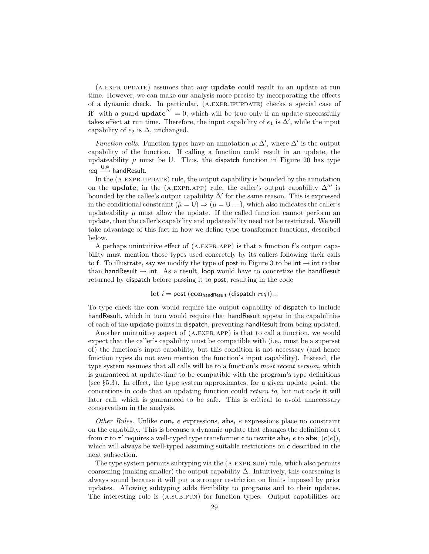(a.expr.update) assumes that any update could result in an update at run time. However, we can make our analysis more precise by incorporating the effects of a dynamic check. In particular, (a.expr.ifupdate) checks a special case of **if** with a guard **update**  $\hat{\Delta}' = 0$ , which will be true only if an update successfully takes effect at run time. Therefore, the input capability of  $e_1$  is  $\Delta'$ , while the input capability of  $e_2$  is  $\Delta$ , unchanged.

*Function calls.* Function types have an annotation  $\mu$ ;  $\Delta'$ , where  $\Delta'$  is the output capability of the function. If calling a function could result in an update, the updateability  $\mu$  must be U. Thus, the dispatch function in Figure 20 has type req  $\stackrel{\mathsf{U};\emptyset}{\longrightarrow}$  handResult.

In the  $(A.EXPR.UPDATE)$  rule, the output capability is bounded by the annotation on the update; in the (A.EXPR.APP) rule, the caller's output capability  $\Delta''''$  is bounded by the callee's output capability  $\hat{\Delta}'$  for the same reason. This is expressed in the conditional constraint  $(\hat{\mu} = U) \Rightarrow (\mu = U...)$ , which also indicates the caller's updateability  $\mu$  must allow the update. If the called function cannot perform an update, then the caller's capability and updateability need not be restricted. We will take advantage of this fact in how we define type transformer functions, described below.

A perhaps unintuitive effect of (a.expr.app) is that a function f's output capability must mention those types used concretely by its callers following their calls to f. To illustrate, say we modify the type of post in Figure 3 to be  $int \rightarrow int$  rather than handResult  $\rightarrow$  int. As a result, loop would have to concretize the handResult returned by dispatch before passing it to post, resulting in the code

# let  $i =$  post  $(\text{con}_{\text{handResult}} (\text{dispatch } \text{req}) )...$

To type check the con would require the output capability of dispatch to include handResult, which in turn would require that handResult appear in the capabilities of each of the update points in dispatch, preventing handResult from being updated.

Another unintuitive aspect of  $(A.EXPRAPP)$  is that to call a function, we would expect that the caller's capability must be compatible with (i.e., must be a superset of) the function's input capability, but this condition is not necessary (and hence function types do not even mention the function's input capability). Instead, the type system assumes that all calls will be to a function's most recent version, which is guaranteed at update-time to be compatible with the program's type definitions (see §5.3). In effect, the type system approximates, for a given update point, the concretions in code that an updating function could return to, but not code it will later call, which is guaranteed to be safe. This is critical to avoid unnecessary conservatism in the analysis.

Other Rules. Unlike con<sub>t</sub> e expressions, abs<sub>t</sub> e expressions place no constraint on the capability. This is because a dynamic update that changes the definition of t from  $\tau$  to  $\tau'$  requires a well-typed type transformer c to rewrite  $\mathbf{abs}_{\mathbf{t}} e$  to  $\mathbf{abs}_{\mathbf{t}} (\mathbf{c}(e)),$ which will always be well-typed assuming suitable restrictions on c described in the next subsection.

The type system permits subtyping via the (A.EXPR.SUB) rule, which also permits coarsening (making smaller) the output capability  $\Delta$ . Intuitively, this coarsening is always sound because it will put a stronger restriction on limits imposed by prior updates. Allowing subtyping adds flexibility to programs and to their updates. The interesting rule is  $(A.SUB.FUN)$  for function types. Output capabilities are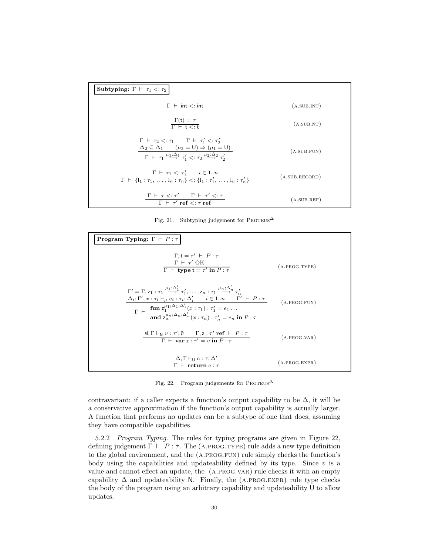| Subtyping: $\Gamma \vdash \tau_1 \langle : \tau_2 \rangle$                                                                                                                                                                                                                                            |                |  |
|-------------------------------------------------------------------------------------------------------------------------------------------------------------------------------------------------------------------------------------------------------------------------------------------------------|----------------|--|
| $\Gamma$ + int <: int                                                                                                                                                                                                                                                                                 | (A.SUBINT)     |  |
| $\frac{\Gamma(t) = \tau}{\Gamma \vdash t \leq t}$                                                                                                                                                                                                                                                     | (A.SUB.NT)     |  |
| $\Gamma \ \vdash \ \tau_2 <: \tau_1 \qquad \Gamma \ \vdash \ \tau_1' <: \tau_2'$<br>$\Delta_2 \subseteq \Delta_1 \qquad (\mu_2 = \mathsf{U}) \Rightarrow (\mu_1 = \mathsf{U})$<br>$\Gamma \vdash \tau_1 \xrightarrow{\mu_1; \Delta_1} \tau_1' \langle : \tau_2 \xrightarrow{\mu_2; \Delta_2} \tau_2'$ | (A.SUB.FUN)    |  |
| $\Gamma \vdash \tau_1 \langle : \tau'_1 \quad i \in 1n$<br>$\Gamma \vdash \{l_1 : \tau_1, \ldots, l_n : \tau_n\} \leq \{l_1 : \tau'_1, \ldots, l_n : \tau'_n\}$                                                                                                                                       | (A.SUB.RECORD) |  |
| $\Gamma \vdash \tau \langle : \tau' \quad \Gamma \vdash \tau' \langle : \tau$<br>$\Gamma \vdash \tau'$ ref $\lt: \tau$ ref                                                                                                                                                                            | (A.SUB.REF)    |  |

Fig. 21. Subtyping judgement for PROTEUS $^{\Delta}$ 

| <b>Program Typing:</b> $\Gamma \vdash P : \tau$                                                                                                                                                                                                                                                                                                                                                                                                                                                                            |               |
|----------------------------------------------------------------------------------------------------------------------------------------------------------------------------------------------------------------------------------------------------------------------------------------------------------------------------------------------------------------------------------------------------------------------------------------------------------------------------------------------------------------------------|---------------|
| $\Gamma, t = \tau' + P : \tau$<br>$\Gamma \vdash \tau'$ OK<br>$\Gamma \vdash$ type $t = \tau'$ in $P : \tau$                                                                                                                                                                                                                                                                                                                                                                                                               | (A.PROG.TYPE) |
| $\Gamma' = \Gamma, z_1 : \tau_1 \stackrel{\mu_1; \Delta'_1}{\longrightarrow} \tau'_1, \ldots, z_n : \tau_1 \stackrel{\mu_n; \Delta'_n}{\longrightarrow} \tau'_n$<br>$\Delta_i;\Gamma',x:\tau_i\vdash_{\mu} e_i:\tau_i;\Delta_i'\qquad i\in 1n\qquad \Gamma'\;\vdash\;P:\tau$<br>$\Gamma \vdash \begin{array}{c} \text{ fun } \mathsf{z}_1^{\mu_1; \Delta_1; \Delta'_1}(x:\tau_1): \tau'_1 = e_1 \dots \\ \text{ and } \mathsf{z}_n^{\mu_n; \Delta_n; \Delta'_n}(x:\tau_n): \tau'_n = e_n \text{ in } P : \tau \end{array}$ | (A.PROG.FUN)  |
| $\emptyset; \Gamma \vdash_{\mathsf{N}} v : \tau'; \emptyset \qquad \Gamma, \mathsf{z} : \tau' \text{ ref} \vdash P : \tau$<br>$\Gamma \vdash \text{var } z : \tau' = v \text{ in } P : \tau$                                                                                                                                                                                                                                                                                                                               | (A.PROG.VAR)  |
| $\Delta; \Gamma \vdash_{\Pi} e : \tau; \Delta'$<br>$\Gamma \vdash$ return $e : \tau$                                                                                                                                                                                                                                                                                                                                                                                                                                       | (A.PROG.EXPR) |

Fig. 22. Program judgements for PROTEUS<sup>△</sup>

contravariant: if a caller expects a function's output capability to be  $\Delta$ , it will be a conservative approximation if the function's output capability is actually larger. A function that performs no updates can be a subtype of one that does, assuming they have compatible capabilities.

5.2.2 Program Typing. The rules for typing programs are given in Figure 22, defining judgement  $\Gamma \vdash P : \tau$ . The (A.PROG.TYPE) rule adds a new type definition to the global environment, and the (A.PROG.FUN) rule simply checks the function's body using the capabilities and updateability defined by its type. Since  $v$  is a value and cannot effect an update, the (A.PROG.VAR) rule checks it with an empty capability  $\Delta$  and updateability N. Finally, the (A.PROG.EXPR) rule type checks the body of the program using an arbitrary capability and updateability U to allow updates.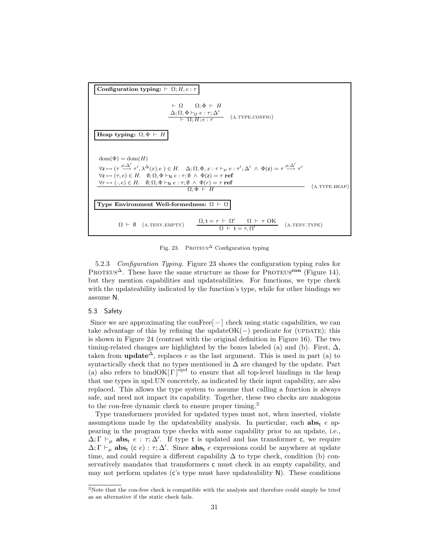

Fig. 23. PROTEUS<sup> $\Delta$ </sup> Configuration typing

5.2.3 Configuration Typing. Figure 23 shows the configuration typing rules for PROTEUS<sup> $\Delta$ </sup>. These have the same structure as those for PROTEUS<sup>con</sup> (Figure 14), but they mention capabilities and updateabilities. For functions, we type check with the updateability indicated by the function's type, while for other bindings we assume N.

#### 5.3 Safety

Since we are approximating the conFree $\left[-\right]$  check using static capabilities, we can take advantage of this by refining the update $OK(-)$  predicate for (UPDATE); this is shown in Figure 24 (contrast with the original definition in Figure 16). The two timing-related changes are highlighted by the boxes labeled (a) and (b). First,  $\Delta$ , taken from **update**<sup> $\Delta$ </sup>, replaces e as the last argument. This is used in part (a) to syntactically check that no types mentioned in  $\Delta$  are changed by the update. Part (a) also refers to bindOK[ $\Gamma$ ]<sup>upd</sup> to ensure that all top-level bindings in the heap that use types in upd.UN concretely, as indicated by their input capability, are also replaced. This allows the type system to assume that calling a function is always safe, and need not impact its capability. Together, these two checks are analogous to the con-free dynamic check to ensure proper timing.<sup>3</sup>

Type transformers provided for updated types must not, when inserted, violate assumptions made by the updateability analysis. In particular, each  $\mathbf{abs}_t e$  appearing in the program type checks with some capability prior to an update, i.e.,  $\Delta; \Gamma \vdash_{\mu} \mathbf{abs}_{\mathbf{t}} e : \tau; \Delta'$ . If type t is updated and has transformer c, we require  $\Delta; \Gamma \vdash_{\mu} \mathbf{abs}_{\mathsf{t}}$  (c e) :  $\tau; \Delta'$ . Since  $\mathbf{abs}_{\mathsf{t}}$  e expressions could be anywhere at update time, and could require a different capability  $\Delta$  to type check, condition (b) conservatively mandates that transformers c must check in an empty capability, and may not perform updates ( $\tilde{c}$ 's type must have updateability N). These conditions

<sup>3</sup>Note that the con-free check is compatible with the analysis and therefore could simply be tried as an alternative if the static check fails.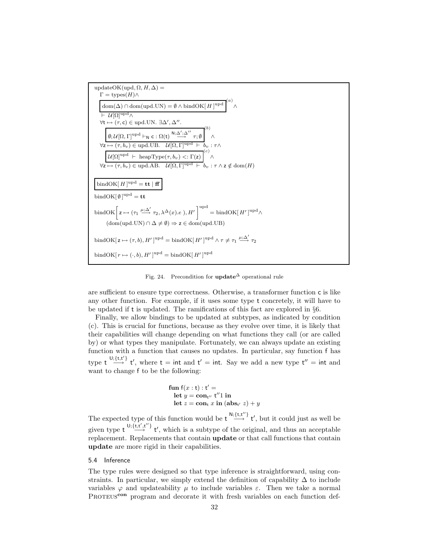

Fig. 24. Precondition for **update** $\Delta$  operational rule

are sufficient to ensure type correctness. Otherwise, a transformer function c is like any other function. For example, if it uses some type t concretely, it will have to be updated if t is updated. The ramifications of this fact are explored in  $\S6$ .

Finally, we allow bindings to be updated at subtypes, as indicated by condition (c). This is crucial for functions, because as they evolve over time, it is likely that their capabilities will change depending on what functions they call (or are called by) or what types they manipulate. Fortunately, we can always update an existing function with a function that causes no updates. In particular, say function f has type  $t \stackrel{U; \{t,t'\}}{\longrightarrow} t'$ , where  $t = int$  and  $t' = int$ . Say we add a new type  $t'' = int$  and want to change f to be the following:

$$
\begin{array}{l}\n\textbf{fun } f(x:t): t' = \\
\textbf{let } y = \textbf{con}_{t''} t''1 \textbf{ in} \\
\textbf{let } z = \textbf{con}_{t} x \textbf{ in } (\textbf{abs}_{t'} z) + y\n\end{array}
$$

The expected type of this function would be  $t \stackrel{N; \{t, t''\}}{\longrightarrow} t'$ , but it could just as well be given type  $t \stackrel{U; \{t,t',t''\}}{\longrightarrow} t'$ , which is a subtype of the original, and thus an acceptable replacement. Replacements that contain update or that call functions that contain update are more rigid in their capabilities.

#### 5.4 Inference

The type rules were designed so that type inference is straightforward, using constraints. In particular, we simply extend the definition of capability  $\Delta$  to include variables  $\varphi$  and updateability  $\mu$  to include variables  $\varepsilon$ . Then we take a normal PROTEUS<sup>con</sup> program and decorate it with fresh variables on each function def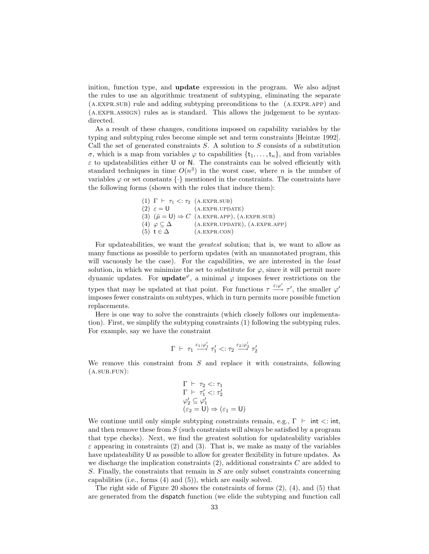inition, function type, and **update** expression in the program. We also adjust the rules to use an algorithmic treatment of subtyping, eliminating the separate (A.EXPR.SUB) rule and adding subtyping preconditions to the (A.EXPR.APP) and (a.expr.assign) rules as is standard. This allows the judgement to be syntaxdirected.

As a result of these changes, conditions imposed on capability variables by the typing and subtyping rules become simple set and term constraints [Heintze 1992]. Call the set of generated constraints  $S$ . A solution to  $S$  consists of a substitution σ, which is a map from variables  $\varphi$  to capabilities  $\{t_1, \ldots, t_n\}$ , and from variables  $\varepsilon$  to updateabilities either U or N. The constraints can be solved efficiently with standard techniques in time  $O(n^3)$  in the worst case, where n is the number of variables  $\varphi$  or set constants  $\{\cdot\}$  mentioned in the constraints. The constraints have the following forms (shown with the rules that induce them):

> (1)  $\Gamma \vdash \tau_1 \leq \tau_2$  (A.EXPR.SUB) (2)  $\varepsilon = U$  (A.EXPR.UPDATE) (3)  $(\hat{\mu} = \mathsf{U}) \Rightarrow C$  (A.EXPR.APP), (A.EXPR.SUB) (4)  $\varphi \subseteq \Delta$  (A.EXPR.UPDATE), (A.EXPR.APP) (5)  $t \in \Delta$  (A.EXPR.CON)

For updateabilities, we want the greatest solution; that is, we want to allow as many functions as possible to perform updates (with an unannotated program, this will vacuously be the case). For the capabilities, we are interested in the least solution, in which we minimize the set to substitute for  $\varphi$ , since it will permit more dynamic updates. For **update**<sup> $\varphi$ </sup>, a minimal  $\varphi$  imposes fewer restrictions on the types that may be updated at that point. For functions  $\tau \stackrel{\varepsilon:\varphi'}{\longrightarrow} \tau'$ , the smaller  $\varphi'$ imposes fewer constraints on subtypes, which in turn permits more possible function replacements.

Here is one way to solve the constraints (which closely follows our implementation). First, we simplify the subtyping constraints (1) following the subtyping rules. For example, say we have the constraint

$$
\Gamma \;\vdash\; \tau_1 \stackrel{\varepsilon_1; \varphi_1'}{\longrightarrow} \tau_1' <: \tau_2 \stackrel{\varepsilon_2; \varphi_2'}{\longrightarrow} \tau_2'
$$

We remove this constraint from  $S$  and replace it with constraints, following  $(A.SUB.FUN):$ 

$$
\Gamma \vdash \tau_2 <: \tau_1 \n\Gamma \vdash \tau'_1 <: \tau'_2 \n\varphi'_2 \subseteq \varphi'_1 \n(\varepsilon_2 = 0) \Rightarrow (\varepsilon_1 = 0)
$$

We continue until only simple subtyping constraints remain, e.g.,  $\Gamma \vdash \text{int} \leq \text{int}$ , and then remove these from  $S$  (such constraints will always be satisfied by a program that type checks). Next, we find the greatest solution for updateability variables  $\varepsilon$  appearing in constraints (2) and (3). That is, we make as many of the variables have updateability U as possible to allow for greater flexibility in future updates. As we discharge the implication constraints  $(2)$ , additional constraints C are added to S. Finally, the constraints that remain in S are only subset constraints concerning capabilities (i.e., forms (4) and (5)), which are easily solved.

The right side of Figure 20 shows the constraints of forms  $(2)$ ,  $(4)$ , and  $(5)$  that are generated from the dispatch function (we elide the subtyping and function call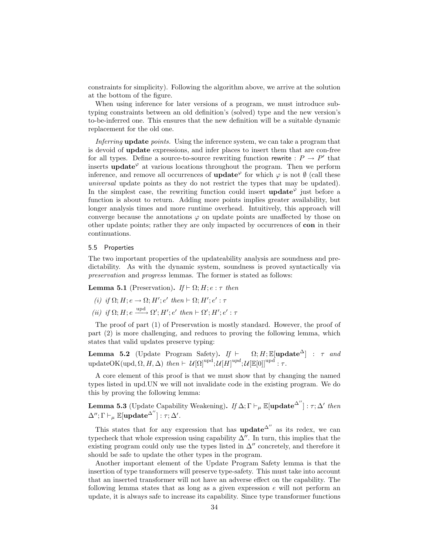constraints for simplicity). Following the algorithm above, we arrive at the solution at the bottom of the figure.

When using inference for later versions of a program, we must introduce subtyping constraints between an old definition's (solved) type and the new version's to-be-inferred one. This ensures that the new definition will be a suitable dynamic replacement for the old one.

Inferring update points. Using the inference system, we can take a program that is devoid of update expressions, and infer places to insert them that are con-free for all types. Define a source-to-source rewriting function rewrite :  $P \rightarrow P'$  that inserts **update** $\varphi$  at various locations throughout the program. Then we perform inference, and remove all occurrences of **update**  $\varphi$  for which  $\varphi$  is not  $\varnothing$  (call these universal update points as they do not restrict the types that may be updated). In the simplest case, the rewriting function could insert **update**  $\varphi$  just before a function is about to return. Adding more points implies greater availability, but longer analysis times and more runtime overhead. Intuitively, this approach will converge because the annotations  $\varphi$  on update points are unaffected by those on other update points; rather they are only impacted by occurrences of con in their continuations.

## 5.5 Properties

The two important properties of the updateability analysis are soundness and predictability. As with the dynamic system, soundness is proved syntactically via preservation and progress lemmas. The former is stated as follows:

**Lemma 5.1** (Preservation). If  $\vdash \Omega$ ; H; e : τ then

- (i) if  $\Omega$ ;  $H$ ;  $e \to \Omega$ ;  $H'$ ;  $e'$  then  $\vdash \Omega$ ;  $H'$ ;  $e'$  :  $\tau$
- (ii) if  $\Omega; H; e \xrightarrow{\text{upd}} \Omega'; H'; e' \text{ then } \vdash \Omega'; H'; e' : \tau$

The proof of part (1) of Preservation is mostly standard. However, the proof of part (2) is more challenging, and reduces to proving the following lemma, which states that valid updates preserve typing:

**Lemma 5.2** (Update Program Safety). If  $\vdash$  0; H; E[update<sup> $\triangle$ </sup>] :  $\tau$  and updateOK(upd,  $\Omega$ , H,  $\Delta$ ) then  $\vdash \mathcal{U}[\Omega]^{\text{upd}}$ ;  $\mathcal{U}[H]^{\text{upd}}$ ;  $\mathcal{U}[\mathbb{E}[0]]^{\text{upd}}$ :  $\tau$ .

A core element of this proof is that we must show that by changing the named types listed in upd.UN we will not invalidate code in the existing program. We do this by proving the following lemma:

**Lemma 5.3** (Update Capability Weakening). If  $\Delta; \Gamma \vdash_{\mu} \mathbb{E}[\textbf{update}^{\Delta''}] : \tau; \Delta'$  then  $\Delta''$ ;  $\Gamma \vdash_{\mu} \mathbb{E}[\textbf{update}^{\Delta''}] : \tau; \Delta'.$ 

This states that for any expression that has **update** $^{\Delta''}$  as its redex, we can typecheck that whole expression using capability  $\Delta''$ . In turn, this implies that the existing program could only use the types listed in  $\Delta''$  concretely, and therefore it should be safe to update the other types in the program.

Another important element of the Update Program Safety lemma is that the insertion of type transformers will preserve type-safety. This must take into account that an inserted transformer will not have an adverse effect on the capability. The following lemma states that as long as a given expression  $e$  will not perform an update, it is always safe to increase its capability. Since type transformer functions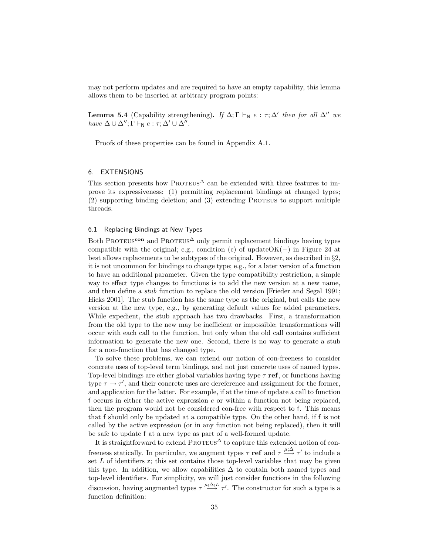may not perform updates and are required to have an empty capability, this lemma allows them to be inserted at arbitrary program points:

**Lemma 5.4** (Capability strengthening). If  $\Delta; \Gamma \vdash_{\mathbb{N}} e : \tau; \Delta'$  then for all  $\Delta''$  we have  $\Delta \cup \Delta''$ ;  $\Gamma \vdash_{\mathsf{N}} e : \tau; \Delta' \cup \Delta''$ .

Proofs of these properties can be found in Appendix A.1.

## 6. EXTENSIONS

This section presents how PROTEUS<sup> $\Delta$ </sup> can be extended with three features to improve its expressiveness: (1) permitting replacement bindings at changed types;  $(2)$  supporting binding deletion; and  $(3)$  extending PROTEUS to support multiple threads.

## 6.1 Replacing Bindings at New Types

Both PROTEUS<sup>con</sup> and PROTEUS<sup> $\Delta$ </sup> only permit replacement bindings having types compatible with the original; e.g., condition (c) of updateOK $(-)$  in Figure 24 at best allows replacements to be subtypes of the original. However, as described in §2, it is not uncommon for bindings to change type; e.g., for a later version of a function to have an additional parameter. Given the type compatibility restriction, a simple way to effect type changes to functions is to add the new version at a new name, and then define a stub function to replace the old version [Frieder and Segal 1991; Hicks 2001]. The stub function has the same type as the original, but calls the new version at the new type, e.g., by generating default values for added parameters. While expedient, the stub approach has two drawbacks. First, a transformation from the old type to the new may be inefficient or impossible; transformations will occur with each call to the function, but only when the old call contains sufficient information to generate the new one. Second, there is no way to generate a stub for a non-function that has changed type.

To solve these problems, we can extend our notion of con-freeness to consider concrete uses of top-level term bindings, and not just concrete uses of named types. Top-level bindings are either global variables having type  $\tau$  ref, or functions having type  $\tau \to \tau'$ , and their concrete uses are dereference and assignment for the former, and application for the latter. For example, if at the time of update a call to function f occurs in either the active expression  $e$  or within a function not being replaced, then the program would not be considered con-free with respect to f. This means that f should only be updated at a compatible type. On the other hand, if f is not called by the active expression (or in any function not being replaced), then it will be safe to update f at a new type as part of a well-formed update.

It is straightforward to extend PROTEUS<sup> $\Delta$ </sup> to capture this extended notion of confreeness statically. In particular, we augment types  $\tau$  **ref** and  $\tau \stackrel{\mu; \Delta}{\longrightarrow} \tau'$  to include a set  $L$  of identifiers  $z$ ; this set contains those top-level variables that may be given this type. In addition, we allow capabilities  $\Delta$  to contain both named types and top-level identifiers. For simplicity, we will just consider functions in the following discussion, having augmented types  $\tau \stackrel{\mu; \Delta; L}{\longrightarrow} \tau'$ . The constructor for such a type is a function definition: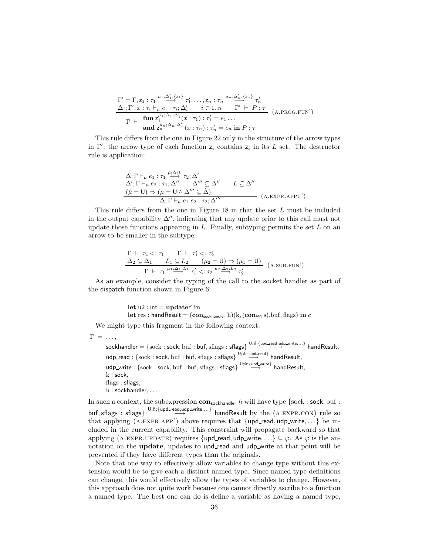$$
\Gamma' = \Gamma, z_1 : \tau_1 \xrightarrow{\mu_1; \Delta'_1; \{z_1\}} \tau'_1, \dots, z_n : \tau_n \xrightarrow{\mu_n; \Delta'_n; \{z_n\}} \tau'_n
$$
  
\n
$$
\Delta_i; \Gamma', x : \tau_i \vdash_{\mu} e_i : \tau_i; \Delta'_i \qquad i \in 1..n \qquad \Gamma' \vdash P : \tau
$$
  
\n
$$
\Gamma \vdash \text{fun } z_1^{\mu_1; \Delta_1; \Delta'_1}(x : \tau_1) : \tau'_1 = e_1 \dots
$$
  
\nand 
$$
z_n^{\mu_n; \Delta_n; \Delta'_n}(x : \tau_n) : \tau'_n = e_n \text{ in } P : \tau
$$
 (A.PROG.FUN')

This rule differs from the one in Figure 22 only in the structure of the arrow types in  $\Gamma'$ ; the arrow type of each function  $z_i$  contains  $z_i$  in its L set. The destructor rule is application:

$$
\Delta; \Gamma \vdash_{\mu} e_1 : \tau_1 \xrightarrow{\hat{\mu}; \Delta; L} \tau_2; \Delta'
$$
  
\n
$$
\Delta'; \Gamma \vdash_{\mu} e_2 : \tau_1; \Delta'' \Delta'' \Delta''' \subseteq \Delta'' \qquad L \subseteq \Delta''
$$
  
\n
$$
(\hat{\mu} = \mathsf{U}) \Rightarrow (\mu = \mathsf{U} \wedge \Delta''' \subseteq \hat{\Delta})
$$
  
\n
$$
\Delta; \Gamma \vdash_{\mu} e_1 e_2 : \tau_2; \Delta'''
$$
\n(A.EXPR.APPU')

This rule differs from the one in Figure 18 in that the set L must be included in the output capability  $\Delta''$ , indicating that any update prior to this call must not update those functions appearing in  $L$ . Finally, subtyping permits the set  $L$  on an arrow to be smaller in the subtype:

$$
\frac{\Gamma \vdash \tau_2 < : \tau_1 \quad \Gamma \vdash \tau_1' < : \tau_2'}{\Delta_2 \subseteq \Delta_1 \quad L_1 \subseteq L_2 \quad (\mu_2 = \mathsf{U}) \Rightarrow (\mu_1 = \mathsf{U})} \quad (\text{A.SUB.FUN'})
$$
\n
$$
\frac{\Gamma \vdash \tau_1 \xrightarrow{\mu_1; \Delta_1; L_1} \tau_1' < : \tau_2 \xrightarrow{\mu_2; \Delta_2; L_2} \tau_2'}{\Delta_1}
$$

As an example, consider the typing of the call to the socket handler as part of the dispatch function shown in Figure 6:

$$
\begin{array}{l} \textbf{let } u2: \textbf{int} = \textbf{update}^\varphi \textbf{ in}\\ \textbf{let } \textbf{res}: \textbf{handResult} = (\textbf{con}_{\textbf{sockhandler}} \; h)(k, (\textbf{con}_{\textbf{req}} \; s).\textbf{buf}, \textbf{flags}) \textbf{ in } e \end{array}
$$

We might type this fragment in the following context:

 $\Gamma = \ldots$  ${\sf sock}$ handler  $=\{ \text{sock}: \text{sock}, \text{buf}: \text{buf}, \text{sflags}: \text{sflags}\} \stackrel{\text{U};\emptyset; \{\text{upd\_read}, \text{udp\_write}, \dots\}}{\longrightarrow} \text{handResult},$  $\mathsf{udp\_read} : \{\mathrm{sock} : \mathsf{sock}, \mathrm{buf} : \mathsf{buf}, \mathrm{flags} : \mathsf{sflags} \} \overset{\mathsf{U};\emptyset; \{\mathsf{upd\_read}\}}{\longrightarrow} \mathsf{handResult},$  $\mathsf{udp\_write} : \{\text{sock} : \text{sock}, \text{buf} : \text{buf}, \text{flags} : \text{stlags} \} \overset{\text{U};\emptyset; \{\text{upd\_write}\}}{\longrightarrow} \text{handResult},$  $k :$ sock, flags : sflags, h : sockhandler, ...

In such a context, the subexpression  $\text{con}_{\text{sockhandler}} h$  will have type {sock : sock, buf :  $\textsf{buf}, \textsf{slags}: \textsf{slags} \}$  U;Ø;{upd\_read,udp\_write,...} handResult by the (A.EXPR.CON) rule so that applying  $(A. EXPR. APP')$  above requires that  $\{upd\_read, udp\_write, ...\}$  be included in the current capability. This constraint will propagate backward so that applying (A.EXPR.UPDATE) requires {upd\_read, udp\_write, ... }  $\subseteq \varphi$ . As  $\varphi$  is the annotation on the update, updates to upd read and udp write at that point will be prevented if they have different types than the originals.

Note that one way to effectively allow variables to change type without this extension would be to give each a distinct named type. Since named type definitions can change, this would effectively allow the types of variables to change. However, this approach does not quite work because one cannot directly ascribe to a function a named type. The best one can do is define a variable as having a named type,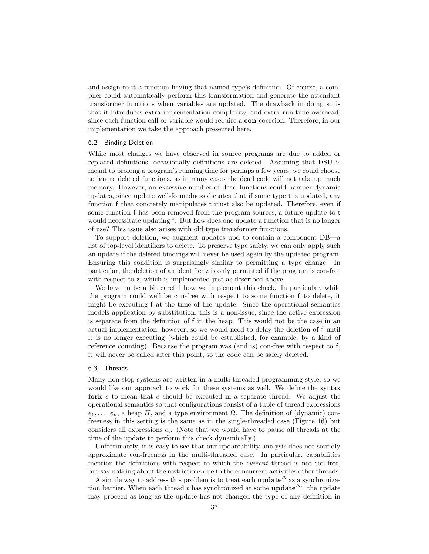and assign to it a function having that named type's definition. Of course, a compiler could automatically perform this transformation and generate the attendant transformer functions when variables are updated. The drawback in doing so is that it introduces extra implementation complexity, and extra run-time overhead, since each function call or variable would require a con coercion. Therefore, in our implementation we take the approach presented here.

### 6.2 Binding Deletion

While most changes we have observed in source programs are due to added or replaced definitions, occasionally definitions are deleted. Assuming that DSU is meant to prolong a program's running time for perhaps a few years, we could choose to ignore deleted functions, as in many cases the dead code will not take up much memory. However, an excessive number of dead functions could hamper dynamic updates, since update well-formedness dictates that if some type t is updated, any function f that concretely manipulates t must also be updated. Therefore, even if some function f has been removed from the program sources, a future update to t would necessitate updating f. But how does one update a function that is no longer of use? This issue also arises with old type transformer functions.

To support deletion, we augment updates upd to contain a component DB—a list of top-level identifiers to delete. To preserve type safety, we can only apply such an update if the deleted bindings will never be used again by the updated program. Ensuring this condition is surprisingly similar to permitting a type change. In particular, the deletion of an identifier z is only permitted if the program is con-free with respect to z, which is implemented just as described above.

We have to be a bit careful how we implement this check. In particular, while the program could well be con-free with respect to some function f to delete, it might be executing f at the time of the update. Since the operational semantics models application by substitution, this is a non-issue, since the active expression is separate from the definition of f in the heap. This would not be the case in an actual implementation, however, so we would need to delay the deletion of f until it is no longer executing (which could be established, for example, by a kind of reference counting). Because the program was (and is) con-free with respect to f, it will never be called after this point, so the code can be safely deleted.

#### 6.3 Threads

Many non-stop systems are written in a multi-threaded programming style, so we would like our approach to work for these systems as well. We define the syntax fork  $e$  to mean that  $e$  should be executed in a separate thread. We adjust the operational semantics so that configurations consist of a tuple of thread expressions  $e_1, \ldots, e_n$ , a heap H, and a type environment  $\Omega$ . The definition of (dynamic) confreeness in this setting is the same as in the single-threaded case (Figure 16) but considers all expressions  $e_i$ . (Note that we would have to pause all threads at the time of the update to perform this check dynamically.)

Unfortunately, it is easy to see that our updateability analysis does not soundly approximate con-freeness in the multi-threaded case. In particular, capabilities mention the definitions with respect to which the *current* thread is not con-free, but say nothing about the restrictions due to the concurrent activities other threads.

A simple way to address this problem is to treat each **update**<sup> $\Delta$ </sup> as a synchronization barrier. When each thread t has synchronized at some **update**  $\Delta^t$ , the update may proceed as long as the update has not changed the type of any definition in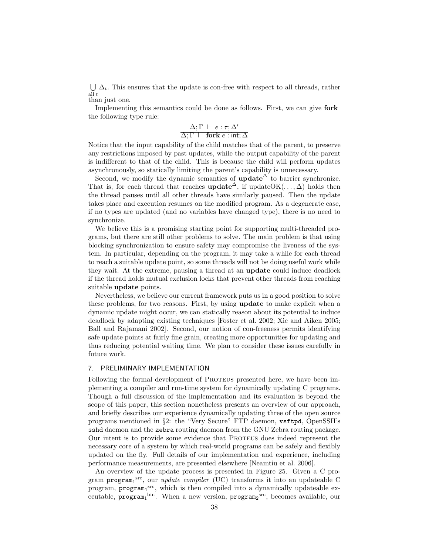$\bigcup \Delta_t$ . This ensures that the update is con-free with respect to all threads, rather all  $t$ than just one.

Implementing this semantics could be done as follows. First, we can give fork the following type rule:

$$
\frac{\Delta; \Gamma \ \vdash \ e : \tau; \Delta'}{\Delta; \Gamma \ \vdash \ \mathbf{fork} \ e : \mathsf{int}; \Delta}
$$

Notice that the input capability of the child matches that of the parent, to preserve any restrictions imposed by past updates, while the output capability of the parent is indifferent to that of the child. This is because the child will perform updates asynchronously, so statically limiting the parent's capability is unnecessary.

Second, we modify the dynamic semantics of **update** $\Delta$  to barrier synchronize. That is, for each thread that reaches  $\mathbf{update}^{\Delta}$ , if  $\mathbf{updateOK}(\ldots, \Delta)$  holds then the thread pauses until all other threads have similarly paused. Then the update takes place and execution resumes on the modified program. As a degenerate case, if no types are updated (and no variables have changed type), there is no need to synchronize.

We believe this is a promising starting point for supporting multi-threaded programs, but there are still other problems to solve. The main problem is that using blocking synchronization to ensure safety may compromise the liveness of the system. In particular, depending on the program, it may take a while for each thread to reach a suitable update point, so some threads will not be doing useful work while they wait. At the extreme, pausing a thread at an update could induce deadlock if the thread holds mutual exclusion locks that prevent other threads from reaching suitable update points.

Nevertheless, we believe our current framework puts us in a good position to solve these problems, for two reasons. First, by using update to make explicit when a dynamic update might occur, we can statically reason about its potential to induce deadlock by adapting existing techniques [Foster et al. 2002; Xie and Aiken 2005; Ball and Rajamani 2002]. Second, our notion of con-freeness permits identifying safe update points at fairly fine grain, creating more opportunities for updating and thus reducing potential waiting time. We plan to consider these issues carefully in future work.

#### 7. PRELIMINARY IMPLEMENTATION

Following the formal development of PROTEUS presented here, we have been implementing a compiler and run-time system for dynamically updating C programs. Though a full discussion of the implementation and its evaluation is beyond the scope of this paper, this section nonetheless presents an overview of our approach, and briefly describes our experience dynamically updating three of the open source programs mentioned in §2: the "Very Secure" FTP daemon, vsftpd, OpenSSH's sshd daemon and the zebra routing daemon from the GNU Zebra routing package. Our intent is to provide some evidence that PROTEUS does indeed represent the necessary core of a system by which real-world programs can be safely and flexibly updated on the fly. Full details of our implementation and experience, including performance measurements, are presented elsewhere [Neamtiu et al. 2006].

An overview of the update process is presented in Figure 25. Given a C program program<sub>1</sub>src, our *update compiler* (UC) transforms it into an updateable C program, program<sub>1</sub>src, which is then compiled into a dynamically updateable executable,  $\mathbf{program_1}^{\text{bin}}$ . When a new version,  $\mathbf{program_2}^{\text{src}}$ , becomes available, our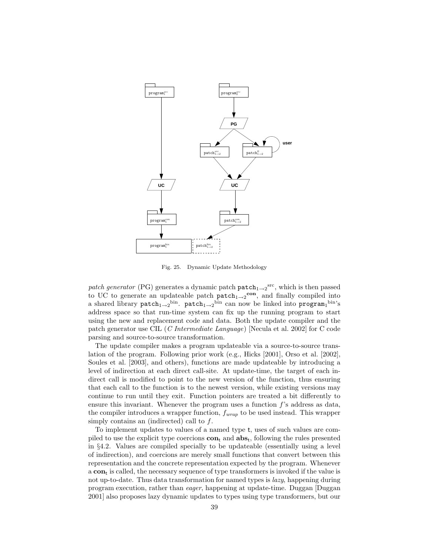

Fig. 25. Dynamic Update Methodology

patch generator (PG) generates a dynamic patch  $\texttt{patch}_{1\rightarrow 2}$ src, which is then passed to UC to generate an updateable patch  $\text{patch}_{1\rightarrow 2}^{\text{con}}$ , and finally compiled into a shared library  $\texttt{patch}_{1\rightarrow 2}^{\text{bin}}$ .  $\texttt{patch}_{1\rightarrow 2}^{\text{bin}}$  can now be linked into  $\texttt{program1}^{\text{bin}}$ 's address space so that run-time system can fix up the running program to start using the new and replacement code and data. Both the update compiler and the patch generator use CIL (C Intermediate Language) [Necula et al. 2002] for C code parsing and source-to-source transformation.

The update compiler makes a program updateable via a source-to-source translation of the program. Following prior work (e.g., Hicks [2001], Orso et al. [2002], Soules et al. [2003], and others), functions are made updateable by introducing a level of indirection at each direct call-site. At update-time, the target of each indirect call is modified to point to the new version of the function, thus ensuring that each call to the function is to the newest version, while existing versions may continue to run until they exit. Function pointers are treated a bit differently to ensure this invariant. Whenever the program uses a function  $f$ 's address as data, the compiler introduces a wrapper function,  $f_{w\tau\alpha p}$  to be used instead. This wrapper simply contains an (indirected) call to  $f$ .

To implement updates to values of a named type t, uses of such values are compiled to use the explicit type coercions  $con_{t}$  and  $abs_{t}$ , following the rules presented in §4.2. Values are compiled specially to be updateable (essentially using a level of indirection), and coercions are merely small functions that convert between this representation and the concrete representation expected by the program. Whenever a  $\text{con}_{t}$  is called, the necessary sequence of type transformers is invoked if the value is not up-to-date. Thus data transformation for named types is lazy, happening during program execution, rather than eager, happening at update-time. Duggan [Duggan 2001] also proposes lazy dynamic updates to types using type transformers, but our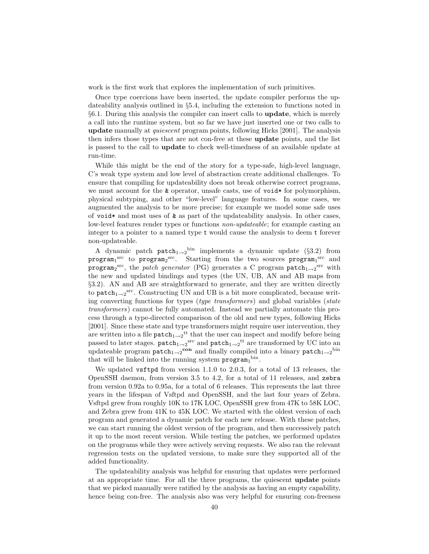work is the first work that explores the implementation of such primitives.

Once type coercions have been inserted, the update compiler performs the updateability analysis outlined in §5.4, including the extension to functions noted in §6.1. During this analysis the compiler can insert calls to update, which is merely a call into the runtime system, but so far we have just inserted one or two calls to update manually at *quiescent* program points, following Hicks [2001]. The analysis then infers those types that are not con-free at these update points, and the list is passed to the call to update to check well-timedness of an available update at run-time.

While this might be the end of the story for a type-safe, high-level language, C's weak type system and low level of abstraction create additional challenges. To ensure that compiling for updateability does not break otherwise correct programs, we must account for the  $\&$  operator, unsafe casts, use of void\* for polymorphism, physical subtyping, and other "low-level" language features. In some cases, we augmented the analysis to be more precise; for example we model some safe uses of void\* and most uses of  $\&$  as part of the updateability analysis. In other cases, low-level features render types or functions non-updateable; for example casting an integer to a pointer to a named type t would cause the analysis to deem t forever non-updateable.

A dynamic patch  $\text{patch}_{1\rightarrow2}$ <sup>bin</sup> implements a dynamic update (§3.2) from  $\texttt{program}_1^{\text{src}}$  to  $\texttt{program}_2^{\text{src}}$ . Starting from the two sources  $\texttt{program}_1^{\text{src}}$  and program<sub>2</sub>src, the *patch generator* (PG) generates a C program  $\text{patch}_{1\rightarrow 2}$ <sup>src</sup> with the new and updated bindings and types (the UN, UB, AN and AB maps from §3.2). AN and AB are straightforward to generate, and they are written directly to  $\texttt{patch}_{1\rightarrow2}$ <sup>src</sup>. Constructing UN and UB is a bit more complicated, because writing converting functions for types (type transformers) and global variables (state transformers) cannot be fully automated. Instead we partially automate this process through a type-directed comparison of the old and new types, following Hicks [2001]. Since these state and type transformers might require user intervention, they are written into a file  $\texttt{patch}_{1\rightarrow 2}$ <sup>tt</sup> that the user can inspect and modify before being passed to later stages.  $\texttt{patch}_{1\rightarrow 2}^{\text{src}}$  and  $\texttt{patch}_{1\rightarrow 2}^{\text{tt}}$  are transformed by UC into an updateable program  $\texttt{patch}_{1\rightarrow 2}^{\texttt{con}}$  and finally compiled into a binary  $\texttt{patch}_{1\rightarrow 2}^{\text{bin}}$ that will be linked into the running system  $\texttt{program1}^{\text{bin}}$ .

We updated vsftpd from version 1.1.0 to 2.0.3, for a total of 13 releases, the OpenSSH daemon, from version 3.5 to 4.2, for a total of 11 releases, and zebra from version 0.92a to 0.95a, for a total of 6 releases. This represents the last three years in the lifespan of Vsftpd and OpenSSH, and the last four years of Zebra. Vsftpd grew from roughly 10K to 17K LOC, OpenSSH grew from 47K to 58K LOC, and Zebra grew from 41K to 45K LOC. We started with the oldest version of each program and generated a dynamic patch for each new release. With these patches, we can start running the oldest version of the program, and then successively patch it up to the most recent version. While testing the patches, we performed updates on the programs while they were actively serving requests. We also ran the relevant regression tests on the updated versions, to make sure they supported all of the added functionality.

The updateability analysis was helpful for ensuring that updates were performed at an appropriate time. For all the three programs, the quiescent update points that we picked manually were ratified by the analysis as having an empty capability, hence being con-free. The analysis also was very helpful for ensuring con-freeness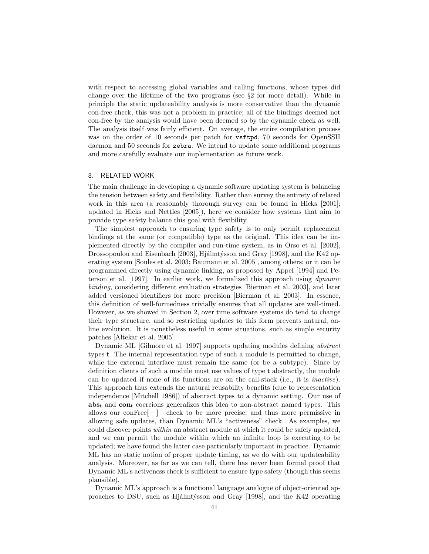with respect to accessing global variables and calling functions, whose types did change over the lifetime of the two programs (see §2 for more detail). While in principle the static updateability analysis is more conservative than the dynamic con-free check, this was not a problem in practice; all of the bindings deemed not con-free by the analysis would have been deemed so by the dynamic check as well. The analysis itself was fairly efficient. On average, the entire compilation process was on the order of 10 seconds per patch for vsftpd, 70 seconds for OpenSSH daemon and 50 seconds for zebra. We intend to update some additional programs and more carefully evaluate our implementation as future work.

#### 8. RELATED WORK

The main challenge in developing a dynamic software updating system is balancing the tension between safety and flexibility. Rather than survey the entirety of related work in this area (a reasonably thorough survey can be found in Hicks [2001]; updated in Hicks and Nettles [2005]), here we consider how systems that aim to provide type safety balance this goal with flexibility.

The simplest approach to ensuring type safety is to only permit replacement bindings at the same (or compatible) type as the original. This idea can be implemented directly by the compiler and run-time system, as in Orso et al. [2002], Drossopoulou and Eisenbach [2003], Hjálmtýsson and Gray [1998], and the K42 operating system [Soules et al. 2003; Baumann et al. 2005], among others; or it can be programmed directly using dynamic linking, as proposed by Appel [1994] and Peterson et al. [1997]. In earlier work, we formalized this approach using dynamic binding, considering different evaluation strategies [Bierman et al. 2003], and later added versioned identifiers for more precision [Bierman et al. 2003]. In essence, this definition of well-formedness trivially ensures that all updates are well-timed. However, as we showed in Section 2, over time software systems do tend to change their type structure, and so restricting updates to this form prevents natural, online evolution. It is nonetheless useful in some situations, such as simple security patches [Altekar et al. 2005].

Dynamic ML [Gilmore et al. 1997] supports updating modules defining abstract types t. The internal representation type of such a module is permitted to change, while the external interface must remain the same (or be a subtype). Since by definition clients of such a module must use values of type t abstractly, the module can be updated if none of its functions are on the call-stack (i.e., it is inactive). This approach thus extends the natural reusability benefits (due to representation independence [Mitchell 1986]) of abstract types to a dynamic setting. Our use of  $\mathbf{abs}_{t}$  and  $\mathbf{con}_{t}$  coercions generalizes this idea to non-abstract named types. This allows our conFree $[-]$ <sup>-</sup> check to be more precise, and thus more permissive in allowing safe updates, than Dynamic ML's "activeness" check. As examples, we could discover points within an abstract module at which it could be safely updated, and we can permit the module within which an infinite loop is executing to be updated; we have found the latter case particularly important in practice. Dynamic ML has no static notion of proper update timing, as we do with our updateability analysis. Moreover, as far as we can tell, there has never been formal proof that Dynamic ML's activeness check is sufficient to ensure type safety (though this seems plausible).

Dynamic ML's approach is a functional language analogue of object-oriented approaches to DSU, such as Hjálmtýsson and Gray [1998], and the K42 operating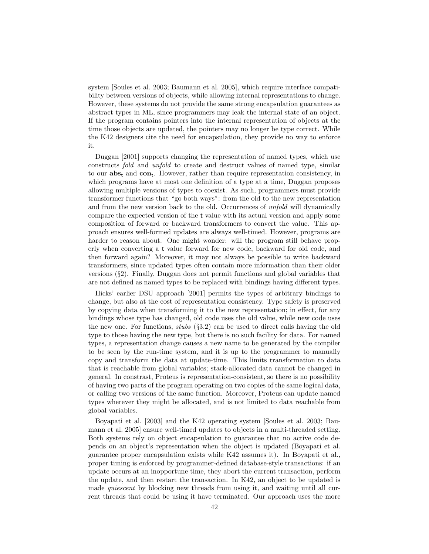system [Soules et al. 2003; Baumann et al. 2005], which require interface compatibility between versions of objects, while allowing internal representations to change. However, these systems do not provide the same strong encapsulation guarantees as abstract types in ML, since programmers may leak the internal state of an object. If the program contains pointers into the internal representation of objects at the time those objects are updated, the pointers may no longer be type correct. While the K42 designers cite the need for encapsulation, they provide no way to enforce it.

Duggan [2001] supports changing the representation of named types, which use constructs fold and unfold to create and destruct values of named type, similar to our  $\mathbf{abs}_{t}$  and  $\mathbf{con}_{t}$ . However, rather than require representation consistency, in which programs have at most one definition of a type at a time, Duggan proposes allowing multiple versions of types to coexist. As such, programmers must provide transformer functions that "go both ways": from the old to the new representation and from the new version back to the old. Occurrences of *unfold* will dynamically compare the expected version of the t value with its actual version and apply some composition of forward or backward transformers to convert the value. This approach ensures well-formed updates are always well-timed. However, programs are harder to reason about. One might wonder: will the program still behave properly when converting a t value forward for new code, backward for old code, and then forward again? Moreover, it may not always be possible to write backward transformers, since updated types often contain more information than their older versions (§2). Finally, Duggan does not permit functions and global variables that are not defined as named types to be replaced with bindings having different types.

Hicks' earlier DSU approach [2001] permits the types of arbitrary bindings to change, but also at the cost of representation consistency. Type safety is preserved by copying data when transforming it to the new representation; in effect, for any bindings whose type has changed, old code uses the old value, while new code uses the new one. For functions,  $stubs$  (§3.2) can be used to direct calls having the old type to those having the new type, but there is no such facility for data. For named types, a representation change causes a new name to be generated by the compiler to be seen by the run-time system, and it is up to the programmer to manually copy and transform the data at update-time. This limits transformation to data that is reachable from global variables; stack-allocated data cannot be changed in general. In constrast, Proteus is representation-consistent, so there is no possibility of having two parts of the program operating on two copies of the same logical data, or calling two versions of the same function. Moreover, Proteus can update named types wherever they might be allocated, and is not limited to data reachable from global variables.

Boyapati et al. [2003] and the K42 operating system [Soules et al. 2003; Baumann et al. 2005] ensure well-timed updates to objects in a multi-threaded setting. Both systems rely on object encapsulation to guarantee that no active code depends on an object's representation when the object is updated (Boyapati et al. guarantee proper encapsulation exists while K42 assumes it). In Boyapati et al., proper timing is enforced by programmer-defined database-style transactions: if an update occurs at an inopportune time, they abort the current transaction, perform the update, and then restart the transaction. In K42, an object to be updated is made *quiescent* by blocking new threads from using it, and waiting until all current threads that could be using it have terminated. Our approach uses the more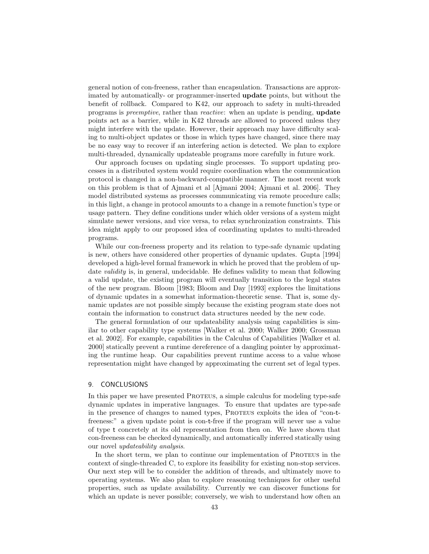general notion of con-freeness, rather than encapsulation. Transactions are approximated by automatically- or programmer-inserted update points, but without the benefit of rollback. Compared to K42, our approach to safety in multi-threaded programs is *preemptive*, rather than *reactive*: when an update is pending, **update** points act as a barrier, while in K42 threads are allowed to proceed unless they might interfere with the update. However, their approach may have difficulty scaling to multi-object updates or those in which types have changed, since there may be no easy way to recover if an interfering action is detected. We plan to explore multi-threaded, dynamically updateable programs more carefully in future work.

Our approach focuses on updating single processes. To support updating processes in a distributed system would require coordination when the communication protocol is changed in a non-backward-compatible manner. The most recent work on this problem is that of Ajmani et al [Ajmani 2004; Ajmani et al. 2006]. They model distributed systems as processes communicating via remote procedure calls; in this light, a change in protocol amounts to a change in a remote function's type or usage pattern. They define conditions under which older versions of a system might simulate newer versions, and vice versa, to relax synchronization constraints. This idea might apply to our proposed idea of coordinating updates to multi-threaded programs.

While our con-freeness property and its relation to type-safe dynamic updating is new, others have considered other properties of dynamic updates. Gupta [1994] developed a high-level formal framework in which he proved that the problem of update validity is, in general, undecidable. He defines validity to mean that following a valid update, the existing program will eventually transition to the legal states of the new program. Bloom [1983; Bloom and Day [1993] explores the limitations of dynamic updates in a somewhat information-theoretic sense. That is, some dynamic updates are not possible simply because the existing program state does not contain the information to construct data structures needed by the new code.

The general formulation of our updateability analysis using capabilities is similar to other capability type systems [Walker et al. 2000; Walker 2000; Grossman et al. 2002]. For example, capabilities in the Calculus of Capabilities [Walker et al. 2000] statically prevent a runtime dereference of a dangling pointer by approximating the runtime heap. Our capabilities prevent runtime access to a value whose representation might have changed by approximating the current set of legal types.

# 9. CONCLUSIONS

In this paper we have presented PROTEUS, a simple calculus for modeling type-safe dynamic updates in imperative languages. To ensure that updates are type-safe in the presence of changes to named types, PROTEUS exploits the idea of "con-tfreeness:" a given update point is con-t-free if the program will never use a value of type t concretely at its old representation from then on. We have shown that con-freeness can be checked dynamically, and automatically inferred statically using our novel updateability analysis.

In the short term, we plan to continue our implementation of PROTEUS in the context of single-threaded C, to explore its feasibility for existing non-stop services. Our next step will be to consider the addition of threads, and ultimately move to operating systems. We also plan to explore reasoning techniques for other useful properties, such as update availability. Currently we can discover functions for which an update is never possible; conversely, we wish to understand how often an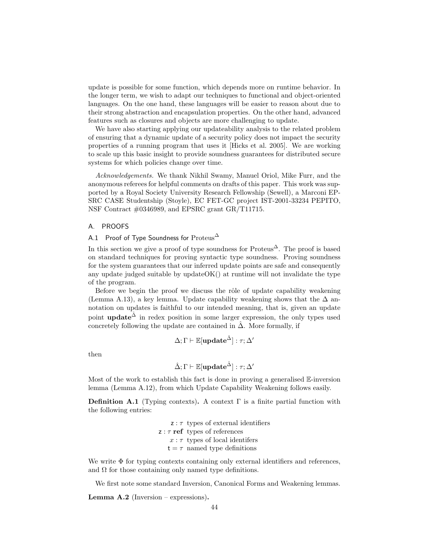update is possible for some function, which depends more on runtime behavior. In the longer term, we wish to adapt our techniques to functional and object-oriented languages. On the one hand, these languages will be easier to reason about due to their strong abstraction and encapsulation properties. On the other hand, advanced features such as closures and objects are more challenging to update.

We have also starting applying our updateability analysis to the related problem of ensuring that a dynamic update of a security policy does not impact the security properties of a running program that uses it [Hicks et al. 2005]. We are working to scale up this basic insight to provide soundness guarantees for distributed secure systems for which policies change over time.

Acknowledgements. We thank Nikhil Swamy, Manuel Oriol, Mike Furr, and the anonymous referees for helpful comments on drafts of this paper. This work was supported by a Royal Society University Research Fellowship (Sewell), a Marconi EP-SRC CASE Studentship (Stoyle), EC FET-GC project IST-2001-33234 PEPITO, NSF Contract #0346989, and EPSRC grant GR/T11715.

# A. PROOFS

# A.1 Proof of Type Soundness for Proteus<sup> $\Delta$ </sup>

In this section we give a proof of type soundness for Proteus<sup> $\Delta$ </sup>. The proof is based on standard techniques for proving syntactic type soundness. Proving soundness for the system guarantees that our inferred update points are safe and consequently any update judged suitable by updateOK() at runtime will not invalidate the type of the program.

Before we begin the proof we discuss the rôle of update capability weakening (Lemma A.13), a key lemma. Update capability weakening shows that the  $\Delta$  annotation on updates is faithful to our intended meaning, that is, given an update point **update**  $\hat{\Delta}$  in redex position in some larger expression, the only types used concretely following the update are contained in  $\hat{\Delta}$ . More formally, if

$$
\Delta;\Gamma\vdash\mathbb{E}[\mathbf{update}^{\hat{\Delta}}]:\tau;\Delta'
$$

then

$$
\hat{\Delta};\Gamma \vdash \mathbb{E}[\textbf{update}^{\hat{\Delta}}]:\tau;\Delta'
$$

Most of the work to establish this fact is done in proving a generalised E-inversion lemma (Lemma A.12), from which Update Capability Weakening follows easily.

**Definition A.1** (Typing contexts). A context  $\Gamma$  is a finite partial function with the following entries:

> $z : \tau$  types of external identifiers  $z : \tau$  ref types of references  $x : \tau$  types of local identifers  $t = \tau$  named type definitions

We write  $\Phi$  for typing contexts containing only external identifiers and references, and  $\Omega$  for those containing only named type definitions.

We first note some standard Inversion, Canonical Forms and Weakening lemmas.

**Lemma A.2** (Inversion – expressions).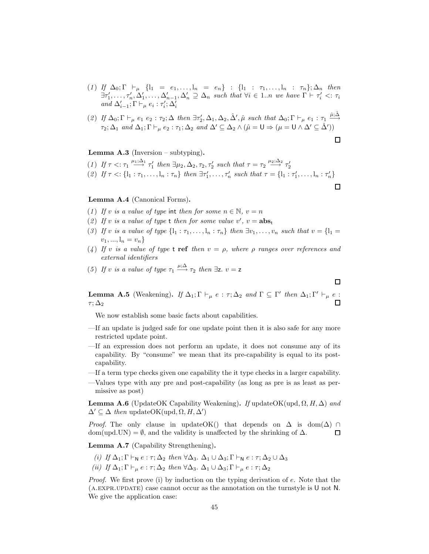- (1) If  $\Delta_0; \Gamma \vdash_{\mu} \{l_1 = e_1, \ldots, l_n = e_n\} : \{l_1 : \tau_1, \ldots, l_n : \tau_n\}; \Delta_n$  then  $\exists \tau'_1, \ldots, \tau'_n, \Delta'_1, \ldots, \Delta'_{n-1}, \Delta'_n \supseteq \Delta_n$  such that  $\forall i \in 1..n$  we have  $\Gamma \vdash \tau'_i < \tau_i$ and  $\Delta'_{i-1}$ ;  $\Gamma \vdash_{\mu} e_i : \tau'_i; \Delta'_i$
- (2) If  $\Delta_0$ ;  $\Gamma \vdash_{\mu} e_1 e_2 : \tau_2$ ;  $\Delta$  then  $\exists \tau'_2, \Delta_1, \Delta_2, \hat{\Delta}', \hat{\mu}$  such that  $\Delta_0$ ;  $\Gamma \vdash_{\mu} e_1 : \tau_1 \stackrel{\hat{\mu}; \hat{\Delta}}{\longrightarrow}$  $\tau_2; \Delta_1$  and  $\Delta_1; \Gamma \vdash_{\mu} e_2 : \tau_1; \Delta_2$  and  $\Delta' \subseteq \Delta_2 \wedge (\hat{\mu} = \mathsf{U} \Rightarrow (\mu = \mathsf{U} \wedge \Delta' \subseteq \hat{\Delta}'))$

$$
\Box
$$

 $\Box$ 

 $\Box$ 

**Lemma A.3** (Inversion – subtyping).

(1) If  $\tau < \tau_1 \stackrel{\mu_1; \Delta_1}{\longrightarrow} \tau_1'$  then  $\exists \mu_2, \Delta_2, \tau_2, \tau_2'$  such that  $\tau = \tau_2 \stackrel{\mu_2; \Delta_2}{\longrightarrow} \tau_2'$ (2) If  $\tau < \{l_1 : \tau_1, \ldots, l_n : \tau_n\}$  then  $\exists \tau'_1, \ldots, \tau'_n$  such that  $\tau = \{l_1 : \tau'_1, \ldots, l_n : \tau'_n\}$ 

#### Lemma A.4 (Canonical Forms).

- (1) If v is a value of type int then for some  $n \in \mathbb{N}$ ,  $v = n$
- (2) If v is a value of type t then for some value  $v'$ ,  $v = abs_t$
- (3) If v is a value of type  $\{l_1 : \tau_1, \ldots, l_n : \tau_n\}$  then  $\exists v_1, \ldots, v_n$  such that  $v = \{l_1 =$  $v_1, ..., l_n = v_n$
- (4) If v is a value of type **t ref** then  $v = \rho$ , where  $\rho$  ranges over references and external identifiers
- (5) If v is a value of type  $\tau_1 \stackrel{\mu; \Delta}{\longrightarrow} \tau_2$  then  $\exists z. v = z$

**Lemma A.5** (Weakening). If  $\Delta_1$ ;  $\Gamma \vdash_{\mu} e : \tau$ ;  $\Delta_2$  and  $\Gamma \subseteq \Gamma'$  then  $\Delta_1$ ;  $\Gamma' \vdash_{\mu} e :$  $\tau$ ;  $\Delta_2$ 

We now establish some basic facts about capabilities.

- —If an update is judged safe for one update point then it is also safe for any more restricted update point.
- —If an expression does not perform an update, it does not consume any of its capability. By "consume" we mean that its pre-capability is equal to its postcapability.
- —If a term type checks given one capability the it type checks in a larger capability.
- —Values type with any pre and post-capability (as long as pre is as least as permissive as post)

**Lemma A.6** (UpdateOK Capability Weakening). If updateOK(upd,  $\Omega$ ,  $H$ ,  $\Delta$ ) and  $\Delta' \subseteq \Delta$  then updateOK(upd,  $\Omega, H, \Delta'$ )

*Proof.* The only clause in updateOK() that depends on  $\Delta$  is dom( $\Delta$ ) ∩  $dom(upd.UN) = ∅$ , and the validity is unaffected by the shrinking of  $\Delta$ .  $\Box$ 

Lemma A.7 (Capability Strengthening).

- (i) If  $\Delta_1$ ;  $\Gamma \vdash_N e : \tau$ ;  $\Delta_2$  then  $\forall \Delta_3$ .  $\Delta_1 \cup \Delta_3$ ;  $\Gamma \vdash_N e : \tau$ ;  $\Delta_2 \cup \Delta_3$
- (ii) If  $\Delta_1$ ;  $\Gamma \vdash_{\mu} e : \tau$ ;  $\Delta_2$  then  $\forall \Delta_3$ .  $\Delta_1 \cup \Delta_3$ ;  $\Gamma \vdash_{\mu} e : \tau$ ;  $\Delta_2$

Proof. We first prove (i) by induction on the typing derivation of e. Note that the  $(A.EXPR.UPDATE)$  case cannot occur as the annotation on the turnstyle is U not N. We give the application case: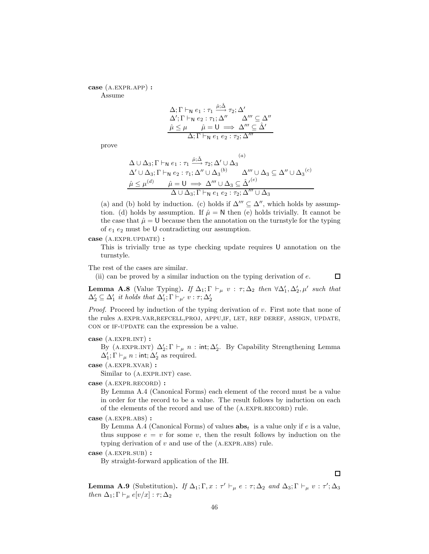$case (A. EXPR. APP)$ : Assume

$$
\Delta; \Gamma \vdash_{\mathsf{N}} e_1 : \tau_1 \xrightarrow{\hat{\mu}; \hat{\Delta}} \tau_2; \Delta'
$$
  
 
$$
\Delta'; \Gamma \vdash_{\mathsf{N}} e_2 : \tau_1; \Delta'' \qquad \Delta''' \subseteq \Delta''
$$
  
 
$$
\hat{\mu} \leq \mu \qquad \hat{\mu} = \mathsf{U} \implies \Delta''' \subseteq \hat{\Delta}'
$$
  
 
$$
\Delta; \Gamma \vdash_{\mathsf{N}} e_1 e_2 : \tau_2; \Delta'''
$$

prove

$$
\Delta \cup \Delta_3; \Gamma \vdash_{\mathsf{N}} e_1 : \tau_1 \xrightarrow{\hat{\mu}; \hat{\Delta}} \tau_2; \Delta' \cup \Delta_3
$$
\n
$$
\Delta' \cup \Delta_3; \Gamma \vdash_{\mathsf{N}} e_2 : \tau_1; \Delta'' \cup \Delta_3^{(b)} \qquad \Delta''' \cup \Delta_3 \subseteq \Delta'' \cup \Delta_3^{(c)}
$$
\n
$$
\hat{\mu} \leq \mu^{(d)} \qquad \hat{\mu} = \mathsf{U} \implies \Delta''' \cup \Delta_3 \subseteq \hat{\Delta'}^{(e)}
$$
\n
$$
\Delta \cup \Delta_3; \Gamma \vdash_{\mathsf{N}} e_1 e_2 : \tau_2; \Delta''' \cup \Delta_3
$$

(a) and (b) hold by induction. (c) holds if  $\Delta''' \subseteq \Delta''$ , which holds by assumption. (d) holds by assumption. If  $\hat{\mu} = N$  then (e) holds trivially. It cannot be the case that  $\hat{\mu} = \mathsf{U}$  because then the annotation on the turnstyle for the typing of  $e_1 e_2$  must be U contradicting our assumption.

case (A.EXPR.UPDATE) :

This is trivially true as type checking update requires U annotation on the turnstyle.

The rest of the cases are similar.

(ii) can be proved by a similar induction on the typing derivation of  $e$ .

**Lemma A.8** (Value Typing). If  $\Delta_1$ ;  $\Gamma \vdash_\mu v : \tau$ ;  $\Delta_2$  then  $\forall \Delta'_1, \Delta'_2, \mu'$  such that  $\Delta'_2 \subseteq \Delta'_1$  it holds that  $\Delta'_1$ ;  $\Gamma \vdash_{\mu'} v : \tau : \Delta'_2$ 

*Proof.* Proceed by induction of the typing derivation of v. First note that none of the rules A.EXPR.VAR,REFCELL,PROJ, APPU,IF, LET, REF DEREF, ASSIGN, UPDATE, con or if-update can the expression be a value.

#### $case (A. EXPR.INT)$ :

By (A.EXPR.INT)  $\Delta'_2$ ;  $\Gamma \vdash_{\mu} n$ : int;  $\Delta'_2$ . By Capability Strengthening Lemma  $\Delta'_1$ ;  $\Gamma \vdash_{\mu} n$ : int;  $\Delta'_2$  as required.

#### case (A.EXPR.XVAR) :

Similar to  $(A.EXPRINT)$  case.

case (A.EXPR.RECORD):

By Lemma A.4 (Canonical Forms) each element of the record must be a value in order for the record to be a value. The result follows by induction on each of the elements of the record and use of the (A.EXPR.RECORD) rule.

 $case (A. EXPR. ABS)$ :

By Lemma A.4 (Canonical Forms) of values  $\mathbf{abs}_t$  is a value only if e is a value, thus suppose  $e = v$  for some v, then the result follows by induction on the typing derivation of  $v$  and use of the  $(A.EXPR.ABS)$  rule.

$$
\mathbf{case} \; (\text{A.} \text{EXPR.} \text{SUB}) : \;
$$

By straight-forward application of the IH.

 $\Box$ 

 $\Box$ 

**Lemma A.9** (Substitution). If  $\Delta_1; \Gamma, x : \tau' \vdash_{\mu} e : \tau; \Delta_2$  and  $\Delta_3; \Gamma \vdash_{\mu} v : \tau'; \Delta_3$ then  $\Delta_1$ ; Γ  $\vdash_{\mu} e[v/x]$  :  $\tau$ ;  $\Delta_2$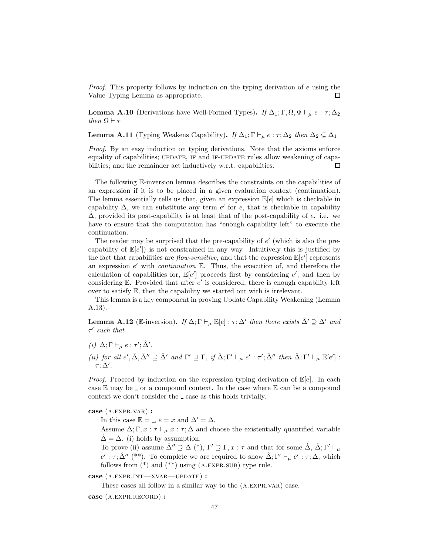Proof. This property follows by induction on the typing derivation of e using the Value Typing Lemma as appropriate. □

**Lemma A.10** (Derivations have Well-Formed Types). If  $\Delta_1$ ; Γ,  $\Omega$ ,  $\Phi \vdash_{\mu} e : \tau$ ;  $\Delta_2$ then  $\Omega \vdash \tau$ 

**Lemma A.11** (Typing Weakens Capability). If  $\Delta_1$ ;  $\Gamma \vdash_{\mu} e : \tau$ ;  $\Delta_2$  then  $\Delta_2 \subseteq \Delta_1$ 

Proof. By an easy induction on typing derivations. Note that the axioms enforce equality of capabilities; UPDATE, IF and IF-UPDATE rules allow weakening of capabilities; and the remainder act inductively w.r.t. capabilities.  $\Box$ 

The following E-inversion lemma describes the constraints on the capabilities of an expression if it is to be placed in a given evaluation context (continuation). The lemma essentially tells us that, given an expression  $\mathbb{E}[e]$  which is checkable in capability  $\Delta$ , we can substitute any term e' for e, that is checkable in capability  $\Delta$ , provided its post-capability is at least that of the post-capability of e. i.e. we have to ensure that the computation has "enough capability left" to execute the continuation.

The reader may be surprised that the pre-capability of  $e'$  (which is also the precapability of  $\mathbb{E}[e']$ ) is not constrained in any way. Intuitively this is justified by the fact that capabilities are *flow-sensitive*, and that the expression  $\mathbb{E}[e']$  represents an expression  $e'$  with *continuation*  $\mathbb{E}$ . Thus, the execution of, and therefore the calculation of capabilities for,  $\mathbb{E}[e']$  proceeds first by considering  $e'$ , and then by considering  $E$ . Provided that after  $e'$  is considered, there is enough capability left over to satisfy E, then the capability we started out with is irrelevant.

This lemma is a key component in proving Update Capability Weakening (Lemma A.13).

**Lemma A.12** (E-inversion). If  $\Delta; \Gamma \vdash_{\mu} \mathbb{E}[e] : \tau; \Delta'$  then there exists  $\hat{\Delta}' \supseteq \Delta'$  and  $\tau'$  such that

(i)  $\Delta; \Gamma \vdash_{\mu} e : \tau'; \hat{\Delta}'.$ (ii) for all  $e', \hat{\Delta}, \hat{\Delta}'' \supseteq \hat{\Delta}'$  and  $\Gamma' \supseteq \Gamma$ , if  $\hat{\Delta}; \Gamma' \vdash_{\mu} e' : \tau'; \hat{\Delta}''$  then  $\hat{\Delta}; \Gamma' \vdash_{\mu} \mathbb{E}[e'] :$ τ; ∆′ .

*Proof.* Proceed by induction on the expression typing derivation of  $\mathbb{E}[e]$ . In each case  $E$  may be  $\Box$  or a compound context. In the case where  $E$  can be a compound context we don't consider the \_case as this holds trivially.

case (A.EXPR.VAR) :

In this case  $\mathbb{E} =$ ,  $e = x$  and  $\Delta' = \Delta$ .

Assume  $\Delta; \Gamma, x : \tau \vdash_{\mu} x : \tau; \Delta$  and choose the existentially quantified variable  $\hat{\Delta} = \Delta$ . (i) holds by assumption.

To prove (ii) assume  $\hat{\Delta}'' \supseteq \Delta$  (\*),  $\Gamma' \supseteq \Gamma, x : \tau$  and that for some  $\hat{\Delta}, \hat{\Delta}; \Gamma' \vdash_{\mu}$  $e'$ : τ; Δ<sup>''</sup> (\*\*). To complete we are required to show  $\hat{\Delta}$ ; Γ'  $\vdash_{\mu} e'$ : τ; Δ, which follows from  $(*)$  and  $(**)$  using (A.EXPR.SUB) type rule.

case (A.EXPR.INT—XVAR—UPDATE):

These cases all follow in a similar way to the  $(A.EXPR.VAR)$  case.

case (A.EXPR.RECORD) :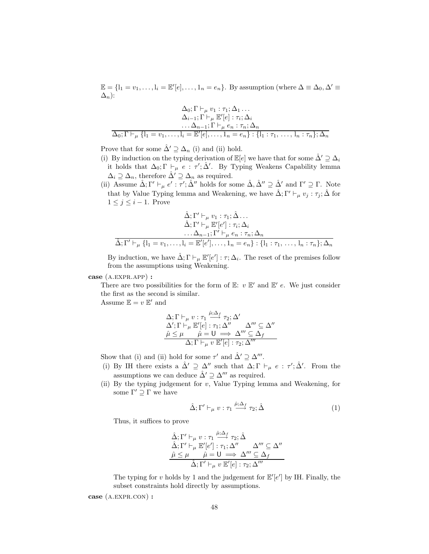$\mathbb{E} = \{l_1 = v_1, \ldots, l_i = \mathbb{E}'[e], \ldots, l_n = e_n\}.$  By assumption (where  $\Delta \equiv \Delta_0, \Delta' \equiv$  $\Delta_n$ ):

$$
\Delta_{0}; \Gamma \vdash_{\mu} v_{1} : \tau_{1}; \Delta_{1} \dots
$$
\n
$$
\Delta_{i-1}; \Gamma \vdash_{\mu} \mathbb{E}'[e] : \tau_{i}; \Delta_{i}
$$
\n
$$
\dots \Delta_{n-1}; \Gamma \vdash_{\mu} e_{n} : \tau_{n}; \Delta_{n}
$$
\n
$$
\Delta_{0}; \Gamma \vdash_{\mu} \{l_{1} = v_{1}, \dots, l_{i} = \mathbb{E}'[e], \dots, l_{n} = e_{n}\} : \{l_{1} : \tau_{1}, \dots, l_{n} : \tau_{n}\}; \Delta_{n}
$$

Prove that for some  $\hat{\Delta}' \supseteq \Delta_n$  (i) and (ii) hold.

- (i) By induction on the typing derivation of  $\mathbb{E}[e]$  we have that for some  $\hat{\Delta}' \supseteq \Delta_i$ it holds that  $\Delta_0$ ; Γ  $\vdash_{\mu} e : \tau'$ ;  $\Delta'$ . By Typing Weakens Capability lemma  $\Delta_i \supseteq \Delta_n$ , therefore  $\hat{\Delta}' \supseteq \Delta_n$  as required.
- (ii) Assume  $\hat{\Delta}; \Gamma' \vdash_{\mu} e' : \tau'; \hat{\Delta}''$  holds for some  $\hat{\Delta}, \hat{\Delta}'' \supseteq \hat{\Delta}'$  and  $\Gamma' \supseteq \Gamma$ . Note that by Value Typing lemma and Weakening, we have  $\hat{\Delta}$ ; Γ' ⊢<sub>μ</sub>  $v_j : \tau_j$ ;  $\hat{\Delta}$  for  $1 \leq j \leq i-1$ . Prove

$$
\hat{\Delta}; \Gamma' \vdash_{\mu} v_1 : \tau_1; \hat{\Delta} \dots
$$
\n
$$
\hat{\Delta}; \Gamma' \vdash_{\mu} E'[e'] : \tau_i; \Delta_i
$$
\n
$$
\therefore \Delta_{n-1}; \Gamma' \vdash_{\mu} e_n : \tau_n; \Delta_n
$$
\n
$$
\hat{\Delta}; \Gamma' \vdash_{\mu} \{l_1 = v_1, \dots, l_i = E'[e'], \dots, l_n = e_n\} : \{l_1 : \tau_1, \dots, l_n : \tau_n\}; \Delta_n
$$

By induction, we have  $\hat{\Delta}$ ;  $\Gamma \vdash_{\mu} \mathbb{E}'[e'] : \tau$ ;  $\Delta_i$ . The reset of the premises follow from the assumptions using Weakening.

 $case (A. EXPR.APP)$ :

There are two possibilities for the form of  $E: v E'$  and  $E' e$ . We just consider the first as the second is similar.

Assume  $\mathbb{E} = v \mathbb{E}'$  and

$$
\Delta; \Gamma \vdash_{\mu} v : \tau_1 \xrightarrow{\hat{\mu}; \Delta_f} \tau_2; \Delta' \n\Delta'; \Gamma \vdash_{\mu} \mathbb{E}'[e] : \tau_1; \Delta'' \qquad \Delta''' \subseteq \Delta'' \n\hat{\mu} \leq \mu \qquad \hat{\mu} = \mathbf{U} \implies \Delta''' \subseteq \Delta_f \n\Delta; \Gamma \vdash_{\mu} v \mathbb{E}'[e] : \tau_2; \Delta'''
$$

Show that (i) and (ii) hold for some  $\tau'$  and  $\hat{\Delta}' \supseteq \Delta'''$ .

- (i) By IH there exists a  $\hat{\Delta}' \supseteq \Delta''$  such that  $\Delta; \Gamma \vdash_{\mu} e : \tau'; \hat{\Delta}'.$  From the assumptions we can deduce  $\hat{\Delta}' \supseteq \Delta'''$  as required.
- (ii) By the typing judgement for  $v$ , Value Typing lemma and Weakening, for some  $\Gamma'\supseteq \Gamma$  we have

$$
\hat{\Delta}; \Gamma' \vdash_{\mu} v : \tau_1 \xrightarrow{\hat{\mu}; \Delta_f} \tau_2; \hat{\Delta}
$$
 (1)

Thus, it suffices to prove

$$
\begin{array}{c}\n\hat{\Delta}; \Gamma' \vdash_{\mu} v : \tau_1 \stackrel{\hat{\mu}; \Delta_f}{\longrightarrow} \tau_2; \hat{\Delta} \\
\hat{\Delta}; \Gamma' \vdash_{\mu} \mathbb{E}'[e'] : \tau_1; \Delta'' \qquad \Delta''' \subseteq \Delta'' \\
\hat{\mu} \leq \mu \qquad \hat{\mu} = \mathbf{U} \implies \Delta''' \subseteq \Delta_f \\
\hat{\Delta}; \Gamma' \vdash_{\mu} v \mathbb{E}'[e] : \tau_2; \Delta'''\n\end{array}
$$

The typing for  $v$  holds by 1 and the judgement for  $\mathbb{E}'[e']$  by IH. Finally, the subset constraints hold directly by assumptions.

case (A.EXPR.CON) :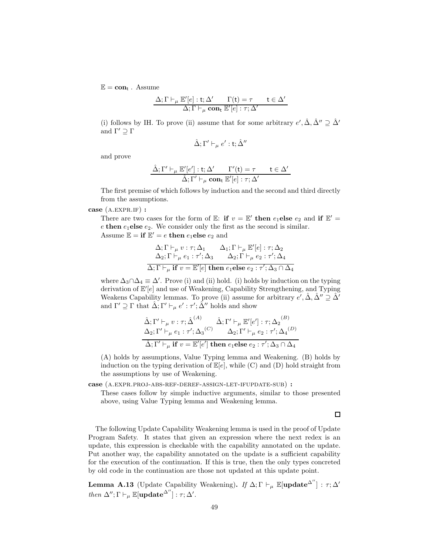$\mathbb{E} = \mathbf{con}_{t}$ . Assume

$$
\frac{\Delta; \Gamma \vdash_{\mu} \mathbb{E}'[e]: t; \Delta' \qquad \Gamma(t) = \tau \qquad t \in \Delta'}{\Delta; \Gamma \vdash_{\mu} \textbf{con}_{t} \mathbb{E}'[e]: \tau; \Delta'}
$$

(i) follows by IH. To prove (ii) assume that for some arbitrary  $e', \hat{\Delta}, \hat{\Delta}' \supseteq \hat{\Delta}'$ and  $\Gamma' \supseteq \Gamma$ 

$$
\hat{\Delta};\Gamma'\vdash_{\mu} e':\mathsf{t};\hat{\Delta}''
$$

and prove

$$
\frac{\hat{\Delta};\Gamma'\vdash_{\mu}\mathbb{E}'[e']:t;\Delta'\qquad\Gamma'(t)=\tau\qquad t\in\Delta'}{\hat{\Delta};\Gamma'\vdash_{\mu}\mathbf{con}_{t}\mathbb{E}'[e]:\tau;\Delta'}
$$

The first premise of which follows by induction and the second and third directly from the assumptions.

case  $(A.EXPR.IF)$ :

There are two cases for the form of  $\mathbb{E}$ : if  $v = \mathbb{E}'$  then  $e_1$ else  $e_2$  and if  $\mathbb{E}'$  = e then  $e_1$ else  $e_2$ . We consider only the first as the second is similar.

Assume  $\mathbb{E} = \textbf{if } \mathbb{E}' = e \textbf{ then } e_1 \textbf{else } e_2 \textbf{ and }$ 

$$
\Delta;\Gamma\vdash_{\mu} v:\tau;\Delta_1 \quad \Delta_1;\Gamma\vdash_{\mu} \mathbb{E}'[e]:\tau;\Delta_2 \n\Delta_2;\Gamma\vdash_{\mu} e_1:\tau';\Delta_3 \quad \Delta_2;\Gamma\vdash_{\mu} e_2:\tau';\Delta_4 \n\Delta;\Gamma\vdash_{\mu} \text{if } v = \mathbb{E}'[e] \text{ then } e_1\text{else } e_2:\tau';\Delta_3 \cap \Delta_4
$$

where  $\Delta_3 \cap \Delta_4 \equiv \Delta'$ . Prove (i) and (ii) hold. (i) holds by induction on the typing derivation of  $\mathbb{E}'[e]$  and use of Weakening, Capability Strengthening, and Typing Weakens Capability lemmas. To prove (ii) assume for arbitrary  $e', \hat{\Delta}, \hat{\Delta}' \supseteq \hat{\Delta}'$ and  $\Gamma' \supseteq \Gamma$  that  $\hat{\Delta}; \Gamma' \vdash_{\mu} e' : \tau'; \hat{\Delta}''$  holds and show

$$
\frac{\hat{\Delta}; \Gamma' \vdash_{\mu} v : \tau; \hat{\Delta}^{(A)} \qquad \hat{\Delta}; \Gamma' \vdash_{\mu} \mathbb{E}'[e'] : \tau; \Delta_2^{(B)} \qquad \Delta_2; \Gamma' \vdash_{\mu} e_1 : \tau'; \Delta_3^{(C)} \qquad \Delta_2; \Gamma' \vdash_{\mu} e_2 : \tau'; \Delta_4^{(D)} \qquad \hat{\Delta}; \Gamma' \vdash_{\mu} \text{if } v = \mathbb{E}'[e'] \text{ then } e_1 \text{else } e_2 : \tau'; \Delta_3 \cap \Delta_4
$$

(A) holds by assumptions, Value Typing lemma and Weakening. (B) holds by induction on the typing derivation of  $\mathbb{E}[e]$ , while (C) and (D) hold straight from the assumptions by use of Weakening.

case (a.expr.proj-abs-ref-deref-assign-let-ifupdate-sub) :

These cases follow by simple inductive arguments, similar to those presented above, using Value Typing lemma and Weakening lemma.

 $\Box$ 

The following Update Capability Weakening lemma is used in the proof of Update Program Safety. It states that given an expression where the next redex is an update, this expression is checkable with the capability annotated on the update. Put another way, the capability annotated on the update is a sufficient capability for the execution of the continuation. If this is true, then the only types concreted by old code in the continuation are those not updated at this update point.

**Lemma A.13** (Update Capability Weakening). If  $\Delta; \Gamma \vdash_{\mu} \mathbb{E}[\textbf{update}^{\Delta''}] : \tau; \Delta'$ then  $\Delta''$ ;  $\Gamma \vdash_{\mu} \mathbb{E}[\mathbf{update}^{\Delta''}]$ :  $\tau$ ;  $\Delta'$ .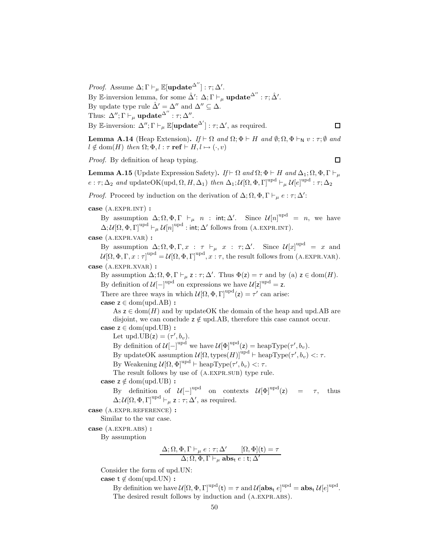*Proof.* Assume  $\Delta; \Gamma \vdash_{\mu} \mathbb{E}[\textbf{update}^{\Delta''}] : \tau; \Delta'.$ By E-inversion lemma, for some  $\hat{\Delta}'$ :  $\Delta; \Gamma \vdash_{\mu} \textbf{update}^{\Delta''} : \tau; \hat{\Delta}'.$ By update type rule  $\hat{\Delta}' = \Delta''$  and  $\Delta'' \subseteq \Delta$ . Thus:  $\Delta''$ ;  $\Gamma \vdash_{\mu}$  update<sup> $\Delta''$ </sup> :  $\tau$ ;  $\Delta''$ . By E-inversion:  $\Delta''$ ;  $\Gamma \vdash_{\mu} \mathbb{E}[\mathbf{update}^{\Delta'}] : \tau; \Delta'$ , as required.

**Lemma A.14** (Heap Extension). If  $\vdash \Omega$  and  $\Omega$ ;  $\Phi \vdash H$  and  $\emptyset$ ;  $\Omega$ ,  $\Phi \vdash_{\mathbb{N}} v : \tau$ ;  $\emptyset$  and  $l \notin \text{dom}(H)$  then  $\Omega; \Phi, l : \tau \text{ ref } \vdash H, l \mapsto (\cdot, v)$ 

Proof. By definition of heap typing.

**Lemma A.15** (Update Expression Safety). If  $\vdash \Omega$  and  $\Omega$ ;  $\Phi \vdash H$  and  $\Delta_1$ ;  $\Omega$ ,  $\Phi$ ,  $\Gamma \vdash$  $e:\tau;\Delta_2$  and updateOK(upd,  $\Omega, H, \Delta_1)$  then  $\Delta_1; \mathcal{U}[\Omega, \Phi, \Gamma]^{\text{upd}} \vdash_{\mu} \mathcal{U}[e]^{\text{upd}} : \tau; \Delta_2$ 

*Proof.* Proceed by induction on the derivation of  $\Delta$ ;  $\Omega$ ,  $\Phi$ ,  $\Gamma \vdash_{\mu} e : \tau$ ;  $\Delta'$ :

 $case (A. EXPR.INT)$ :

By assumption  $\Delta; \Omega, \Phi, \Gamma \vdash_{\mu} n : \text{int}; \Delta'.$  Since  $\mathcal{U}[n]^{\text{upd}} = n$ , we have  $\Delta; \mathcal{U}[\Omega, \Phi, \Gamma]^{\text{upd}} \vdash_{\mu} \mathcal{U}[n]^{\text{upd}}$  : int;  $\Delta'$  follows from (A.EXPR.INT).

case (A.EXPR.VAR) :

By assumption  $\Delta; \Omega, \Phi, \Gamma, x : \tau \vdash_{\mu} x : \tau; \Delta'$ . Since  $\mathcal{U}[x]^{upd} = x$  and  $\mathcal{U}[\Omega,\Phi,\Gamma,x:\tau]^{\text{upd}} = \mathcal{U}[\Omega,\Phi,\Gamma]^{\text{upd}}, x:\tau, \text{ the result follows from (A. EXPR.VAR)}.$ case (A.EXPR.XVAR) :

By assumption  $\Delta; \Omega, \Phi, \Gamma \vdash_{\mu} z : \tau; \Delta'$ . Thus  $\Phi(z) = \tau$  and by (a)  $z \in \text{dom}(H)$ . By definition of  $U[-]^{upd}$  on expressions we have  $U[z]^{upd} = z$ .

There are three ways in which  $\mathcal{U}[\Omega, \Phi, \Gamma]^{\text{upd}}(z) = \tau'$  can arise:

case  $z \in \text{dom}(\text{upd}.AB)$ :

As  $z \in \text{dom}(H)$  and by update OK the domain of the heap and upd. AB are disjoint, we can conclude  $z \notin \text{upd.AB}$ , therefore this case cannot occur. case  $z \in \text{dom}(\text{upd.UB})$ :

Let upd.UB( $z$ ) =  $(\tau', b_v)$ .

By definition of  $\mathcal{U}[-]^{\text{upd}}$  we have  $\mathcal{U}[\Phi]^{\text{upd}}(z) = \text{heapType}(\tau', b_v)$ .

By updateOK assumption  $\mathcal{U}[\Omega,\mathrm{types}(H)]^{\mathrm{upd}} \vdash \mathrm{heapType}(\tau',b_v) <: \tau$ .

By Weakening  $\mathcal{U}[\Omega, \Phi]^{\text{upd}} \vdash \text{heapType}(\tau', b_v) <: \tau$ .

The result follows by use of (A.EXPR.SUB) type rule.

case  $z \notin \text{dom}(\text{upd.UB})$ :

By definition of  $\mathcal{U}[-]^{upd}$  on contexts  $\mathcal{U}[\Phi]^{upd}(z) = \tau$ , thus  $\Delta;\mathcal{U}[\Omega,\Phi,\Gamma]^{\text{upd}}\vdash_{\mu} \mathsf{z}:\tau;\Delta',\text{ as required.}$ 

case (A.EXPR.REFERENCE):

Similar to the var case.

 $case (A. EXPR.ABS)$ :

By assumption

$$
\frac{\Delta;\Omega,\Phi,\Gamma\vdash_{\mu} e:\tau;\Delta'\qquad [\Omega,\Phi](t)=\tau}{\Delta;\Omega,\Phi,\Gamma\vdash_{\mu} a b s_{t}\; e:t;\Delta'}
$$

Consider the form of upd.UN:

case  $t \notin \text{dom}(\text{upd.UN})$ :

By definition we have  $\mathcal{U}[\Omega, \Phi, \Gamma]^{\text{upd}}(t) = \tau$  and  $\mathcal{U}[\mathbf{abs}_{t} e]^{\text{upd}} = \mathbf{abs}_{t} \mathcal{U}[e]^{\text{upd}}$ . The desired result follows by induction and (A.EXPR.ABS).

 $\Box$ 

 $\Box$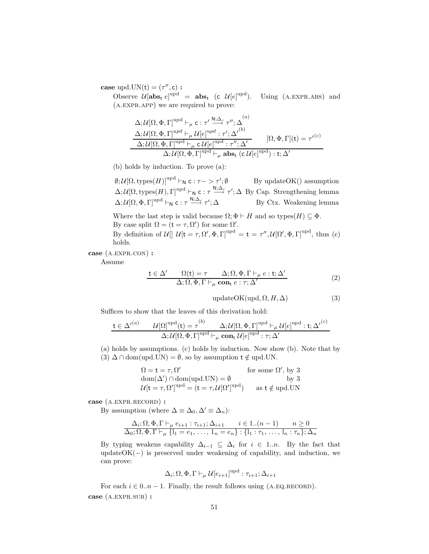case upd.UN(t) =  $(\tau'', c)$  :

Observe  $\mathcal{U}[\mathbf{abs}_{t} e]^{upd} = \mathbf{abs}_{t}$  (c  $\mathcal{U}[e]^{upd}$ ). Using (A.EXPR.ABS) and  $(A.EXPR.APP)$  we are required to prove:

$$
\Delta; \mathcal{U}[\Omega, \Phi, \Gamma]^{\text{upd}} \vdash_{\mu} c : \tau' \stackrel{\mathsf{N}; \Delta_c}{\longrightarrow} \tau''; \Delta^{(a)}
$$
\n
$$
\frac{\Delta; \mathcal{U}[\Omega, \Phi, \Gamma]^{\text{upd}} \vdash_{\mu} \mathcal{U}[e]^{\text{upd}} : \tau'; \Delta'^{(b)}}{\Delta; \mathcal{U}[\Omega, \Phi, \Gamma]^{\text{upd}} \vdash_{\mu} c \mathcal{U}[e]^{\text{upd}} : \tau''; \Delta'} \qquad [\Omega, \Phi, \Gamma](t) = \tau'^{(c)}
$$
\n
$$
\Delta; \mathcal{U}[\Omega, \Phi, \Gamma]^{\text{upd}} \vdash_{\mu} \textbf{abs}_{t} (c \mathcal{U}[e]^{\text{upd}}) : t; \Delta'
$$

(b) holds by induction. To prove (a):

 $\mathcal{W}; \mathcal{U}[\Omega, \text{types}(H)]^{\text{upd}} \vdash_{\mathsf{N}} \textsf{c}: \tau \to \tau'; \emptyset$  By updateOK() assumption  $\Delta; \mathcal{U}[\Omega, \text{types}(H), \Gamma]^{\text{upd}} \vdash_{\mathsf{N}} \mathsf{c} : \tau \stackrel{\mathsf{N}; \Delta_c}{\longrightarrow} \tau'; \Delta \text{ By Cap. Strengthening lemma}$  $\Delta; \mathcal{U}[\Omega, \Phi, \Gamma]^{upd} \vdash_N c : \tau \stackrel{\mathsf{N}; \Delta_c}{\longrightarrow} \tau'; \Delta$  By Ctx. Weakening lemma

Where the last step is valid because  $\Omega$ ;  $\Phi \vdash H$  and so types(H)  $\subseteq \Phi$ . By case split  $\Omega = (t = \tau, \Omega')$  for some  $\Omega'$ .

By definition of  $\mathcal{U}[\mathcal{U}[\mathbf{t}=\tau,\Omega',\Phi,\Gamma]^{upd} = \mathbf{t} = \tau'', \mathcal{U}[\Omega',\Phi,\Gamma]^{upd}$ , thus (c) holds.

case (A.EXPR.CON) :

Assume

$$
\frac{\mathsf{t}\in\Delta'\qquad\Omega(\mathsf{t})=\tau\qquad\Delta;\Omega,\Phi,\Gamma\vdash_{\mu}e:\mathsf{t};\Delta'}{\Delta;\Omega,\Phi,\Gamma\vdash_{\mu}\mathbf{con}_{\mathsf{t}}e:\tau;\Delta'}
$$
(2)

$$
updateOK(upd, \Omega, H, \Delta)
$$
 (3)

Suffices to show that the leaves of this derivation hold:

$$
\frac{\mathsf{t}\in\Delta'^{(a)}}{\Delta;\mathcal{U}[\Omega,\Phi,\Gamma]^{\mathrm{upd}}\mathsf{t})=\tau^{(b)}}\Delta;\mathcal{U}[\Omega,\Phi,\Gamma]^{\mathrm{upd}}\vdash_{\mu}\mathcal{U}[e]^{\mathrm{upd}}:\mathsf{t};\Delta'^{(c)}\\\Delta;\mathcal{U}[\Omega,\Phi,\Gamma]^{\mathrm{upd}}\vdash_{\mu}\mathbf{con}_{\mathbf{t}}\mathcal{U}[e]^{\mathrm{upd}}:\tau;\Delta'
$$

(a) holds by assumptions. (c) holds by induction. Now show (b). Note that by (3)  $\Delta \cap \text{dom}(\text{upd. UN}) = \emptyset$ , so by assumption  $t \notin \text{upd. UN.}$ 

$$
\Omega = t = \tau, \Omega' \qquad \text{for some } \Omega', \text{ by 3} \\ \text{dom}(\Delta') \cap \text{dom}(\text{upd.UN}) = \emptyset \qquad \text{by 3} \\ \mathcal{U}[t = \tau, \Omega']^{\text{upd}} = (t = \tau, \mathcal{U}[\Omega']^{\text{upd}}) \qquad \text{as } t \notin \text{upd.UN}
$$

case (A.EXPR.RECORD) :

By assumption (where  $\Delta \equiv \Delta_0, \Delta' \equiv \Delta_n$ ):

$$
\Delta_i; \Omega, \Phi, \Gamma \vdash_{\mu} e_{i+1} : \tau_{i+1}; \Delta_{i+1} \quad i \in 1..(n-1) \quad n \ge 0
$$
  

$$
\Delta_0; \Omega, \Phi, \Gamma \vdash_{\mu} \{1_1 = e_1, \ldots, 1_n = e_n\} : \{1_1 : \tau_1, \ldots, 1_n : \tau_n\}; \Delta_n
$$

By typing weakens capability  $\Delta_{i-1} \subseteq \Delta_i$  for  $i \in 1..n$ . By the fact that update $OK(-)$  is preserved under weakening of capability, and induction, we can prove:

$$
\Delta_i;\Omega,\Phi,\Gamma\vdash_{\mu}\mathcal{U}[e_{i+1}]^{\text{upd}}:\tau_{i+1};\Delta_{i+1}
$$

For each  $i \in 0..n-1$ . Finally, the result follows using (A.EQ.RECORD). case (A.EXPR.SUB) :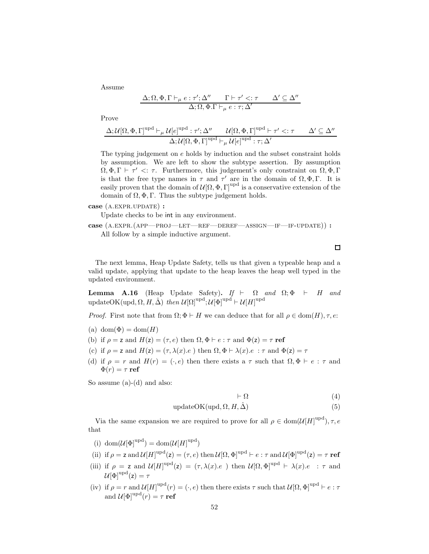Assume

$$
\frac{\Delta;\Omega,\Phi,\Gamma\vdash_{\mu} e:\tau';\Delta''\qquad \Gamma\vdash\tau'<:\tau\qquad \Delta'\subseteq\Delta''}{\Delta;\Omega,\Phi.\Gamma\vdash_{\mu} e:\tau;\Delta'}
$$

Prove

$$
\frac{\Delta; \mathcal{U}[\Omega, \Phi, \Gamma]^{\text{upd}} \vdash_{\mu} \mathcal{U}[e]^{\text{upd}} : \tau'; \Delta'' \qquad \mathcal{U}[\Omega, \Phi, \Gamma]^{\text{upd}} \vdash \tau' <: \tau \qquad \Delta' \subseteq \Delta''}{\Delta; \mathcal{U}[\Omega, \Phi, \Gamma]^{\text{upd}} \vdash_{\mu} \mathcal{U}[e]^{\text{upd}} : \tau; \Delta'}
$$

The typing judgement on e holds by induction and the subset constraint holds by assumption. We are left to show the subtype assertion. By assumption  $\Omega, \Phi, \Gamma \vdash \tau' \prec : \tau$ . Furthermore, this judgement's only constraint on  $\Omega, \Phi, \Gamma$ is that the free type names in  $\tau$  and  $\tau'$  are in the domain of  $\Omega, \Phi, \Gamma$ . It is easily proven that the domain of  $\mathcal{U}[\Omega, \Phi, \Gamma]^{upd}$  is a conservative extension of the domain of  $\Omega, \Phi, \Gamma$ . Thus the subtype judgement holds.

case (A.EXPR.UPDATE) :

Update checks to be int in any environment.

case (a.expr.(app—proj—let—ref—deref—assign—if—if-update)) : All follow by a simple inductive argument.

 $\Box$ 

The next lemma, Heap Update Safety, tells us that given a typeable heap and a valid update, applying that update to the heap leaves the heap well typed in the updated environment.

**Lemma A.16** (Heap Update Safety). If  $\vdash \Omega$  and  $\Omega$ ;  $\Phi \vdash H$  and updateOK(upd,  $\Omega$ , H,  $\hat{\Delta}$ ) then  $\mathcal{U}[\Omega]^{\text{upd}}$ ;  $\mathcal{U}[\Phi]^{\text{upd}} \vdash \mathcal{U}[H]^{\text{upd}}$ 

*Proof.* First note that from  $\Omega$ ;  $\Phi \vdash H$  we can deduce that for all  $\rho \in \text{dom}(H)$ ,  $\tau$ ,  $e$ :

- (a) dom $(\Phi) = \text{dom}(H)$
- (b) if  $\rho = z$  and  $H(z) = (\tau, e)$  then  $\Omega, \Phi \vdash e : \tau$  and  $\Phi(z) = \tau$  ref
- (c) if  $\rho = z$  and  $H(z) = (\tau, \lambda(x).e)$  then  $\Omega, \Phi \vdash \lambda(x).e : \tau$  and  $\Phi(z) = \tau$
- (d) if  $\rho = r$  and  $H(r) = (\cdot, e)$  then there exists a  $\tau$  such that  $\Omega, \Phi \vdash e : \tau$  and  $\Phi(r) = \tau \text{ ref}$

So assume (a)-(d) and also:

$$
\vdash \Omega \tag{4}
$$

$$
updateOK(upd, \Omega, H, \hat{\Delta})
$$
\n(5)

Via the same expansion we are required to prove for all  $\rho \in \text{dom}(\mathcal{U}[H]^{\text{upd}}), \tau, e$ that

(i) 
$$
\text{dom}(\mathcal{U}[\Phi]^{\text{upd}}) = \text{dom}(\mathcal{U}[H]^{\text{upd}})
$$

(ii) if 
$$
\rho = z
$$
 and  $\mathcal{U}[H]^{\text{upd}}(z) = (\tau, e)$  then  $\mathcal{U}[\Omega, \Phi]^{\text{upd}} \vdash e : \tau$  and  $\mathcal{U}[\Phi]^{\text{upd}}(z) = \tau$  ref

- (iii) if  $\rho = z$  and  $\mathcal{U}[H]^{upd}(z) = (\tau, \lambda(x).e)$  then  $\mathcal{U}[\Omega, \Phi]^{upd} \vdash \lambda(x).e : \tau$  and  $\mathcal{U}[\Phi]^{\mathrm{upd}}(\mathsf{z}) = \tau$
- (iv) if  $\rho = r$  and  $\mathcal{U}[H]^{\text{upd}}(r) = (\cdot, e)$  then there exists  $\tau$  such that  $\mathcal{U}[\Omega, \Phi]^{\text{upd}} \vdash e : \tau$ and  $\mathcal{U}[\Phi]^{\text{upd}}(r) = \tau \text{ ref}$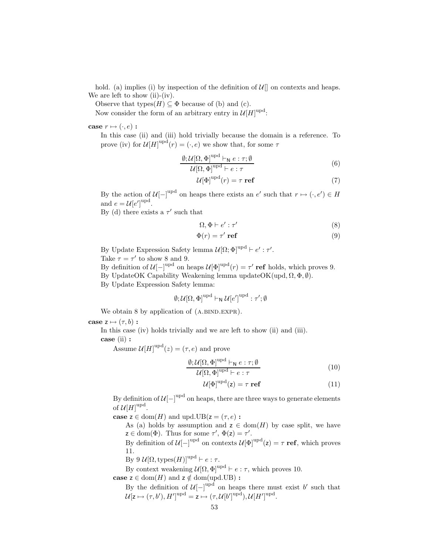hold. (a) implies (i) by inspection of the definition of  $\mathcal{U}$  on contexts and heaps. We are left to show (ii)-(iv).

Observe that types $(H) \subseteq \Phi$  because of (b) and (c).

Now consider the form of an arbitrary entry in  $\mathcal{U}[H]^{\text{upd}}$ :

case  $r \mapsto (\cdot, e)$ :

In this case (ii) and (iii) hold trivially because the domain is a reference. To prove (iv) for  $\mathcal{U}[H]^{\text{upd}}(r) = (\cdot, e)$  we show that, for some  $\tau$ 

$$
\frac{\emptyset; \mathcal{U}[\Omega, \Phi]^{\text{upd}} \vdash_{\mathsf{N}} e : \tau; \emptyset}{\mathcal{U}[\Omega, \Phi]^{\text{upd}} \vdash e : \tau}
$$
\n(6)

$$
U[\Phi]^{\text{upd}}(r) = \tau \ \text{ref} \tag{7}
$$

By the action of  $U[-]^{upd}$  on heaps there exists an e' such that  $r \mapsto (\cdot, e') \in H$ and  $e = \mathcal{U}[e']^{\text{upd}}$ .

By (d) there exists a  $\tau'$  such that

$$
\Omega, \Phi \vdash e' : \tau'
$$
\n<sup>(8)</sup>

$$
\Phi(r) = \tau' \mathbf{ref} \tag{9}
$$

By Update Expression Safety lemma  $\mathcal{U}[\Omega; \Phi]^{\text{upd}} \vdash e' : \tau'.$ Take  $\tau = \tau'$  to show 8 and 9.

By definition of  $\mathcal{U}[-]^{\text{upd}}$  on heaps  $\mathcal{U}[\Phi]^{\text{upd}}(r) = \tau'$  ref holds, which proves 9. By UpdateOK Capability Weakening lemma updateOK(upd,  $\Omega$ ,  $\Phi$ ,  $\emptyset$ ). By Update Expression Safety lemma:

$$
\emptyset; \mathcal{U}[\Omega, \Phi]^{\mathrm{upd}} \vdash_{\mathsf{N}} \mathcal{U}[e']^{\mathrm{upd}} : \tau'; \emptyset
$$

We obtain 8 by application of (A.BIND.EXPR).

case  $z \mapsto (\tau, b)$ :

In this case (iv) holds trivially and we are left to show (ii) and (iii).

case (ii) :

Assume  $\mathcal{U}[H]^{\text{upd}}(z) = (\tau, e)$  and prove

$$
\frac{\emptyset; \mathcal{U}[\Omega, \Phi]^{\text{upd}} \vdash_{\mathsf{N}} e : \tau; \emptyset}{\mathcal{U}[\Omega, \Phi]^{\text{upd}} \vdash e : \tau}
$$
\n(10)

$$
\mathcal{U}[\Phi]^{\text{upd}}(z) = \tau \text{ ref} \tag{11}
$$

By definition of  $\mathcal{U}[-]^{\text{upd}}$  on heaps, there are three ways to generate elements of  $\mathcal{U}[H]^{\mathrm{upd}}.$ 

case  $z \in \text{dom}(H)$  and upd.UB( $z = (\tau, e)$ :

As (a) holds by assumption and  $z \in \text{dom}(H)$  by case split, we have  $z \in \text{dom}(\Phi)$ . Thus for some  $\tau', \Phi(z) = \tau'.$ 

By definition of  $U[-]^{upd}$  on contexts  $U[\Phi]^{upd}(z) = \tau \text{ ref},$  which proves 11.

By 9  $\mathcal{U}[\Omega,\mathrm{types}(H)]^{\mathrm{upd}}\vdash e:\tau.$ 

By context weakening  $\mathcal{U}[\Omega, \Phi]^{\text{upd}} \vdash e : \tau$ , which proves 10.

case  $z \in \text{dom}(H)$  and  $z \notin \text{dom}(\text{upd.UB})$ :

By the definition of  $\mathcal{U}[-]^{upd}$  on heaps there must exist b' such that  $\mathcal{U}[\mathsf{z}\mapsto(\tau,b'),H']^{\mathrm{upd}}=\mathsf{z}\mapsto(\tau,\mathcal{U}[b']^{\mathrm{upd}}),\mathcal{U}[H']^{\mathrm{upd}}.$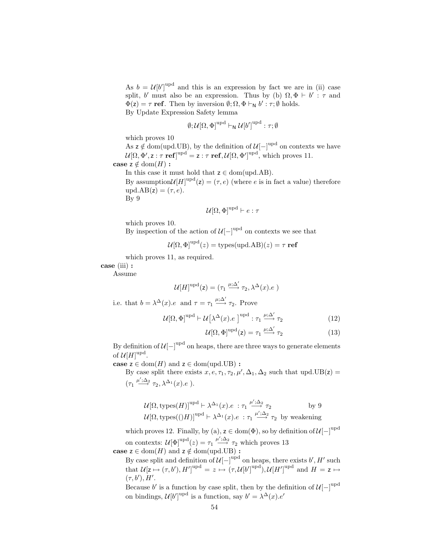As  $b = \mathcal{U}[b']^{\text{upd}}$  and this is an expression by fact we are in (ii) case split, b' must also be an expression. Thus by (b)  $\Omega, \Phi \vdash b' : \tau$  and  $\Phi(z) = \tau \text{ ref.}$  Then by inversion  $\emptyset; \Omega, \Phi \vdash_{\mathsf{N}} b' : \tau; \emptyset$  holds. By Update Expression Safety lemma

$$
\emptyset; \mathcal{U}[\Omega, \Phi]^{\mathrm{upd}} \vdash_{\mathsf{N}} \mathcal{U}[b']^{\mathrm{upd}} : \tau; \emptyset
$$

which proves 10

As  $z \notin \text{dom}(\text{upd.UB})$ , by the definition of  $\mathcal{U}[-]^{upd}$  on contexts we have  $\mathcal{U}[\Omega,\Phi',\mathsf{z}:\tau \text{ ref}]^{\text{upd}} = \mathsf{z}:\tau \text{ ref}, \mathcal{U}[\Omega,\Phi']^{\text{upd}},$  which proves 11.

$$
\mathbf{case} \mathbin{\mathsf{z}} \notin \mathop{\mathsf{dom}}(H) \mathbin{\colon}
$$

In this case it must hold that  $z \in \text{dom}(upd.AB)$ .

By assumption $\mathcal{U}[H]^{\text{upd}}(z) = (\tau, e)$  (where e is in fact a value) therefore upd.AB( $z$ ) =  $(\tau, e)$ .

By 9

$$
\mathcal{U}[\Omega, \Phi]^{\text{upd}} \vdash e : \tau
$$

which proves 10.

By inspection of the action of  $\mathcal{U}[-]^{upd}$  on contexts we see that

$$
\mathcal{U}[\Omega, \Phi]^{\text{upd}}(z) = \text{types}(\text{upd}. \text{AB})(z) = \tau \text{ ref}
$$

which proves 11, as required.

case (iii) :

Assume

$$
\mathcal{U}[H]^{\mathrm{upd}}(\mathbf{z}) = (\tau_1 \xrightarrow{\mu; \Delta'} \tau_2, \lambda^{\Delta}(x).e\ )
$$

i.e. that  $b = \lambda^{\Delta}(x) \cdot e$  and  $\tau = \tau_1 \xrightarrow{\mu; \Delta'} \tau_2$ . Prove

$$
\mathcal{U}[\Omega,\Phi]^{\text{upd}} \vdash \mathcal{U}\big[\lambda^{\Delta}(x).e\big]^{\text{upd}} : \tau_1 \xrightarrow{\mu;\Delta'} \tau_2 \tag{12}
$$

$$
\mathcal{U}[\Omega, \Phi]^{\text{upd}}(z) = \tau_1 \stackrel{\mu; \Delta'}{\longrightarrow} \tau_2 \tag{13}
$$

By definition of  $\mathcal{U}[-]^{\text{upd}}$  on heaps, there are three ways to generate elements of  $\mathcal{U}[H]^{\mathrm{upd}}.$ 

case  $z \in \text{dom}(H)$  and  $z \in \text{dom}(\text{upd.UB})$ :

By case split there exists  $x, e, \tau_1, \tau_2, \mu', \Delta_1, \Delta_2$  such that upd.UB(z) =  $(\tau_1 \stackrel{\mu'; \Delta_2}{\longrightarrow} \tau_2, \lambda^{\Delta_1}(x).e).$ 

$$
\mathcal{U}[\Omega, \text{types}(H)]^{\text{upd}} \vdash \lambda^{\Delta_1}(x). e \; : \tau_1 \xrightarrow{\mu': \Delta_2} \tau_2 \qquad \text{by 9}
$$
  

$$
\mathcal{U}[\Omega, \text{types}(()H)]^{\text{upd}} \vdash \lambda^{\Delta_1}(x). e \; : \tau_1 \xrightarrow{\mu': \Delta_2} \tau_2 \text{ by weakening}
$$

which proves 12. Finally, by (a),  $z \in \text{dom}(\Phi)$ , so by definition of  $\mathcal{U}[-]^{upd}$ on contexts:  $\mathcal{U}[\Phi]^{\text{upd}}(z) = \tau_1 \stackrel{\mu'; \Delta_2}{\longrightarrow} \tau_2$  which proves 13

case  $z \in \text{dom}(H)$  and  $z \notin \text{dom}(\text{upd.UB})$ : By case split and definition of  $\mathcal{U}[-]^{upd}$  on heaps, there exists  $b', H'$  such

that  $\mathcal{U}[z \mapsto (\tau, b'), H']^{\text{upd}} = z \mapsto (\tau, \mathcal{U}[b']^{\text{upd}}), \mathcal{U}[H']^{\text{upd}}$  and  $H = z \mapsto$  $(\tau, b'), H'.$ 

Because b' is a function by case split, then by the definition of  $\mathcal{U}[-]^{upd}$ on bindings,  $\mathcal{U}[b']^{\text{upd}}$  is a function, say  $b' = \lambda^{\Delta}(x) . e'$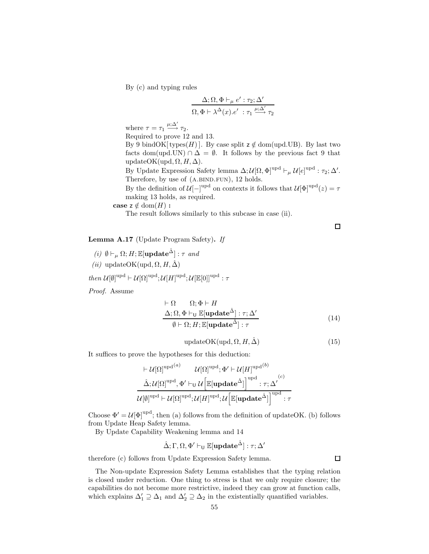By (c) and typing rules

$$
\frac{\Delta; \Omega, \Phi \vdash_{\mu} e': \tau_2; \Delta'}{\Omega, \Phi \vdash \lambda^{\Delta}(x).e' : \tau_1 \stackrel{\mu; \Delta'}{\longrightarrow} \tau_2}
$$

where  $\tau = \tau_1 \stackrel{\mu; \Delta'}{\longrightarrow} \tau_2$ .

Required to prove 12 and 13.

By 9 bindOK[types(H)]. By case split  $z \notin \text{dom}(upd.UB)$ . By last two facts dom(upd.UN)  $\cap \Delta = \emptyset$ . It follows by the previous fact 9 that updateOK(upd,  $\Omega$ ,  $H$ ,  $\Delta$ ).

By Update Expression Safety lemma  $\Delta;\mathcal{U}[\Omega,\Phi]^{\text{upd}}\vdash_{\mu}\mathcal{U}[e]^{\text{upd}}:\tau_2;\Delta'.$ Therefore, by use of (A.BIND.FUN), 12 holds.

By the definition of  $\mathcal{U}[-]^{upd}$  on contexts it follows that  $\mathcal{U}[\Phi]^{upd}(z) = \tau$ making 13 holds, as required.

case  $z \notin \text{dom}(H)$ :

The result follows similarly to this subcase in case (ii).

 $\Box$ 

Lemma A.17 (Update Program Safety). If

(i)  $\emptyset \vdash_{\mu} \Omega; H; \mathbb{E}[\textbf{update}^{\hat{\Delta}}] : \tau \text{ and}$ 

(ii) updateOK(upd,  $\Omega, H, \hat{\Delta}$ )

 $then \; \mathcal{U}[\emptyset]^{\mathrm{upd}} \vdash \mathcal{U}[\Omega]^{\mathrm{upd}}; \mathcal{U}[H]^{\mathrm{upd}}; \mathcal{U}[\mathbb{E}[0]]^{\mathrm{upd}}: \tau$ 

Proof. Assume

$$
\vdash \Omega \qquad \Omega; \Phi \vdash H
$$
  
\n
$$
\Delta; \Omega, \Phi \vdash_{\mathsf{U}} \mathbb{E}[\mathbf{update}^{\hat{\Delta}}] : \tau; \Delta'
$$
  
\n
$$
\emptyset \vdash \Omega; H; \mathbb{E}[\mathbf{update}^{\hat{\Delta}}] : \tau
$$
\n(14)

updateOK(upd,  $\Omega, H, \hat{\Delta}$ ) (15)

It suffices to prove the hypotheses for this deduction:

$$
\vdash \mathcal{U}[\Omega]^{\mathrm{upd}(a)} \qquad \mathcal{U}[\Omega]^{\mathrm{upd}}; \Phi' \vdash \mathcal{U}[H]^{\mathrm{upd}(b)} \\ \dfrac{\hat{\Delta}; \mathcal{U}[\Omega]^{\mathrm{upd}} , \Phi' \vdash_{\mathsf{U}} \mathcal{U}\Big[\mathbb{E}[\mathbf{update}^{\hat{\Delta}}]\Big]^{\mathrm{upd}} : \tau ; \Delta' }{\mathcal{U}[\emptyset]^{\mathrm{upd}} \vdash \mathcal{U}[\Omega]^{\mathrm{upd}}; \mathcal{U}\big[H]^{\mathrm{upd}}; \mathcal{U}\Big[\mathbb{E}[\mathbf{update}^{\hat{\Delta}}]\Big]^{\mathrm{upd}} : \tau }
$$

Choose  $\Phi' = \mathcal{U}[\Phi]^{\text{upd}}$ ; then (a) follows from the definition of updateOK. (b) follows from Update Heap Safety lemma.

By Update Capability Weakening lemma and 14

$$
\hat{\Delta}; \Gamma, \Omega, \Phi' \vdash_{\mathsf{U}} \mathbb{E}[\mathbf{update}^{\hat{\Delta}}] : \tau; \Delta'
$$

therefore (c) follows from Update Expression Safety lemma.

 $\Box$ 

The Non-update Expression Safety Lemma establishes that the typing relation is closed under reduction. One thing to stress is that we only require closure; the capabilities do not become more restrictive, indeed they can grow at function calls, which explains  $\Delta'_1 \supseteq \Delta_1$  and  $\Delta'_2 \supseteq \Delta_2$  in the existentially quantified variables.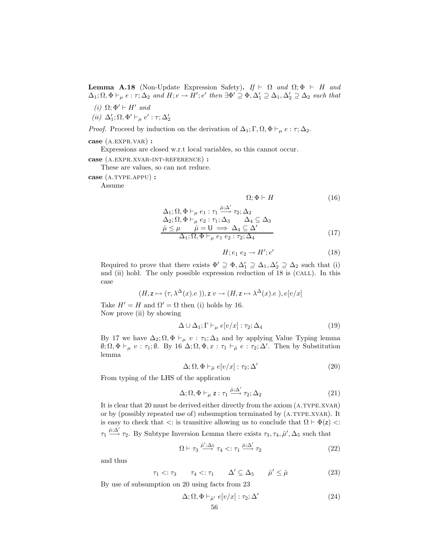**Lemma A.18** (Non-Update Expression Safety). If  $\vdash \Omega$  and  $\Omega$ ;  $\Phi \vdash H$  and  $\Delta_1;\Omega,\Phi\vdash_{\mu} e:\tau;\Delta_2$  and  $H; e\to H'; e'$  then  $\exists \Phi'\supseteq \Phi, \Delta'_1\supseteq \Delta_1, \Delta'_2\supseteq \Delta_2$  such that

- (i)  $\Omega$ ;  $\Phi' \vdash H'$  and
- $(ii)$   $\,\Delta'_{1};\Omega,\Phi'\vdash_{\mu}\, e':\tau;\Delta'_{2}\,$

*Proof.* Proceed by induction on the derivation of  $\Delta_1$ ; Γ, Ω,  $\Phi \vdash_{\mu} e : \tau$ ;  $\Delta_2$ .

case (A.EXPR.VAR) :

Expressions are closed w.r.t local variables, so this cannot occur.

case (A.EXPR.XVAR-INT-REFERENCE) :

These are values, so can not reduce.

case (A.TYPE.APPU) :

Assume

$$
\Omega; \Phi \vdash H \tag{16}
$$

$$
\Delta_1; \Omega, \Phi \vdash_{\mu} e_1 : \tau_1 \xrightarrow{\hat{\mu}; \Delta'} \tau_2; \Delta_2 \n\Delta_2; \Omega, \Phi \vdash_{\mu} e_2 : \tau_1; \Delta_3 \qquad \Delta_4 \subseteq \Delta_3 \n\hat{\mu} \leq \mu \qquad \hat{\mu} = \mathbf{U} \implies \Delta_4 \subseteq \Delta' \n\Delta_1; \Omega, \Phi \vdash_{\mu} e_1 e_2 : \tau_2; \Delta_4
$$
\n(17)

$$
H; e_1 \ e_2 \to H'; e' \tag{18}
$$

Required to prove that there exists  $\Phi' \supseteq \Phi$ ,  $\Delta'_1 \supseteq \Delta_1$ ,  $\Delta'_2 \supseteq \Delta_2$  such that (i) and (ii) hold. The only possible expression reduction of 18 is (CALL). In this case

$$
(H, z \mapsto (\tau, \lambda^{\Delta}(x).e)), z \ v \to (H, z \mapsto \lambda^{\Delta}(x).e), e[v/x]
$$

Take  $H' = H$  and  $\Omega' = \Omega$  then (i) holds by 16. Now prove (ii) by showing

$$
\Delta \cup \Delta_1; \Gamma \vdash_{\mu} e[v/x] : \tau_2; \Delta_4 \tag{19}
$$

By 17 we have  $\Delta_2$ ;  $\Omega$ ,  $\Phi \vdash_{\mu} v : \tau_1$ ;  $\Delta_3$  and by applying Value Typing lemma  $\emptyset; \Omega, \Phi \vdash_{\mu} v : \tau_1; \emptyset$ . By 16  $\Delta; \Omega, \Phi, x : \tau_1 \vdash_{\hat{\mu}} e : \tau_2; \Delta'$ . Then by Substitution lemma

$$
\Delta; \Omega, \Phi \vdash_{\hat{\mu}} e[v/x] : \tau_2; \Delta'
$$
\n(20)

From typing of the LHS of the application

$$
\Delta; \Omega, \Phi \vdash_{\mu} z : \tau_1 \xrightarrow{\hat{\mu}; \Delta'} \tau_2; \Delta_2 \tag{21}
$$

It is clear that 20 must be derived either directly from the axiom (A.TYPE.XVAR) or by (possibly repeated use of) subsumption terminated by (A.TYPE.XVAR). It is easy to check that  $\lt$ : is transitive allowing us to conclude that  $\Omega \vdash \Phi(z) \lt$ :  $\tau_1 \stackrel{\hat{\mu};\Delta'}{\longrightarrow} \tau_2$ . By Subtype Inversion Lemma there exists  $\tau_3, \tau_4, \hat{\mu}', \Delta_5$  such that

$$
\Omega \vdash \tau_3 \stackrel{\hat{\mu}'; \Delta_5}{\longrightarrow} \tau_4 <: \tau_1 \stackrel{\hat{\mu}; \Delta'}{\longrightarrow} \tau_2 \tag{22}
$$

and thus

$$
\tau_1 <: \tau_3 \qquad \tau_4 <: \tau_1 \qquad \Delta' \subseteq \Delta_5 \qquad \hat{\mu}' \leq \hat{\mu} \tag{23}
$$

By use of subsumption on 20 using facts from 23

$$
\Delta; \Omega, \Phi \vdash_{\hat{\mu}'} e[v/x] : \tau_2; \Delta'
$$
 (24)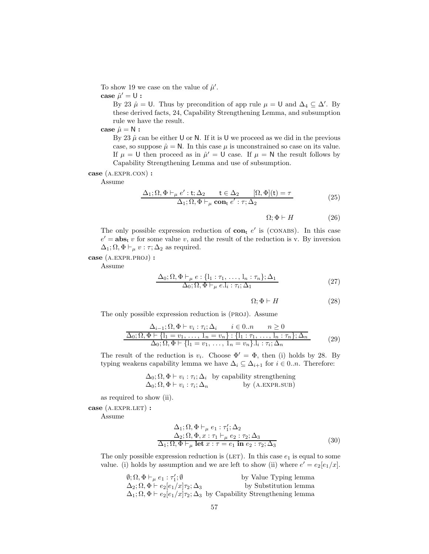To show 19 we case on the value of  $\hat{\mu}'$ .

 $\mathrm{case}~\hat{\mu}^\prime = \mathsf{U}$  :

By 23  $\hat{\mu} = \mathsf{U}$ . Thus by precondition of app rule  $\mu = \mathsf{U}$  and  $\Delta_4 \subseteq \Delta'$ . By these derived facts, 24, Capability Strengthening Lemma, and subsumption rule we have the result.

case  $\hat{\mu} = N$ :

By 23  $\hat{\mu}$  can be either U or N. If it is U we proceed as we did in the previous case, so suppose  $\hat{\mu} = \mathsf{N}$ . In this case  $\mu$  is unconstrained so case on its value. If  $\mu = \mathsf{U}$  then proceed as in  $\hat{\mu}' = \mathsf{U}$  case. If  $\mu = \mathsf{N}$  the result follows by Capability Strengthening Lemma and use of subsumption.

case (A.EXPR.CON) :

Assume

$$
\frac{\Delta_1; \Omega, \Phi \vdash_{\mu} e': t; \Delta_2 \qquad t \in \Delta_2 \qquad [\Omega, \Phi](t) = \tau}{\Delta_1; \Omega, \Phi \vdash_{\mu} \text{con}_t e': \tau; \Delta_2} \tag{25}
$$

$$
\Omega; \Phi \vdash H \tag{26}
$$

The only possible expression reduction of  $con<sub>t</sub> e'$  is (CONABS). In this case  $e' = abs_t v$  for some value v, and the result of the reduction is v. By inversion  $\Delta_1$ ;  $\Omega$ ,  $\Phi \vdash_{\mu} v : \tau$ ;  $\Delta_2$  as required.

case (A.EXPR.PROJ) :

Assume

$$
\frac{\Delta_0; \Omega, \Phi \vdash_{\mu} e: \{l_1 : \tau_1, \dots, l_n : \tau_n\}; \Delta_1}{\Delta_0; \Omega, \Phi \vdash_{\mu} e. l_i : \tau_i; \Delta_1}
$$
\n(27)

$$
\Omega; \Phi \vdash H \tag{28}
$$

The only possible expression reduction is (PROJ). Assume

$$
\frac{\Delta_{i-1}; \Omega, \Phi \vdash v_i : \tau_i; \Delta_i \qquad i \in 0..n \qquad n \ge 0}{\Delta_0; \Omega, \Phi \vdash \{l_1 = v_1, \ldots, l_n = v_n\} : \{l_1 : \tau_1, \ldots, l_n : \tau_n\}; \Delta_n}
$$
\n
$$
\Delta_0; \Omega, \Phi \vdash \{l_1 = v_1, \ldots, l_n = v_n\}. l_i : \tau_i; \Delta_n
$$
\n
$$
(29)
$$

The result of the reduction is  $v_i$ . Choose  $\Phi' = \Phi$ , then (i) holds by 28. By typing weakens capability lemma we have  $\Delta_i \subseteq \Delta_{i+1}$  for  $i \in 0..n$ . Therefore:

$$
\Delta_0; \Omega, \Phi \vdash v_i : \tau_i; \Delta_i \text{ by capability strengthening } \Delta_0; \Omega, \Phi \vdash v_i : \tau_i; \Delta_n \text{ by (A. EXPR. SUB)}
$$

as required to show (ii).

case (A.EXPR.LET) :

Assume

$$
\Delta_1; \Omega, \Phi \vdash_{\mu} e_1 : \tau_1'; \Delta_2 \n\Delta_2; \Omega, \Phi, x : \tau_1 \vdash_{\mu} e_2 : \tau_2; \Delta_3 \n\Delta_1; \Omega, \Phi \vdash_{\mu} \text{let } x : \tau = e_1 \text{ in } e_2 : \tau_2; \Delta_3
$$
\n(30)

The only possible expression reduction is (LET). In this case  $e_1$  is equal to some value. (i) holds by assumption and we are left to show (ii) where  $e' = e_2[e_1/x]$ .

> $\emptyset; \Omega, \Phi \vdash_{\mu} e_1 : \tau'_1; \emptyset$  by Value Typing lemma  $\Delta_2; \Omega, \Phi \vdash e_2[e_1/x]\tau_2; \Delta_3$  by Substitution lemma  $\Delta_1; \Omega, \Phi \vdash e_2[e_1/x]\tau_2; \Delta_3$  by Capability Strengthening lemma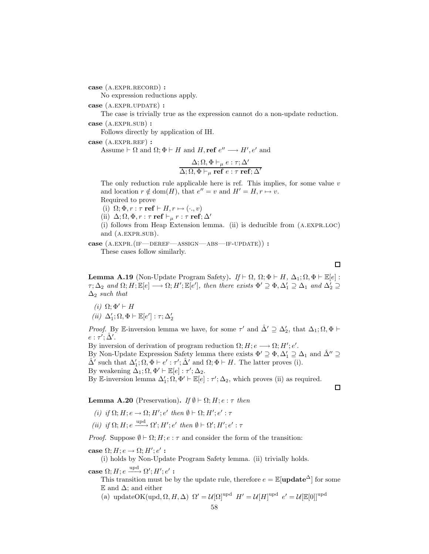case (A.EXPR.RECORD) :

No expression reductions apply.

case (A.EXPR.UPDATE):

The case is trivially true as the expression cannot do a non-update reduction.

case (A.EXPR.SUB) :

Follows directly by application of IH.

 $case (A. EXPR.REF)$ :

Assume  $\vdash \Omega$  and  $\Omega$ ;  $\Phi \vdash H$  and  $H$ , ref  $e'' \longrightarrow H'$ ,  $e'$  and

$$
\frac{\Delta; \Omega, \Phi \vdash_{\mu} e : \tau; \Delta'}{\Delta; \Omega, \Phi \vdash_{\mu} \mathbf{ref}\ e : \tau\ \mathbf{ref}; \Delta'}
$$

The only reduction rule applicable here is ref. This implies, for some value  $v$ and location  $r \notin \text{dom}(H)$ , that  $e'' = v$  and  $H' = H, r \mapsto v$ .

Required to prove

(i)  $\Omega; \Phi, r : \tau \text{ ref} \vdash H, r \mapsto (\cdot, v)$ 

(ii)  $\Delta; \Omega, \Phi, r : \tau \text{ ref } \vdash_{\mu} r : \tau \text{ ref}; \Delta'$ 

(i) follows from Heap Extension lemma. (ii) is deducible from (a.expr.loc) and  $(A.EXPR.SUB)$ .

case (a.expr.(if—deref—assign—abs—if-update)) : These cases follow similarly.

Lemma A.19 (Non-Update Program Safety).  $If \vdash \Omega, \Omega; \Phi \vdash H, \Delta_1; \Omega, \Phi \vdash \mathbb{E}[e]$ :  $\tau$ ;  $\Delta_2$  and  $\Omega$ ;  $H$ ;  $\mathbb{E}[e] \longrightarrow \Omega$ ;  $H'$ ;  $\mathbb{E}[e']$ , then there exists  $\Phi' \supseteq \Phi$ ,  $\Delta'_1 \supseteq \Delta_1$  and  $\Delta'_2 \supseteq \Delta_2$  $\Delta_2$  such that

$$
(i) \ \Omega; \Phi' \vdash H
$$

(*ii*) Δ'<sub>1</sub>; Ω, Φ ⊢  $\mathbb{E}[e']$  :  $τ; Δ'_{2}$ 

*Proof.* By E-inversion lemma we have, for some  $\tau'$  and  $\hat{\Delta}' \supseteq \Delta'_2$ , that  $\Delta_1; \Omega, \Phi \vdash$  $e:\tau';\hat\Delta'.$ 

By inversion of derivation of program reduction  $\Omega; H; e \longrightarrow \Omega; H'; e'.$ 

By Non-Update Expression Safety lemma there exists  $\Phi' \supseteq \Phi, \Delta'_1 \supseteq \Delta_1$  and  $\hat{\Delta}'' \supseteq$  $\hat{\Delta}'$  such that  $\Delta'_1$ ;  $\Omega$ ,  $\Phi \vdash e' : \tau'$ ;  $\hat{\Delta}'$  and  $\Omega$ ;  $\Phi \vdash H$ . The latter proves (i).

By weakening  $\overline{\Delta}_1$ ;  $\Omega, \Phi' \vdash \mathbb{E}[e] : \tau'; \Delta_2$ .

By E-inversion lemma  $\Delta'_1$ ;  $\Omega$ ,  $\Phi' \vdash \mathbb{E}[e]$ :  $\tau'$ ;  $\Delta_2$ , which proves (ii) as required.

 $\Box$ 

 $\Box$ 

**Lemma A.20** (Preservation). If  $\emptyset \vdash \Omega; H; e : \tau$  then

- (i) if  $\Omega; H; e \to \Omega; H'; e'$  then  $\emptyset \vdash \Omega; H'; e' : \tau$
- (ii) if  $\Omega; H$ ;  $e \xrightarrow{\text{upd}} \Omega'; H'; e'$  then  $\emptyset \vdash \Omega'; H'; e' : \tau$

*Proof.* Suppose  $\emptyset \vdash \Omega; H; e : \tau$  and consider the form of the transition:

case  $\Omega; H; e \to \Omega; H'; e'$ :

(i) holds by Non-Update Program Safety lemma. (ii) trivially holds.

 $\textbf{case} \; \Omega; H; e \xrightarrow{\text{upd}} \Omega'; H'; e' \; \textbf{:}$ 

This transition must be by the update rule, therefore  $e = \mathbb{E}[\text{update}^{\Delta}]$  for some  $E$  and  $\Delta$ ; and either

(a) updateOK(upd,  $\Omega$ ,  $H$ ,  $\Delta$ )  $\Omega' = \mathcal{U}[\Omega]^{\text{upd}}$   $H' = \mathcal{U}[H]^{\text{upd}}$   $e' = \mathcal{U}[\mathbb{E}[0]]^{\text{upd}}$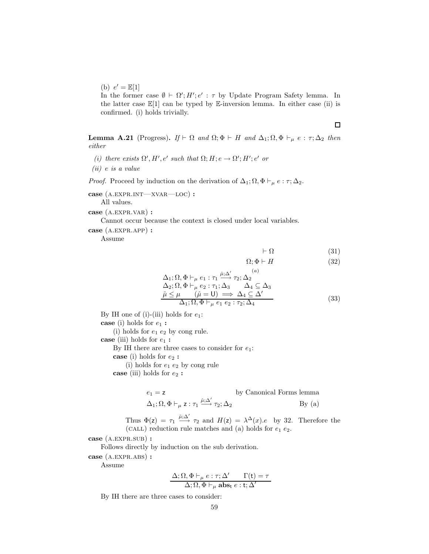(b)  $e' = \mathbb{E}[1]$ 

In the former case  $\emptyset \vdash \Omega'; H'; e' : \tau$  by Update Program Safety lemma. In the latter case  $\mathbb{E}[1]$  can be typed by E-inversion lemma. In either case (ii) is confirmed. (i) holds trivially.

**Lemma A.21** (Progress). If  $\vdash \Omega$  and  $\Omega; \Phi \vdash H$  and  $\Delta_1; \Omega, \Phi \vdash_{\mu} e : \tau; \Delta_2$  then either

- (i) there exists  $\Omega', H', e'$  such that  $\Omega; H; e \to \Omega'; H'; e'$  or
- (ii) e is a value

*Proof.* Proceed by induction on the derivation of  $\Delta_1$ ;  $\Omega$ ,  $\Phi \vdash_{\mu} e : \tau$ ;  $\Delta_2$ .

- case (A.EXPR.INT—XVAR—LOC): All values.
- $case (A. EXPR.VAR)$ :

Cannot occur because the context is closed under local variables.

case (A.EXPR.APP) :

Assume

 $\vdash \Omega$  (31)

$$
\Omega; \Phi \vdash H \tag{32}
$$

$$
\Delta_1; \Omega, \Phi \vdash_{\mu} e_1 : \tau_1 \xrightarrow{\hat{\mu}; \Delta'} \tau_2; \Delta_2
$$
\n
$$
\Delta_2; \Omega, \Phi \vdash_{\mu} e_2 : \tau_1; \Delta_3 \qquad \Delta_4 \subseteq \Delta_3
$$
\n
$$
\hat{\mu} \leq \mu \qquad (\hat{\mu} = \mathbf{U}) \implies \Delta_4 \subseteq \Delta'
$$
\n
$$
\Delta_1; \Omega, \Phi \vdash_{\mu} e_1 e_2 : \tau_2; \Delta_4
$$
\n(33)

By IH one of (i)-(iii) holds for  $e_1$ : **case** (i) holds for  $e_1$  : (i) holds for  $e_1 e_2$  by cong rule. **case** (iii) holds for  $e_1$  : By IH there are three cases to consider for  $e_1$ : **case** (i) holds for  $e_2$  : (i) holds for  $e_1 e_2$  by cong rule

case (iii) holds for  $e_2$ :

$$
e_1 = \mathsf{z}
$$
 by Canonical Forms lemma  

$$
\Delta_1; \Omega, \Phi \vdash_{\mu} \mathsf{z} : \tau_1 \xrightarrow{\hat{\mu}; \Delta'} \tau_2; \Delta_2
$$
By (a)

Thus  $\Phi(z) = \tau_1 \stackrel{\hat{\mu};\Delta'}{\longrightarrow} \tau_2$  and  $H(z) = \lambda^{\Delta}(x) \cdot e$  by 32. Therefore the (CALL) reduction rule matches and (a) holds for  $e_1 e_2$ .

case (A.EXPR.SUB) :

Follows directly by induction on the sub derivation.

case (A.EXPR.ABS) :

Assume

$$
\frac{\Delta; \Omega, \Phi \vdash_{\mu} e : \tau; \Delta' \qquad \Gamma(t) = \tau}{\Delta; \Omega, \Phi \vdash_{\mu} \mathbf{abs}_{t} e : t; \Delta'}
$$

By IH there are three cases to consider:

 $\Box$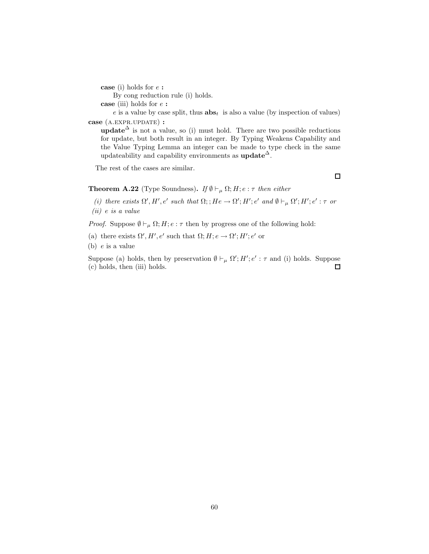case (i) holds for e :

By cong reduction rule (i) holds.

case (iii) holds for  $e$ :

e is a value by case split, thus  $\mathbf{abs}_t$  is also a value (by inspection of values) case (A.EXPR.UPDATE) :

update<sup> $\Delta$ </sup> is not a value, so (i) must hold. There are two possible reductions for update, but both result in an integer. By Typing Weakens Capability and the Value Typing Lemma an integer can be made to type check in the same updateability and capability environments as  $update^{\Delta}$ .

The rest of the cases are similar.

 $\Box$ 

# **Theorem A.22** (Type Soundness). If  $\emptyset \vdash_{\mu} \Omega; H; e : \tau$  then either

(i) there exists  $\Omega', H', e'$  such that  $\Omega$ ;;  $He \to \Omega'; H'; e'$  and  $\emptyset \vdash_{\mu} \Omega'; H'; e' : \tau$  or (ii) e is a value

*Proof.* Suppose  $\emptyset \vdash_{\mu} \Omega; H; e : \tau$  then by progress one of the following hold:

(a) there exists  $\Omega', H', e'$  such that  $\Omega; H; e \to \Omega'; H'; e'$  or

(b) e is a value

Suppose (a) holds, then by preservation  $\emptyset \vdash_{\mu} \Omega'; H'; e' : \tau$  and (i) holds. Suppose (c) holds, then (iii) holds.  $\square$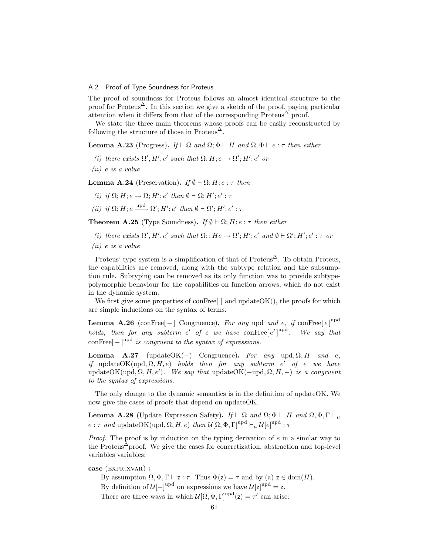#### A.2 Proof of Type Soundness for Proteus

The proof of soundness for Proteus follows an almost identical structure to the proof for Proteus<sup> $\Delta$ </sup>. In this section we give a sketch of the proof, paying particular attention when it differs from that of the corresponding Proteus<sup> $\Delta$ </sup> proof.

We state the three main theorems whose proofs can be easily reconstructed by following the structure of those in Proteus<sup> $\Delta$ </sup>.

**Lemma A.23** (Progress). If  $\vdash \Omega$  and  $\Omega$ ;  $\Phi \vdash H$  and  $\Omega$ ,  $\Phi \vdash e : \tau$  then either

- (i) there exists  $\Omega', H', e'$  such that  $\Omega; H; e \to \Omega'; H'; e'$  or
- (ii) e is a value

**Lemma A.24** (Preservation). If  $\emptyset \vdash \Omega$ ; H; e:  $\tau$  then

- (i) if  $\Omega; H; e \to \Omega; H'; e'$  then  $\emptyset \vdash \Omega; H'; e' : \tau$
- (ii) if  $\Omega; H$ ;  $e \xrightarrow{\text{upd}} \Omega'; H'; e'$  then  $\emptyset \vdash \Omega'; H'; e' : \tau$

**Theorem A.25** (Type Soundness). If  $\emptyset \vdash \Omega; H; e : \tau$  then either

- (i) there exists  $\Omega', H', e'$  such that  $\Omega$ ;;  $He \to \Omega'; H'; e'$  and  $\emptyset \vdash \Omega'; H'; e' : \tau$  or
- (ii) e is a value

Proteus' type system is a simplification of that of Proteus $^{\Delta}$ . To obtain Proteus, the capabilities are removed, along with the subtype relation and the subsumption rule. Subtyping can be removed as its only function was to provide subtypepolymorphic behaviour for the capabilities on function arrows, which do not exist in the dynamic system.

We first give some properties of conFree  $\vert$  and update  $OK()$ , the proofs for which are simple inductions on the syntax of terms.

**Lemma A.26** (conFree[-] Congruence). For any upd and e, if conFree[ $e$ ]<sup>upd</sup> holds, then for any subterm e' of e we have conFree $[e']^{\text{upd}}$ . We say that conFree $[-]^{upd}$  is congruent to the syntax of expressions.

**Lemma A.27** (updateOK(−) Congruence). For any upd,  $\Omega$ , H and e, if updateOK(upd,  $\Omega$ ,  $H$ ,  $e$ ) holds then for any subterm  $e'$  of  $e$  we have updateOK(upd,  $\Omega$ , H, e'). We say that updateOK(-upd,  $\Omega$ , H, -) is a congruent to the syntax of expressions.

The only change to the dynamic semantics is in the definition of updateOK. We now give the cases of proofs that depend on updateOK.

**Lemma A.28** (Update Expression Safety). If  $\vdash \Omega$  and  $\Omega$ ;  $\Phi \vdash H$  and  $\Omega$ ,  $\Phi$ ,  $\Gamma \vdash_{\mu}$  $e : \tau \text{ and updateOK}(\text{upd}, \Omega, H, e) \text{ then } \mathcal{U}[\Omega, \Phi, \Gamma]^{\text{upd}} \vdash_{\mu} \mathcal{U}[e]^{\text{upd}} : \tau$ 

*Proof.* The proof is by induction on the typing derivation of  $e$  in a similar way to the Proteus $\Delta$ proof. We give the cases for concretization, abstraction and top-level variables variables:

case (expr.xvar) :

By assumption  $\Omega, \Phi, \Gamma \vdash z : \tau$ . Thus  $\Phi(z) = \tau$  and by (a)  $z \in \text{dom}(H)$ . By definition of  $\mathcal{U}[-]^{upd}$  on expressions we have  $\mathcal{U}[z]^{upd} = z$ . There are three ways in which  $\mathcal{U}[\Omega, \Phi, \Gamma]^{\text{upd}}(z) = \tau'$  can arise: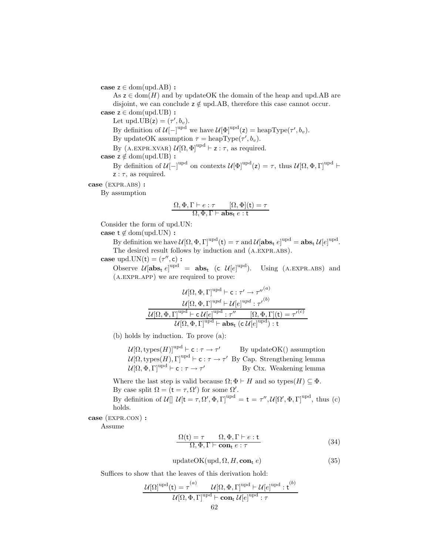case  $z \in \text{dom}(\text{upd}.AB)$ :

As  $z \in \text{dom}(H)$  and by update OK the domain of the heap and upd. AB are disjoint, we can conclude  $z \notin \text{upd.AB}$ , therefore this case cannot occur.

case  $z \in \text{dom}(\text{upd.UB})$ :

Let upd.UB( $z$ ) =  $(\tau', b_v)$ .

By definition of  $\mathcal{U}[-]^{\text{upd}}$  we have  $\mathcal{U}[\Phi]^{\text{upd}}(z) = \text{heapType}(\tau', b_v)$ .

By updateOK assumption  $\tau = \text{heapType}(\tau', b_v)$ .

By (A.EXPR.XVAR)  $\mathcal{U}[\Omega, \Phi]^{\text{upd}} \vdash z : \tau$ , as required.

case  $z \notin \text{dom}(\text{upd.UB})$ :

By definition of  $\mathcal{U}[-]^{upd}$  on contexts  $\mathcal{U}[\Phi]^{upd}(z) = \tau$ , thus  $\mathcal{U}[\Omega, \Phi, \Gamma]^{upd} \vdash$  $z : \tau$ , as required.

case (EXPR.ABS) :

By assumption

$$
\frac{\Omega, \Phi, \Gamma \vdash e : \tau \qquad [\Omega, \Phi](\mathsf{t}) = \tau}{\Omega, \Phi, \Gamma \vdash \mathbf{abs}_{\mathsf{t}} e : \mathsf{t}}
$$

Consider the form of upd.UN:

case  $t \notin \text{dom}(\text{upd.UN})$ :

By definition we have  $\mathcal{U}[\Omega, \Phi, \Gamma]^{\text{upd}}(t) = \tau$  and  $\mathcal{U}[\mathbf{abs}_{t} e]^{\text{upd}} = \mathbf{abs}_{t} \mathcal{U}[e]^{\text{upd}}$ . The desired result follows by induction and (A.EXPR.ABS).

case upd.UN(t) =  $(\tau'', c)$  :

Observe  $\mathcal{U}[\mathbf{abs}_{t} e]^{\text{upd}} = \mathbf{abs}_{t}$  (c  $\mathcal{U}[e]^{\text{upd}}$ ). Using (A.EXPR.ABS) and (A.EXPR.APP) we are required to prove:

$$
\mathcal{U}[\Omega, \Phi, \Gamma]^{\text{upd}} \vdash c : \tau' \to \tau''^{(a)}
$$
\n
$$
\frac{\mathcal{U}[\Omega, \Phi, \Gamma]^{\text{upd}} \vdash \mathcal{U}[e]^{\text{upd}} : \tau'^{(b)}}{\mathcal{U}[\Omega, \Phi, \Gamma]^{\text{upd}} \vdash c \mathcal{U}[e]^{\text{upd}} : \tau'' \qquad [\Omega, \Phi, \Gamma](t) = \tau'^{(c)}}
$$
\n
$$
\mathcal{U}[\Omega, \Phi, \Gamma]^{\text{upd}} \vdash \mathbf{abs}_{t} (c \mathcal{U}[e]^{\text{upd}}) : t
$$

(b) holds by induction. To prove (a):

 $\mathcal{U}[\Omega,\mathrm{types}(H)]^{\mathrm{upd}} \vdash \mathsf{c}: \tau \to \tau'$  By updateOK() assumption  $\mathcal{U}[\Omega,\mathrm{types}(H),\Gamma]^{\mathrm{upd}} \vdash \mathsf{c} : \tau \to \tau'$  By Cap. Strengthening lemma  $\mathcal{U}[\Omega,\Phi,\Gamma]^{upd}\vdash \mathtt{c}:\tau\to\tau' \qquad\qquad\qquad\text{By Ctx. Weakening lemma}$ 

Where the last step is valid because  $\Omega$ ;  $\Phi \vdash H$  and so types(H)  $\subseteq \Phi$ . By case split  $\Omega = (t = \tau, \Omega')$  for some  $\Omega'$ .

By definition of  $\mathcal{U}[\mathcal{U}]\mathcal{U}[t=\tau,\Omega',\Phi,\Gamma]^{\text{upd}} = t = \tau'', \mathcal{U}[\Omega',\Phi,\Gamma]^{\text{upd}},$  thus (c) holds.

case (expr.con) :

Assume

$$
\frac{\Omega(t) = \tau \qquad \Omega, \Phi, \Gamma \vdash e : t}{\Omega, \Phi, \Gamma \vdash \textbf{con}_t e : \tau}
$$
\n(34)

updateOK(upd,  $\Omega$ ,  $H$ , con<sub>t</sub> e) (35)

 $\lambda$ 

Suffices to show that the leaves of this derivation hold:

$$
\frac{\mathcal{U}[\Omega]^{\text{upd}}(\mathsf{t}) = \tau^{(a)}}{\mathcal{U}[\Omega, \Phi, \Gamma]^{\text{upd}} + \mathcal{U}[e]^{\text{upd}} : \mathsf{t}^{(b)}}}{\mathcal{U}[\Omega, \Phi, \Gamma]^{\text{upd}} + \mathbf{con}_{\mathsf{t}} \mathcal{U}[e]^{\text{upd}} : \tau}
$$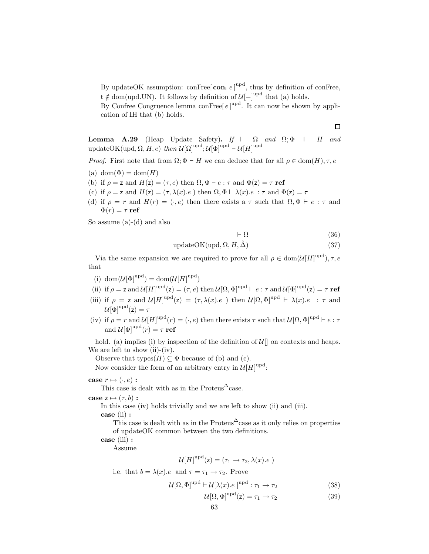By updateOK assumption: conFree[ $con<sub>t</sub> e$ ]<sup>upd</sup>, thus by definition of conFree, t ∉ dom(upd.UN). It follows by definition of  $\mathcal{U}[-]^{upd}$  that (a) holds.

By Confree Congruence lemma conFree $[e]^{upd}$ . It can now be shown by application of IH that (b) holds.

 $\Box$ 

Lemma A.29 (Heap Update Safety). If  $\vdash \Omega$  and  $\Omega$ ;  $\Phi \vdash H$  and updateOK(upd,  $\Omega$ , H, e) then  $\mathcal{U}[\Omega]^{\text{upd}}$ ;  $\mathcal{U}[\Phi]^{\text{upd}} \vdash \mathcal{U}[H]^{\text{upd}}$ 

*Proof.* First note that from  $\Omega$ ;  $\Phi \vdash H$  we can deduce that for all  $\rho \in \text{dom}(H)$ ,  $\tau$ ,  $e$ 

- (a) dom $(\Phi) = \text{dom}(H)$
- (b) if  $\rho = z$  and  $H(z) = (\tau, e)$  then  $\Omega, \Phi \vdash e : \tau$  and  $\Phi(z) = \tau$  ref
- (c) if  $\rho = z$  and  $H(z) = (\tau, \lambda(x).e)$  then  $\Omega, \Phi \vdash \lambda(x).e : \tau$  and  $\Phi(z) = \tau$
- (d) if  $\rho = r$  and  $H(r) = (\cdot, e)$  then there exists a  $\tau$  such that  $\Omega, \Phi \vdash e : \tau$  and  $\Phi(r) = \tau \text{ ref}$

So assume (a)-(d) and also

$$
\vdash \Omega \tag{36}
$$

$$
updateOK(upd, \Omega, H, \hat{\Delta})
$$
\n(37)

Via the same expansion we are required to prove for all  $\rho \in \text{dom}(\mathcal{U}[H]^{\text{upd}}), \tau, e$ that

- (i) dom $(\mathcal{U}[\Phi]^{\text{upd}}) = \text{dom}(\mathcal{U}[H]^{\text{upd}})$
- (ii) if  $\rho = \mathsf{z}$  and  $\mathcal{U}[H]^{\text{upd}}(\mathsf{z}) = (\tau, e)$  then  $\mathcal{U}[\Omega, \Phi]^{\text{upd}} \vdash e : \tau$  and  $\mathcal{U}[\Phi]^{\text{upd}}(\mathsf{z}) = \tau$  ref
- (iii) if  $\rho = z$  and  $\mathcal{U}[H]^{upd}(z) = (\tau, \lambda(x).e)$  then  $\mathcal{U}[\Omega, \Phi]^{upd} \vdash \lambda(x).e : \tau$  and  $\mathcal{U}[\Phi]^{\text{upd}}(z) = \tau$
- (iv) if  $\rho = r$  and  $\mathcal{U}[H]^{\text{upd}}(r) = (\cdot, e)$  then there exists  $\tau$  such that  $\mathcal{U}[\Omega, \Phi]^{\text{upd}} \vdash e : \tau$ and  $U[\Phi]^{\text{upd}}(r) = \tau \text{ ref}$

hold. (a) implies (i) by inspection of the definition of  $\mathcal{U}$  on contexts and heaps. We are left to show (ii)-(iv).

Observe that types $(H) \subseteq \Phi$  because of (b) and (c).

Now consider the form of an arbitrary entry in  $\mathcal{U}[H]^{\text{upd}}$ :

case  $r \mapsto (\cdot, e)$ :

This case is dealt with as in the Proteus $\Delta$ case.

$$
case z \mapsto (\tau, b) :
$$

In this case (iv) holds trivially and we are left to show (ii) and (iii). case (ii) :

This case is dealt with as in the Proteus<sup> $\Delta$ </sup>case as it only relies on properties of updateOK common between the two definitions.

case (iii) :

Assume

$$
\mathcal{U}[H]^{\mathrm{upd}}(\mathsf{z}) = (\tau_1 \to \tau_2, \lambda(x).e)
$$

i.e. that  $b = \lambda(x)$ .e and  $\tau = \tau_1 \rightarrow \tau_2$ . Prove

$$
\mathcal{U}[\Omega, \Phi]^{\text{upd}} \vdash \mathcal{U}[\lambda(x).e]^{\text{upd}} : \tau_1 \to \tau_2 \tag{38}
$$

$$
\mathcal{U}[\Omega, \Phi]^{\text{upd}}(\mathsf{z}) = \tau_1 \to \tau_2 \tag{39}
$$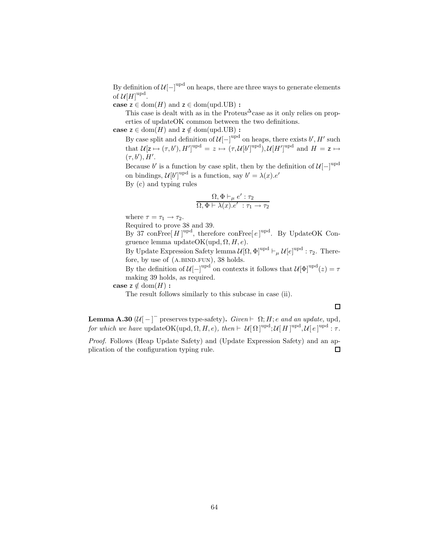By definition of  $\mathcal{U}[-]^{\text{upd}}$  on heaps, there are three ways to generate elements of  $\mathcal{U}[H]^{\mathrm{upd}}.$ 

case  $z \in \text{dom}(H)$  and  $z \in \text{dom}(\text{upd.UB})$ :

This case is dealt with as in the Proteus<sup> $\Delta$ </sup>case as it only relies on properties of updateOK common between the two definitions.

case  $z \in \text{dom}(H)$  and  $z \notin \text{dom}(\text{upd.UB})$ :

By case split and definition of  $\mathcal{U}[-]^{upd}$  on heaps, there exists  $b', H'$  such that  $\mathcal{U}[z \mapsto (\tau, b'), H']^{\text{upd}} = z \mapsto (\tau, \mathcal{U}[b']^{\text{upd}}), \mathcal{U}[H']^{\text{upd}}$  and  $H = z \mapsto$  $(\tau, b'), H'.$ 

Because b' is a function by case split, then by the definition of  $\mathcal{U}[-]^{upd}$ on bindings,  $\mathcal{U}[b']^{\text{upd}}$  is a function, say  $b' = \lambda(x) \cdot e'$ By (c) and typing rules

$$
\frac{\Omega, \Phi \vdash_{\mu} e': \tau_2}{\Omega, \Phi \vdash \lambda(x).e' : \tau_1 \to \tau_2}
$$

where  $\tau = \tau_1 \rightarrow \tau_2$ .

Required to prove 38 and 39.

By 37 conFree $[H]$ <sup>upd</sup>, therefore conFree $[e]$ <sup>upd</sup>. By UpdateOK Congruence lemma updateOK(upd,  $\Omega$ ,  $H$ ,  $e$ ).

By Update Expression Safety lemma  $\mathcal{U}[\Omega, \Phi]^{\text{upd}} \vdash_{\mu} \mathcal{U}[e]^{\text{upd}} : \tau_2$ . Therefore, by use of  $(A.BIND.FUN)$ , 38 holds.

By the definition of  $\mathcal{U}[-]^{upd}$  on contexts it follows that  $\mathcal{U}[\Phi]^{upd}(z) = \tau$ making 39 holds, as required.

case  $z \notin \text{dom}(H)$ :

The result follows similarly to this subcase in case (ii).

**Lemma A.30**  $(U[-]$ <sup>-</sup> preserves type-safety). Given  $\vdash \Omega; H$ ; e and an update, upd, for which we have updateOK(upd,  $\Omega$ , H, e), then  $\vdash \mathcal{U}[\Omega]^{\text{upd}}$ ;  $\mathcal{U}[H]^{\text{upd}}$ ,  $\mathcal{U}[e]^{\text{upd}}$ :  $\tau$ .

Proof. Follows (Heap Update Safety) and (Update Expression Safety) and an application of the configuration typing rule.  $\Box$ 

 $\Box$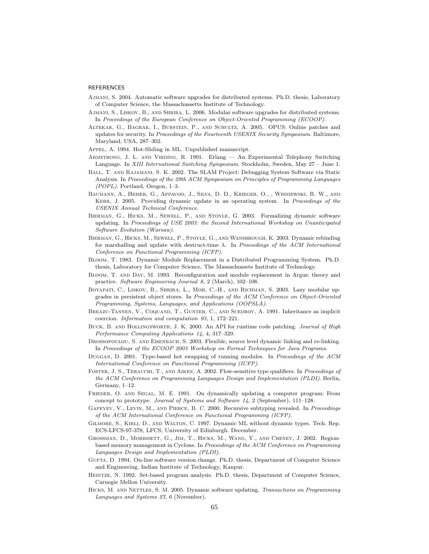#### **REFERENCES**

- Ajmani, S. 2004. Automatic software upgrades for distributed systems. Ph.D. thesis, Laboratory of Computer Science, the Massachussetts Institute of Technology.
- Ajmani, S., Liskov, B., and Shrira, L. 2006. Modular software upgrades for distributed systems. In Proceedings of the European Conference on Object-Oriented Programming (ECOOP).
- Altekar, G., Bagrak, I., Burstein, P., and Schultz, A. 2005. OPUS: Online patches and updates for security. In Proceedings of the Fourteenth USENIX Security Symposium. Baltimore, Maryland, USA, 287–302.
- APPEL, A. 1994. Hot-Sliding in ML. Unpublished manuscript.
- Armstrong, J. L. and Virding, R. 1991. Erlang An Experimental Telephony Switching Language. In XIII International Switching Symposium. Stockholm, Sweden, May 27 – June 1.
- Ball, T. and Rajamani, S. K. 2002. The SLAM Project: Debugging System Software via Static Analysis. In Proceedings of the 29th ACM Symposium on Principles of Programming Languages (POPL). Portland, Oregon, 1–3.
- Baumann, A., Heiser, G., Appavoo, J., Silva, D. D., Krieger, O., , Wisniewski, R. W., and KERR, J. 2005. Providing dynamic update in an operating system. In *Proceedings of the* USENIX Annual Technical Conference.
- Bierman, G., Hicks, M., Sewell, P., and Stoyle, G. 2003. Formalizing dynamic software updating. In Proceedings of USE 2003: the Second International Workshop on Unanticipated Software Evolution (Warsaw).
- Bierman, G., Hicks, M., Sewell, P., Stoyle, G., and Wansbrough, K. 2003. Dynamic rebinding for marshalling and update with destruct-time  $\lambda$ . In Proceedings of the ACM International Conference on Functional Programming (ICFP).
- Bloom, T. 1983. Dynamic Module Replacement in a Distributed Programming System. Ph.D. thesis, Laboratory for Computer Science, The Massachussets Institute of Technology.
- Bloom, T. and Day, M. 1993. Reconfiguration and module replacement in Argus: theory and practice. Software Engineering Journal 8, 2 (March), 102–108.
- BOYAPATI, C., LISKOV, B., SHRIRA, L., MOH, C.-H., AND RICHMAN, S. 2003. Lazy modular upgrades in persistent object stores. In Proceedings of the ACM Conference on Object-Oriented Programming, Systems, Languages, and Applications (OOPSLA).
- Breazu-Tannen, V., Coquand, T., Gunter, C., and Scedrov, A. 1991. Inheritance as implicit coercion. Information and computation 93, 1, 172–221.
- BUCK, B. AND HOLLINGSWORTH, J. K. 2000. An API for runtime code patching. Journal of High Performance Computing Applications 14, 4, 317–329.
- Drossopoulou, S. and Eisenbach, S. 2003. Flexible, source level dynamic linking and re-linking. In Proceedings of the ECOOP 2003 Workshop on Formal Techniques for Java Programs.
- DUGGAN, D. 2001. Type-based hot swapping of running modules. In Proceedings of the ACM International Conference on Functional Programming (ICFP).
- FOSTER, J. S., TERAUCHI, T., AND AIKEN, A. 2002. Flow-sensitive type qualifiers. In Proceedings of the ACM Conference on Programming Languages Design and Implementation (PLDI). Berlin, Germany, 1–12.
- FRIEDER, O. AND SEGAL, M. E. 1991. On dynamically updating a computer program: From concept to prototype. Journal of Systems and Software 14, 2 (September), 111–128.
- GAPEYEV, V., LEVIN, M., AND PIERCE, B. C. 2000. Recursive subtyping revealed. In *Proceedings* of the ACM International Conference on Functional Programming (ICFP).
- Gilmore, S., Kirli, D., and Walton, C. 1997. Dynamic ML without dynamic types. Tech. Rep. ECS-LFCS-97-378, LFCS, University of Edinburgh. December.
- Grossman, D., Morrisett, G., Jim, T., Hicks, M., Wang, Y., and Cheney, J. 2002. Regionbased memory management in Cyclone. In Proceedings of the ACM Conference on Programming Languages Design and Implementation (PLDI).
- Gupta, D. 1994. On-line software version change. Ph.D. thesis, Department of Computer Science and Engineering, Indian Institute of Technology, Kanpur.
- Heintze, N. 1992. Set-based program analysis. Ph.D. thesis, Department of Computer Science, Carnegie Mellon University.
- HICKS, M. AND NETTLES, S. M. 2005. Dynamic software updating. Transactions on Programming Languages and Systems 27, 6 (November).